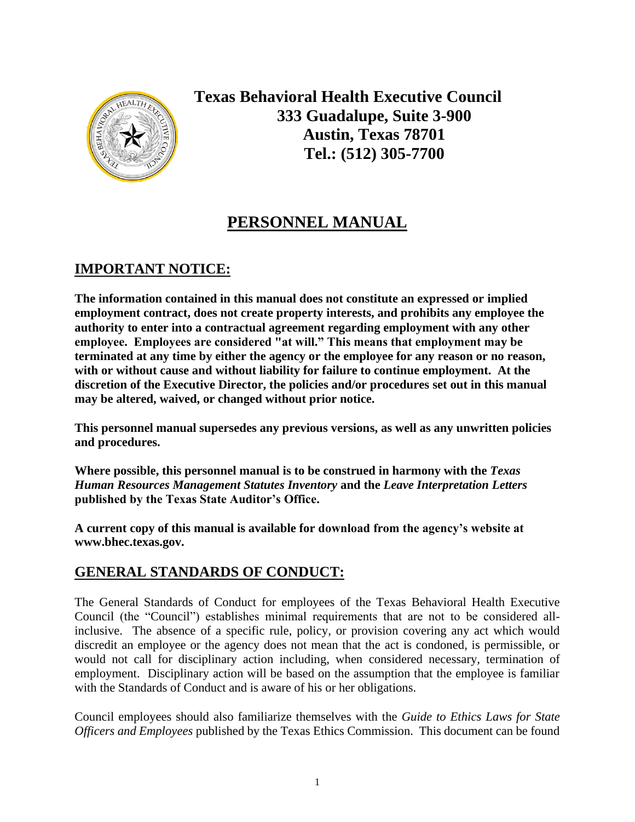

**Texas Behavioral Health Executive Council 333 Guadalupe, Suite 3-900 Austin, Texas 78701 Tel.: (512) 305-7700**

# **PERSONNEL MANUAL**

# **IMPORTANT NOTICE:**

**The information contained in this manual does not constitute an expressed or implied employment contract, does not create property interests, and prohibits any employee the authority to enter into a contractual agreement regarding employment with any other employee. Employees are considered "at will." This means that employment may be terminated at any time by either the agency or the employee for any reason or no reason, with or without cause and without liability for failure to continue employment. At the discretion of the Executive Director, the policies and/or procedures set out in this manual may be altered, waived, or changed without prior notice.**

**This personnel manual supersedes any previous versions, as well as any unwritten policies and procedures.**

**Where possible, this personnel manual is to be construed in harmony with the** *Texas Human Resources Management Statutes Inventory* **and the** *Leave Interpretation Letters* **published by the Texas State Auditor's Office.**

**A current copy of this manual is available for download from the agency's website at www.bhec.texas.gov.**

# **GENERAL STANDARDS OF CONDUCT:**

The General Standards of Conduct for employees of the Texas Behavioral Health Executive Council (the "Council") establishes minimal requirements that are not to be considered allinclusive. The absence of a specific rule, policy, or provision covering any act which would discredit an employee or the agency does not mean that the act is condoned, is permissible, or would not call for disciplinary action including, when considered necessary, termination of employment. Disciplinary action will be based on the assumption that the employee is familiar with the Standards of Conduct and is aware of his or her obligations.

Council employees should also familiarize themselves with the *Guide to Ethics Laws for State Officers and Employees* published by the Texas Ethics Commission. This document can be found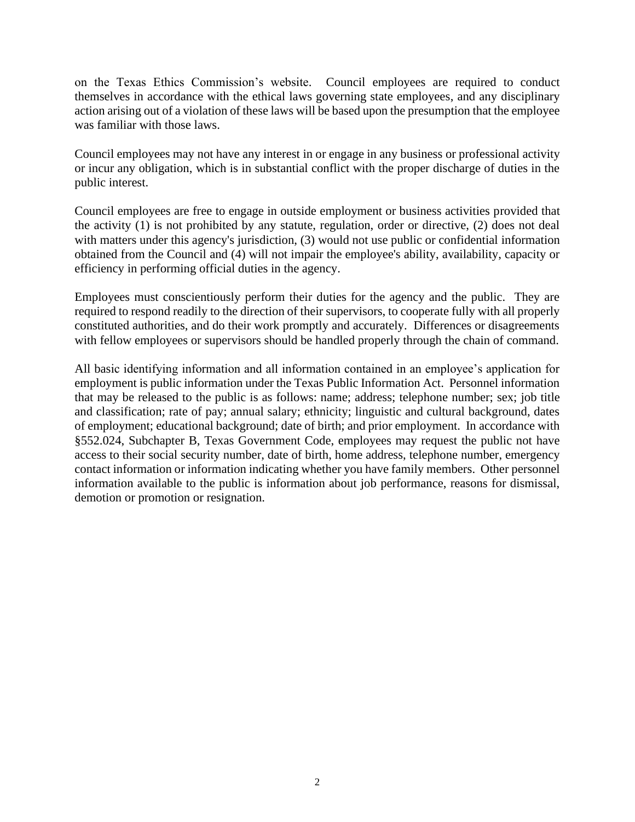on the Texas Ethics Commission's website. Council employees are required to conduct themselves in accordance with the ethical laws governing state employees, and any disciplinary action arising out of a violation of these laws will be based upon the presumption that the employee was familiar with those laws.

Council employees may not have any interest in or engage in any business or professional activity or incur any obligation, which is in substantial conflict with the proper discharge of duties in the public interest.

Council employees are free to engage in outside employment or business activities provided that the activity (1) is not prohibited by any statute, regulation, order or directive, (2) does not deal with matters under this agency's jurisdiction, (3) would not use public or confidential information obtained from the Council and (4) will not impair the employee's ability, availability, capacity or efficiency in performing official duties in the agency.

Employees must conscientiously perform their duties for the agency and the public. They are required to respond readily to the direction of their supervisors, to cooperate fully with all properly constituted authorities, and do their work promptly and accurately. Differences or disagreements with fellow employees or supervisors should be handled properly through the chain of command.

All basic identifying information and all information contained in an employee's application for employment is public information under the Texas Public Information Act. Personnel information that may be released to the public is as follows: name; address; telephone number; sex; job title and classification; rate of pay; annual salary; ethnicity; linguistic and cultural background, dates of employment; educational background; date of birth; and prior employment. In accordance with §552.024, Subchapter B, Texas Government Code, employees may request the public not have access to their social security number, date of birth, home address, telephone number, emergency contact information or information indicating whether you have family members. Other personnel information available to the public is information about job performance, reasons for dismissal, demotion or promotion or resignation.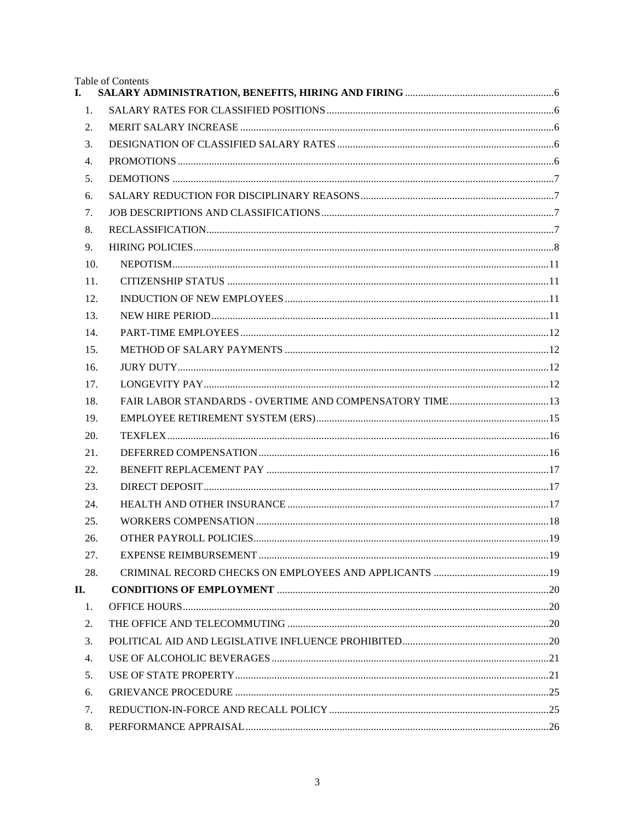Table of Contents

| I.               |  |
|------------------|--|
| 1.               |  |
| 2.               |  |
| 3.               |  |
| 4.               |  |
| 5.               |  |
| 6.               |  |
| 7.               |  |
| 8.               |  |
| 9.               |  |
| 10.              |  |
| 11.              |  |
| 12.              |  |
| 13.              |  |
| 14.              |  |
| 15.              |  |
| 16.              |  |
| 17.              |  |
| 18.              |  |
| 19.              |  |
| 20.              |  |
| 21.              |  |
| 22.              |  |
| 23.              |  |
| 24.              |  |
| 25.              |  |
| 26.              |  |
| 27.              |  |
| 28.              |  |
| П.               |  |
| 1.               |  |
| 2.               |  |
| 3.               |  |
| $\overline{4}$ . |  |
| 5.               |  |
| 6.               |  |
| 7.               |  |
| 8.               |  |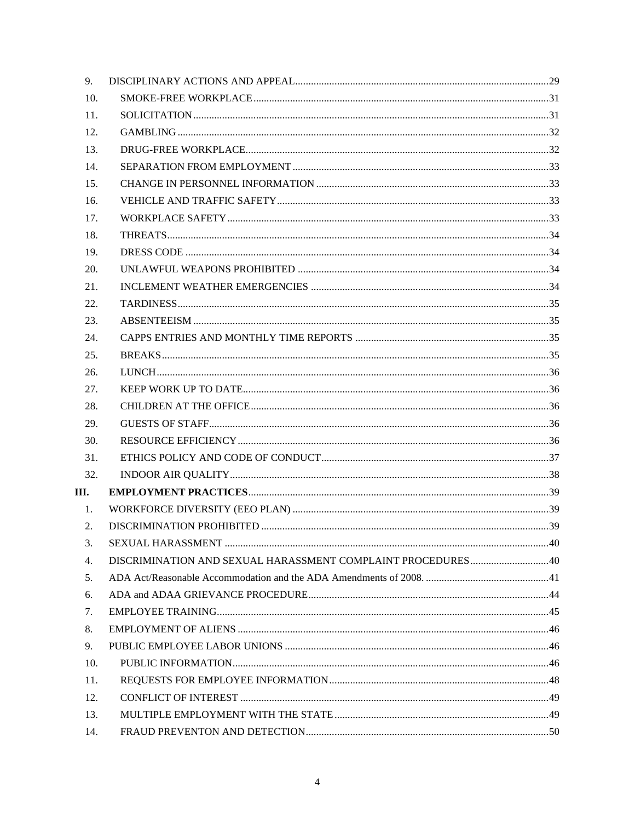| 9.   |  |
|------|--|
| 10.  |  |
| 11.  |  |
| 12.  |  |
| 13.  |  |
| 14.  |  |
| 15.  |  |
| 16.  |  |
| 17.  |  |
| 18.  |  |
| 19.  |  |
| 20.  |  |
| 21.  |  |
| 22.  |  |
| 23.  |  |
| 24.  |  |
| 25.  |  |
| 26.  |  |
| 27.  |  |
| 28.  |  |
| 29.  |  |
| 30.  |  |
| 31.  |  |
| 32.  |  |
| III. |  |
| 1.   |  |
| 2.   |  |
| 3.   |  |
| 4.   |  |
| 5.   |  |
| 6.   |  |
| 7.   |  |
| 8.   |  |
| 9.   |  |
| 10.  |  |
| 11.  |  |
| 12.  |  |
| 13.  |  |
| 14.  |  |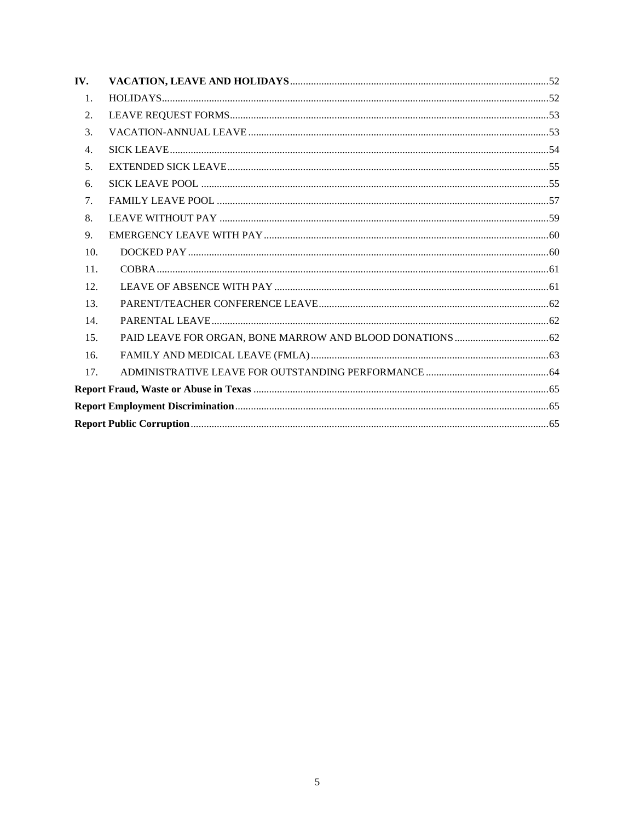| IV.            |  |
|----------------|--|
| 1.             |  |
| 2.             |  |
| 3.             |  |
| 4.             |  |
| 5 <sub>1</sub> |  |
| 6.             |  |
| 7.             |  |
| 8.             |  |
| 9.             |  |
| 10.            |  |
| 11.            |  |
| 12.            |  |
| 13.            |  |
| 14.            |  |
| 15.            |  |
| 16.            |  |
| 17.            |  |
|                |  |
|                |  |
|                |  |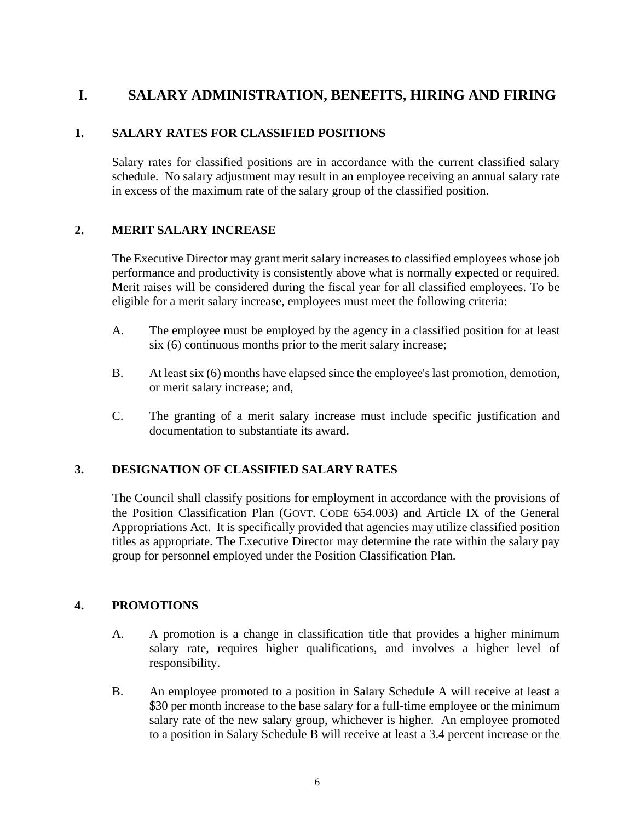# <span id="page-5-0"></span>**I. SALARY ADMINISTRATION, BENEFITS, HIRING AND FIRING**

## <span id="page-5-1"></span>**1. SALARY RATES FOR CLASSIFIED POSITIONS**

Salary rates for classified positions are in accordance with the current classified salary schedule. No salary adjustment may result in an employee receiving an annual salary rate in excess of the maximum rate of the salary group of the classified position.

# <span id="page-5-2"></span>**2. MERIT SALARY INCREASE**

The Executive Director may grant merit salary increases to classified employees whose job performance and productivity is consistently above what is normally expected or required. Merit raises will be considered during the fiscal year for all classified employees. To be eligible for a merit salary increase, employees must meet the following criteria:

- A. The employee must be employed by the agency in a classified position for at least six (6) continuous months prior to the merit salary increase;
- B. At least six (6) months have elapsed since the employee's last promotion, demotion, or merit salary increase; and,
- C. The granting of a merit salary increase must include specific justification and documentation to substantiate its award.

## <span id="page-5-3"></span>**3. DESIGNATION OF CLASSIFIED SALARY RATES**

The Council shall classify positions for employment in accordance with the provisions of the Position Classification Plan (GOVT. CODE 654.003) and Article IX of the General Appropriations Act. It is specifically provided that agencies may utilize classified position titles as appropriate. The Executive Director may determine the rate within the salary pay group for personnel employed under the Position Classification Plan.

## <span id="page-5-4"></span>**4. PROMOTIONS**

- A. A promotion is a change in classification title that provides a higher minimum salary rate, requires higher qualifications, and involves a higher level of responsibility.
- B. An employee promoted to a position in Salary Schedule A will receive at least a \$30 per month increase to the base salary for a full-time employee or the minimum salary rate of the new salary group, whichever is higher. An employee promoted to a position in Salary Schedule B will receive at least a 3.4 percent increase or the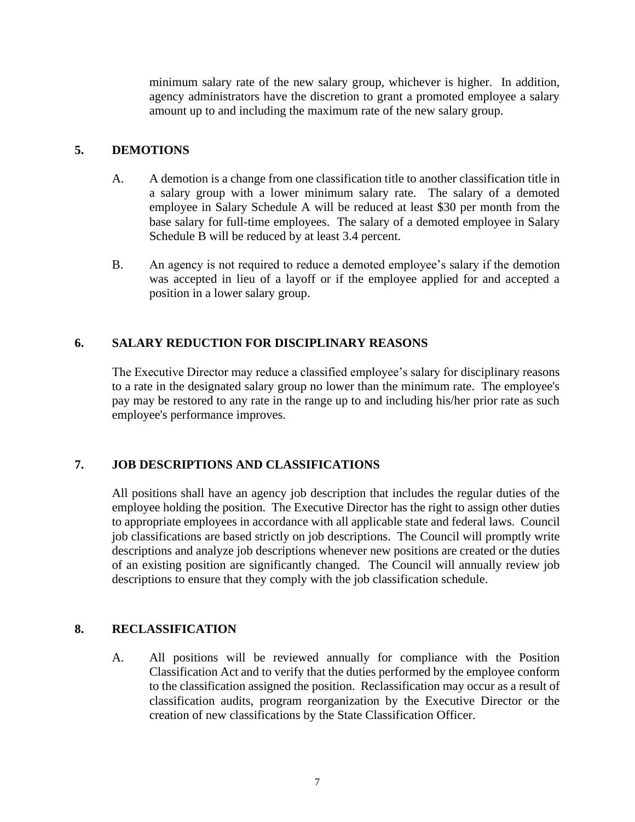minimum salary rate of the new salary group, whichever is higher. In addition, agency administrators have the discretion to grant a promoted employee a salary amount up to and including the maximum rate of the new salary group.

#### <span id="page-6-0"></span>**5. DEMOTIONS**

- A. A demotion is a change from one classification title to another classification title in a salary group with a lower minimum salary rate. The salary of a demoted employee in Salary Schedule A will be reduced at least \$30 per month from the base salary for full-time employees. The salary of a demoted employee in Salary Schedule B will be reduced by at least 3.4 percent.
- B. An agency is not required to reduce a demoted employee's salary if the demotion was accepted in lieu of a layoff or if the employee applied for and accepted a position in a lower salary group.

## <span id="page-6-1"></span>**6. SALARY REDUCTION FOR DISCIPLINARY REASONS**

The Executive Director may reduce a classified employee's salary for disciplinary reasons to a rate in the designated salary group no lower than the minimum rate. The employee's pay may be restored to any rate in the range up to and including his/her prior rate as such employee's performance improves.

## <span id="page-6-2"></span>**7. JOB DESCRIPTIONS AND CLASSIFICATIONS**

All positions shall have an agency job description that includes the regular duties of the employee holding the position. The Executive Director has the right to assign other duties to appropriate employees in accordance with all applicable state and federal laws. Council job classifications are based strictly on job descriptions. The Council will promptly write descriptions and analyze job descriptions whenever new positions are created or the duties of an existing position are significantly changed. The Council will annually review job descriptions to ensure that they comply with the job classification schedule.

#### <span id="page-6-3"></span>**8. RECLASSIFICATION**

A. All positions will be reviewed annually for compliance with the Position Classification Act and to verify that the duties performed by the employee conform to the classification assigned the position. Reclassification may occur as a result of classification audits, program reorganization by the Executive Director or the creation of new classifications by the State Classification Officer.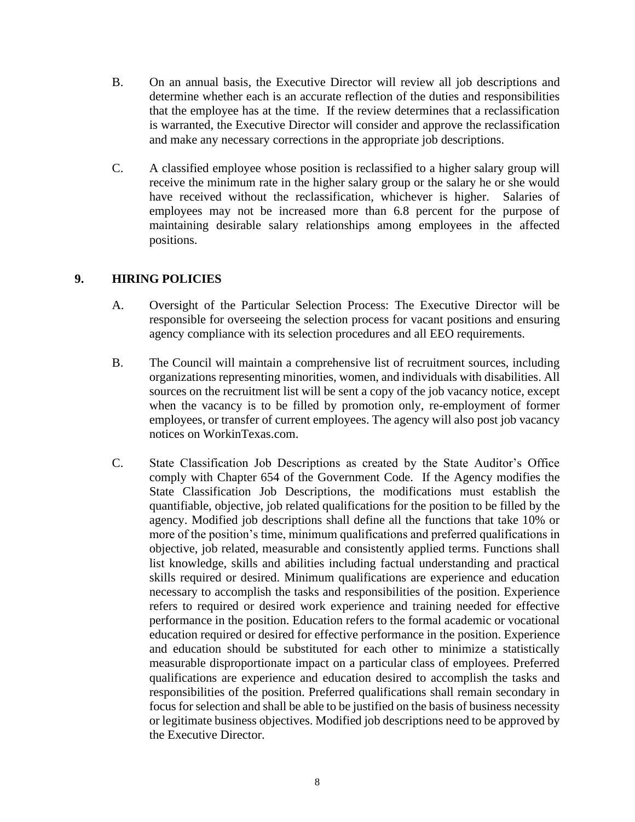- B. On an annual basis, the Executive Director will review all job descriptions and determine whether each is an accurate reflection of the duties and responsibilities that the employee has at the time. If the review determines that a reclassification is warranted, the Executive Director will consider and approve the reclassification and make any necessary corrections in the appropriate job descriptions.
- C. A classified employee whose position is reclassified to a higher salary group will receive the minimum rate in the higher salary group or the salary he or she would have received without the reclassification, whichever is higher. Salaries of employees may not be increased more than 6.8 percent for the purpose of maintaining desirable salary relationships among employees in the affected positions.

#### <span id="page-7-0"></span>**9. HIRING POLICIES**

- A. Oversight of the Particular Selection Process: The Executive Director will be responsible for overseeing the selection process for vacant positions and ensuring agency compliance with its selection procedures and all EEO requirements.
- B. The Council will maintain a comprehensive list of recruitment sources, including organizations representing minorities, women, and individuals with disabilities. All sources on the recruitment list will be sent a copy of the job vacancy notice, except when the vacancy is to be filled by promotion only, re-employment of former employees, or transfer of current employees. The agency will also post job vacancy notices on WorkinTexas.com.
- C. State Classification Job Descriptions as created by the State Auditor's Office comply with Chapter 654 of the Government Code. If the Agency modifies the State Classification Job Descriptions, the modifications must establish the quantifiable, objective, job related qualifications for the position to be filled by the agency. Modified job descriptions shall define all the functions that take 10% or more of the position's time, minimum qualifications and preferred qualifications in objective, job related, measurable and consistently applied terms. Functions shall list knowledge, skills and abilities including factual understanding and practical skills required or desired. Minimum qualifications are experience and education necessary to accomplish the tasks and responsibilities of the position. Experience refers to required or desired work experience and training needed for effective performance in the position. Education refers to the formal academic or vocational education required or desired for effective performance in the position. Experience and education should be substituted for each other to minimize a statistically measurable disproportionate impact on a particular class of employees. Preferred qualifications are experience and education desired to accomplish the tasks and responsibilities of the position. Preferred qualifications shall remain secondary in focus for selection and shall be able to be justified on the basis of business necessity or legitimate business objectives. Modified job descriptions need to be approved by the Executive Director.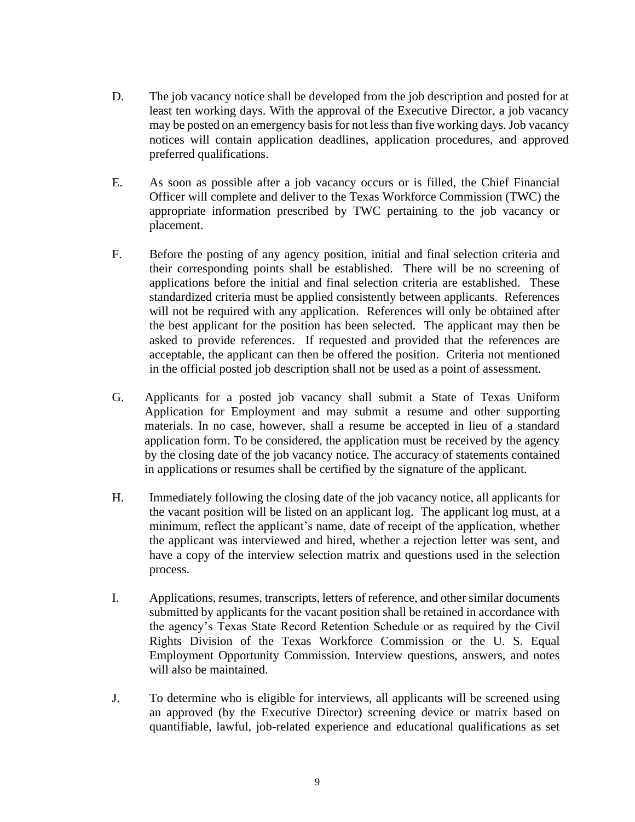- D. The job vacancy notice shall be developed from the job description and posted for at least ten working days. With the approval of the Executive Director, a job vacancy may be posted on an emergency basis for not less than five working days. Job vacancy notices will contain application deadlines, application procedures, and approved preferred qualifications.
- E. As soon as possible after a job vacancy occurs or is filled, the Chief Financial Officer will complete and deliver to the Texas Workforce Commission (TWC) the appropriate information prescribed by TWC pertaining to the job vacancy or placement.
- F. Before the posting of any agency position, initial and final selection criteria and their corresponding points shall be established. There will be no screening of applications before the initial and final selection criteria are established. These standardized criteria must be applied consistently between applicants. References will not be required with any application. References will only be obtained after the best applicant for the position has been selected. The applicant may then be asked to provide references. If requested and provided that the references are acceptable, the applicant can then be offered the position. Criteria not mentioned in the official posted job description shall not be used as a point of assessment.
- G. Applicants for a posted job vacancy shall submit a State of Texas Uniform Application for Employment and may submit a resume and other supporting materials. In no case, however, shall a resume be accepted in lieu of a standard application form. To be considered, the application must be received by the agency by the closing date of the job vacancy notice. The accuracy of statements contained in applications or resumes shall be certified by the signature of the applicant.
- H. Immediately following the closing date of the job vacancy notice, all applicants for the vacant position will be listed on an applicant log. The applicant log must, at a minimum, reflect the applicant's name, date of receipt of the application, whether the applicant was interviewed and hired, whether a rejection letter was sent, and have a copy of the interview selection matrix and questions used in the selection process.
- I. Applications, resumes, transcripts, letters of reference, and other similar documents submitted by applicants for the vacant position shall be retained in accordance with the agency's Texas State Record Retention Schedule or as required by the Civil Rights Division of the Texas Workforce Commission or the U. S. Equal Employment Opportunity Commission. Interview questions, answers, and notes will also be maintained.
- J. To determine who is eligible for interviews, all applicants will be screened using an approved (by the Executive Director) screening device or matrix based on quantifiable, lawful, job-related experience and educational qualifications as set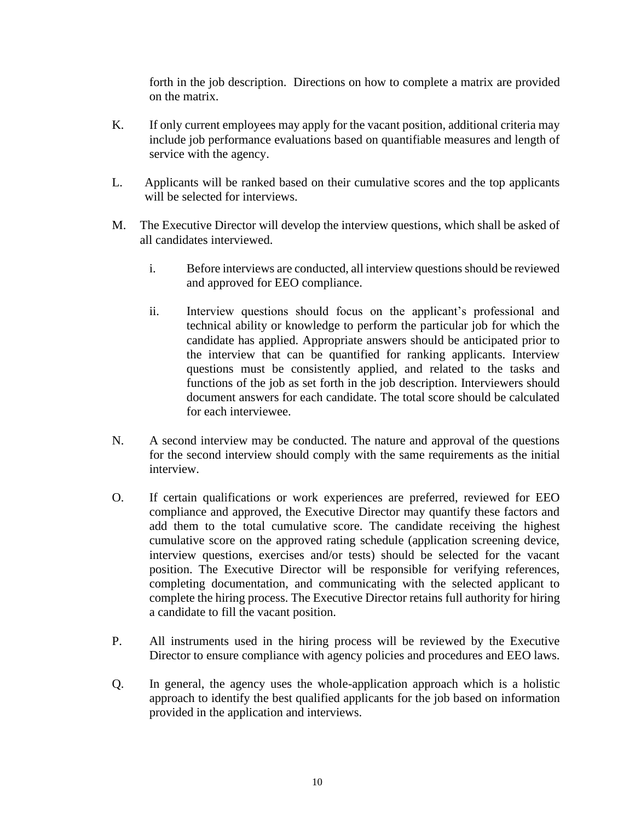forth in the job description. Directions on how to complete a matrix are provided on the matrix.

- K. If only current employees may apply for the vacant position, additional criteria may include job performance evaluations based on quantifiable measures and length of service with the agency.
- L. Applicants will be ranked based on their cumulative scores and the top applicants will be selected for interviews.
- M. The Executive Director will develop the interview questions, which shall be asked of all candidates interviewed.
	- i. Before interviews are conducted, all interview questions should be reviewed and approved for EEO compliance.
	- ii. Interview questions should focus on the applicant's professional and technical ability or knowledge to perform the particular job for which the candidate has applied. Appropriate answers should be anticipated prior to the interview that can be quantified for ranking applicants. Interview questions must be consistently applied, and related to the tasks and functions of the job as set forth in the job description. Interviewers should document answers for each candidate. The total score should be calculated for each interviewee.
- N. A second interview may be conducted. The nature and approval of the questions for the second interview should comply with the same requirements as the initial interview.
- O. If certain qualifications or work experiences are preferred, reviewed for EEO compliance and approved, the Executive Director may quantify these factors and add them to the total cumulative score. The candidate receiving the highest cumulative score on the approved rating schedule (application screening device, interview questions, exercises and/or tests) should be selected for the vacant position. The Executive Director will be responsible for verifying references, completing documentation, and communicating with the selected applicant to complete the hiring process. The Executive Director retains full authority for hiring a candidate to fill the vacant position.
- P. All instruments used in the hiring process will be reviewed by the Executive Director to ensure compliance with agency policies and procedures and EEO laws.
- Q. In general, the agency uses the whole-application approach which is a holistic approach to identify the best qualified applicants for the job based on information provided in the application and interviews.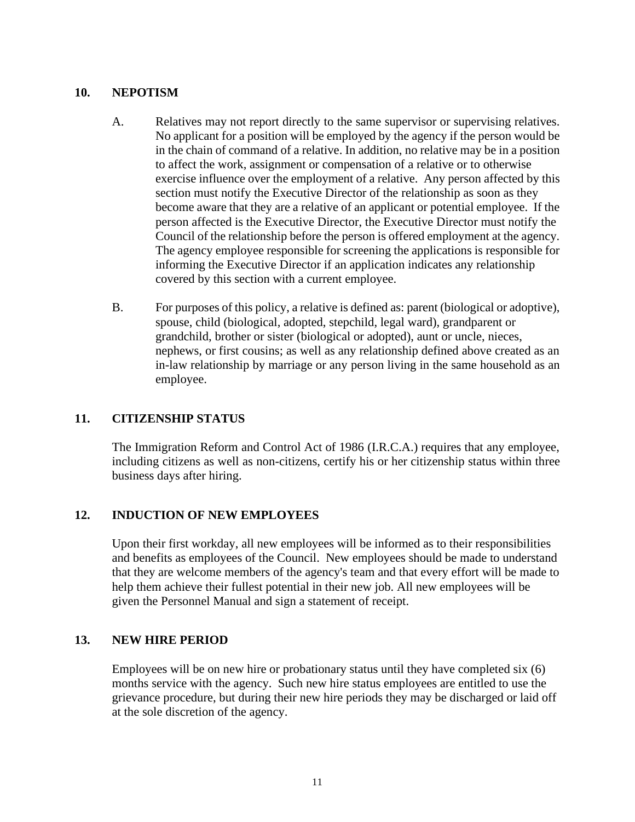#### <span id="page-10-0"></span>**10. NEPOTISM**

- A. Relatives may not report directly to the same supervisor or supervising relatives. No applicant for a position will be employed by the agency if the person would be in the chain of command of a relative. In addition, no relative may be in a position to affect the work, assignment or compensation of a relative or to otherwise exercise influence over the employment of a relative. Any person affected by this section must notify the Executive Director of the relationship as soon as they become aware that they are a relative of an applicant or potential employee. If the person affected is the Executive Director, the Executive Director must notify the Council of the relationship before the person is offered employment at the agency. The agency employee responsible for screening the applications is responsible for informing the Executive Director if an application indicates any relationship covered by this section with a current employee.
- B. For purposes of this policy, a relative is defined as: parent (biological or adoptive), spouse, child (biological, adopted, stepchild, legal ward), grandparent or grandchild, brother or sister (biological or adopted), aunt or uncle, nieces, nephews, or first cousins; as well as any relationship defined above created as an in-law relationship by marriage or any person living in the same household as an employee.

#### <span id="page-10-1"></span>**11. CITIZENSHIP STATUS**

The Immigration Reform and Control Act of 1986 (I.R.C.A.) requires that any employee, including citizens as well as non-citizens, certify his or her citizenship status within three business days after hiring.

#### <span id="page-10-2"></span>**12. INDUCTION OF NEW EMPLOYEES**

Upon their first workday, all new employees will be informed as to their responsibilities and benefits as employees of the Council. New employees should be made to understand that they are welcome members of the agency's team and that every effort will be made to help them achieve their fullest potential in their new job. All new employees will be given the Personnel Manual and sign a statement of receipt.

#### <span id="page-10-3"></span>**13. NEW HIRE PERIOD**

Employees will be on new hire or probationary status until they have completed six (6) months service with the agency. Such new hire status employees are entitled to use the grievance procedure, but during their new hire periods they may be discharged or laid off at the sole discretion of the agency.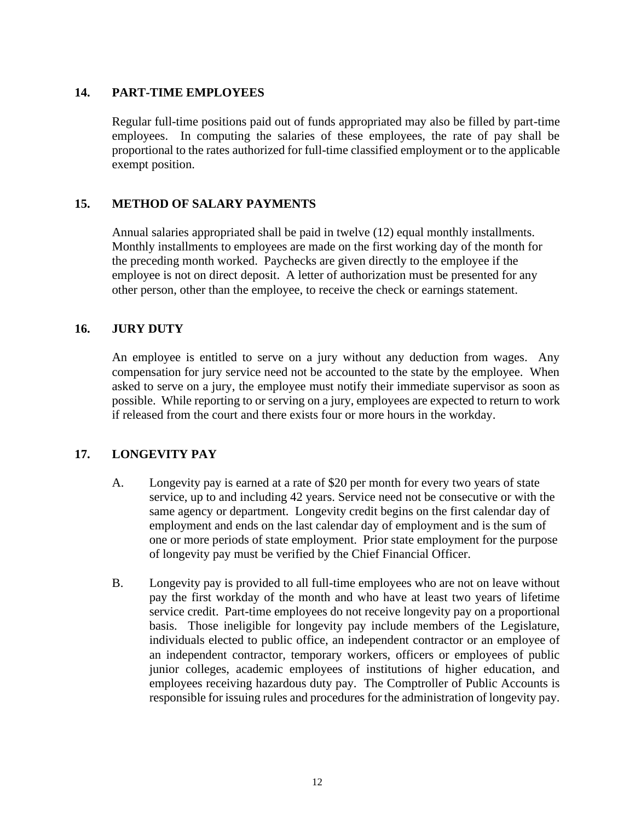#### <span id="page-11-0"></span>**14. PART-TIME EMPLOYEES**

Regular full-time positions paid out of funds appropriated may also be filled by part-time employees. In computing the salaries of these employees, the rate of pay shall be proportional to the rates authorized for full-time classified employment or to the applicable exempt position.

#### <span id="page-11-1"></span>**15. METHOD OF SALARY PAYMENTS**

Annual salaries appropriated shall be paid in twelve (12) equal monthly installments. Monthly installments to employees are made on the first working day of the month for the preceding month worked. Paychecks are given directly to the employee if the employee is not on direct deposit. A letter of authorization must be presented for any other person, other than the employee, to receive the check or earnings statement.

#### <span id="page-11-2"></span>**16. JURY DUTY**

An employee is entitled to serve on a jury without any deduction from wages. Any compensation for jury service need not be accounted to the state by the employee. When asked to serve on a jury, the employee must notify their immediate supervisor as soon as possible. While reporting to or serving on a jury, employees are expected to return to work if released from the court and there exists four or more hours in the workday.

## <span id="page-11-3"></span>**17. LONGEVITY PAY**

- A. Longevity pay is earned at a rate of \$20 per month for every two years of state service, up to and including 42 years. Service need not be consecutive or with the same agency or department. Longevity credit begins on the first calendar day of employment and ends on the last calendar day of employment and is the sum of one or more periods of state employment. Prior state employment for the purpose of longevity pay must be verified by the Chief Financial Officer.
- B. Longevity pay is provided to all full-time employees who are not on leave without pay the first workday of the month and who have at least two years of lifetime service credit. Part-time employees do not receive longevity pay on a proportional basis. Those ineligible for longevity pay include members of the Legislature, individuals elected to public office, an independent contractor or an employee of an independent contractor, temporary workers, officers or employees of public junior colleges, academic employees of institutions of higher education, and employees receiving hazardous duty pay. The Comptroller of Public Accounts is responsible for issuing rules and procedures for the administration of longevity pay.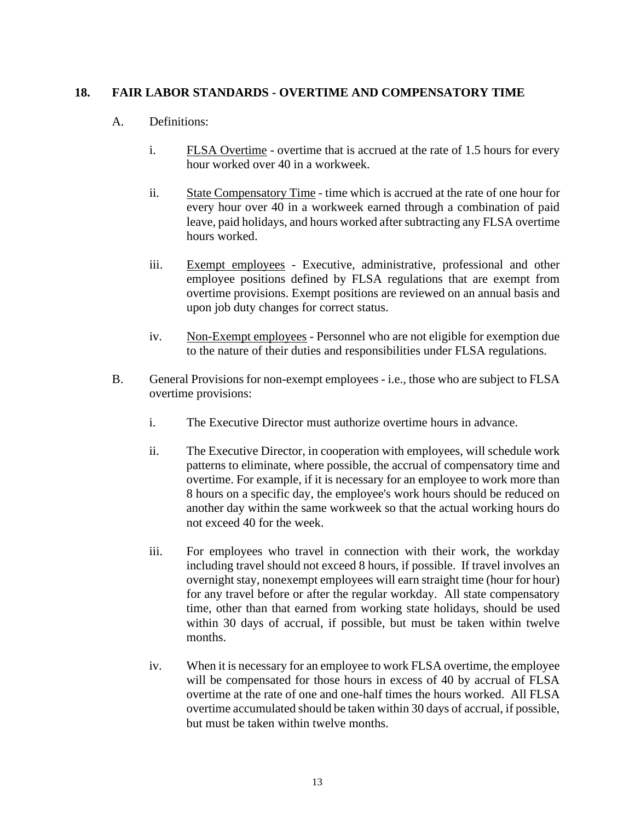#### <span id="page-12-0"></span>**18. FAIR LABOR STANDARDS - OVERTIME AND COMPENSATORY TIME**

#### A. Definitions:

- i. FLSA Overtime overtime that is accrued at the rate of 1.5 hours for every hour worked over 40 in a workweek.
- ii. State Compensatory Time time which is accrued at the rate of one hour for every hour over 40 in a workweek earned through a combination of paid leave, paid holidays, and hours worked after subtracting any FLSA overtime hours worked.
- iii. Exempt employees Executive, administrative, professional and other employee positions defined by FLSA regulations that are exempt from overtime provisions. Exempt positions are reviewed on an annual basis and upon job duty changes for correct status.
- iv. Non-Exempt employees Personnel who are not eligible for exemption due to the nature of their duties and responsibilities under FLSA regulations.
- B. General Provisions for non-exempt employees i.e., those who are subject to FLSA overtime provisions:
	- i. The Executive Director must authorize overtime hours in advance.
	- ii. The Executive Director, in cooperation with employees, will schedule work patterns to eliminate, where possible, the accrual of compensatory time and overtime. For example, if it is necessary for an employee to work more than 8 hours on a specific day, the employee's work hours should be reduced on another day within the same workweek so that the actual working hours do not exceed 40 for the week.
	- iii. For employees who travel in connection with their work, the workday including travel should not exceed 8 hours, if possible. If travel involves an overnight stay, nonexempt employees will earn straight time (hour for hour) for any travel before or after the regular workday. All state compensatory time, other than that earned from working state holidays, should be used within 30 days of accrual, if possible, but must be taken within twelve months.
	- iv. When it is necessary for an employee to work FLSA overtime, the employee will be compensated for those hours in excess of 40 by accrual of FLSA overtime at the rate of one and one-half times the hours worked. All FLSA overtime accumulated should be taken within 30 days of accrual, if possible, but must be taken within twelve months.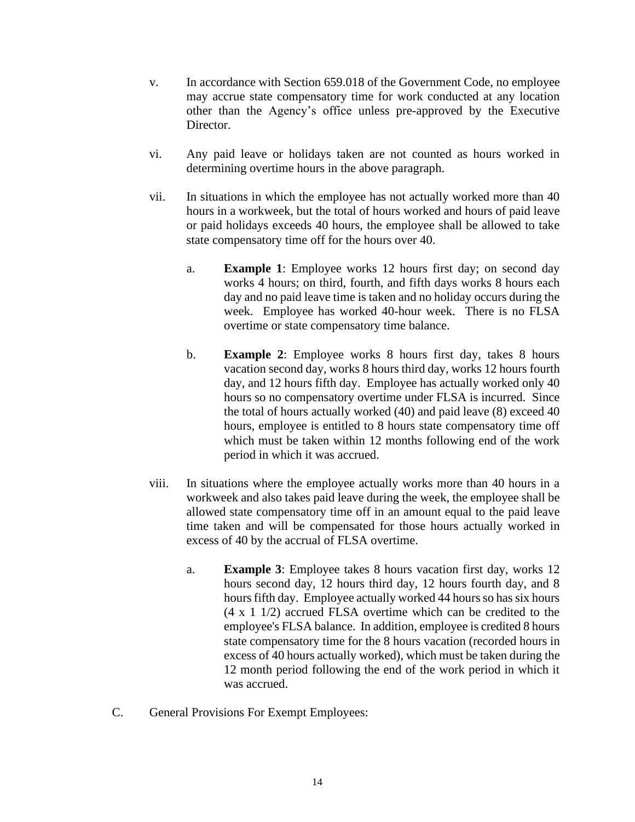- v. In accordance with Section 659.018 of the Government Code, no employee may accrue state compensatory time for work conducted at any location other than the Agency's office unless pre-approved by the Executive Director.
- vi. Any paid leave or holidays taken are not counted as hours worked in determining overtime hours in the above paragraph.
- vii. In situations in which the employee has not actually worked more than 40 hours in a workweek, but the total of hours worked and hours of paid leave or paid holidays exceeds 40 hours, the employee shall be allowed to take state compensatory time off for the hours over 40.
	- a. **Example 1**: Employee works 12 hours first day; on second day works 4 hours; on third, fourth, and fifth days works 8 hours each day and no paid leave time is taken and no holiday occurs during the week. Employee has worked 40-hour week. There is no FLSA overtime or state compensatory time balance.
	- b. **Example 2**: Employee works 8 hours first day, takes 8 hours vacation second day, works 8 hours third day, works 12 hours fourth day, and 12 hours fifth day. Employee has actually worked only 40 hours so no compensatory overtime under FLSA is incurred. Since the total of hours actually worked (40) and paid leave (8) exceed 40 hours, employee is entitled to 8 hours state compensatory time off which must be taken within 12 months following end of the work period in which it was accrued.
- viii. In situations where the employee actually works more than 40 hours in a workweek and also takes paid leave during the week, the employee shall be allowed state compensatory time off in an amount equal to the paid leave time taken and will be compensated for those hours actually worked in excess of 40 by the accrual of FLSA overtime.
	- a. **Example 3**: Employee takes 8 hours vacation first day, works 12 hours second day, 12 hours third day, 12 hours fourth day, and 8 hours fifth day. Employee actually worked 44 hours so has six hours (4 x 1 1/2) accrued FLSA overtime which can be credited to the employee's FLSA balance. In addition, employee is credited 8 hours state compensatory time for the 8 hours vacation (recorded hours in excess of 40 hours actually worked), which must be taken during the 12 month period following the end of the work period in which it was accrued.
- C. General Provisions For Exempt Employees: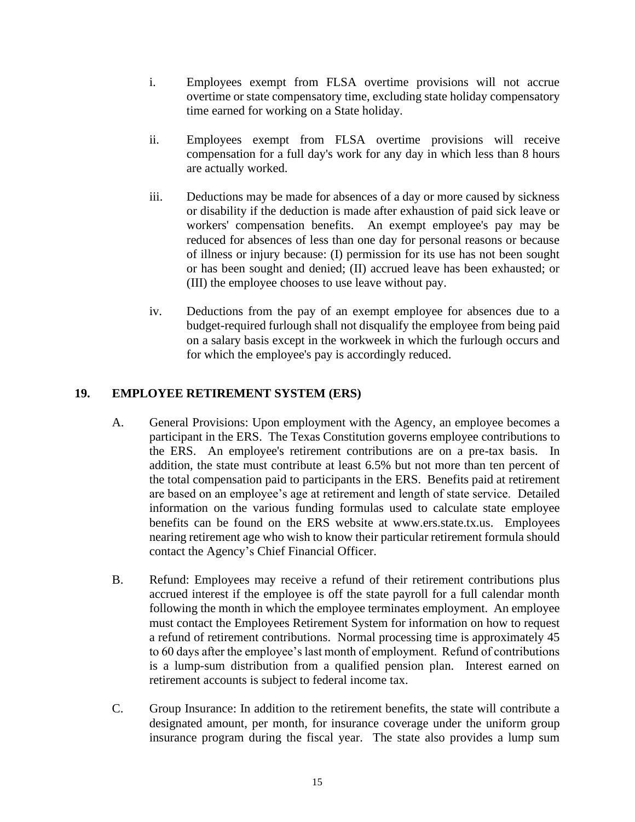- i. Employees exempt from FLSA overtime provisions will not accrue overtime or state compensatory time, excluding state holiday compensatory time earned for working on a State holiday.
- ii. Employees exempt from FLSA overtime provisions will receive compensation for a full day's work for any day in which less than 8 hours are actually worked.
- iii. Deductions may be made for absences of a day or more caused by sickness or disability if the deduction is made after exhaustion of paid sick leave or workers' compensation benefits. An exempt employee's pay may be reduced for absences of less than one day for personal reasons or because of illness or injury because: (I) permission for its use has not been sought or has been sought and denied; (II) accrued leave has been exhausted; or (III) the employee chooses to use leave without pay.
- iv. Deductions from the pay of an exempt employee for absences due to a budget-required furlough shall not disqualify the employee from being paid on a salary basis except in the workweek in which the furlough occurs and for which the employee's pay is accordingly reduced.

# <span id="page-14-0"></span>**19. EMPLOYEE RETIREMENT SYSTEM (ERS)**

- A. General Provisions: Upon employment with the Agency, an employee becomes a participant in the ERS. The Texas Constitution governs employee contributions to the ERS. An employee's retirement contributions are on a pre-tax basis. In addition, the state must contribute at least 6.5% but not more than ten percent of the total compensation paid to participants in the ERS. Benefits paid at retirement are based on an employee's age at retirement and length of state service. Detailed information on the various funding formulas used to calculate state employee benefits can be found on the ERS website at www.ers.state.tx.us. Employees nearing retirement age who wish to know their particular retirement formula should contact the Agency's Chief Financial Officer.
- B. Refund: Employees may receive a refund of their retirement contributions plus accrued interest if the employee is off the state payroll for a full calendar month following the month in which the employee terminates employment. An employee must contact the Employees Retirement System for information on how to request a refund of retirement contributions. Normal processing time is approximately 45 to 60 days after the employee's last month of employment. Refund of contributions is a lump-sum distribution from a qualified pension plan. Interest earned on retirement accounts is subject to federal income tax.
- C. Group Insurance: In addition to the retirement benefits, the state will contribute a designated amount, per month, for insurance coverage under the uniform group insurance program during the fiscal year. The state also provides a lump sum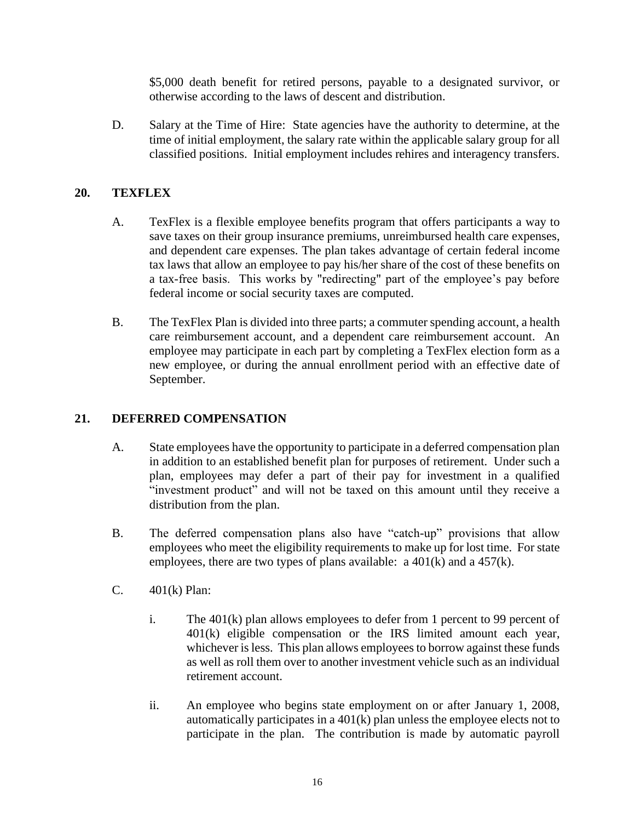\$5,000 death benefit for retired persons, payable to a designated survivor, or otherwise according to the laws of descent and distribution.

D. Salary at the Time of Hire: State agencies have the authority to determine, at the time of initial employment, the salary rate within the applicable salary group for all classified positions. Initial employment includes rehires and interagency transfers.

## <span id="page-15-0"></span>**20. TEXFLEX**

- A. TexFlex is a flexible employee benefits program that offers participants a way to save taxes on their group insurance premiums, unreimbursed health care expenses, and dependent care expenses. The plan takes advantage of certain federal income tax laws that allow an employee to pay his/her share of the cost of these benefits on a tax-free basis. This works by "redirecting" part of the employee's pay before federal income or social security taxes are computed.
- B. The TexFlex Plan is divided into three parts; a commuter spending account, a health care reimbursement account, and a dependent care reimbursement account. An employee may participate in each part by completing a TexFlex election form as a new employee, or during the annual enrollment period with an effective date of September.

## <span id="page-15-1"></span>**21. DEFERRED COMPENSATION**

- A. State employees have the opportunity to participate in a deferred compensation plan in addition to an established benefit plan for purposes of retirement. Under such a plan, employees may defer a part of their pay for investment in a qualified "investment product" and will not be taxed on this amount until they receive a distribution from the plan.
- B. The deferred compensation plans also have "catch-up" provisions that allow employees who meet the eligibility requirements to make up for lost time. For state employees, there are two types of plans available: a 401(k) and a 457(k).
- C. 401(k) Plan:
	- i. The 401(k) plan allows employees to defer from 1 percent to 99 percent of 401(k) eligible compensation or the IRS limited amount each year, whichever is less. This plan allows employees to borrow against these funds as well as roll them over to another investment vehicle such as an individual retirement account.
	- ii. An employee who begins state employment on or after January 1, 2008, automatically participates in a 401(k) plan unless the employee elects not to participate in the plan. The contribution is made by automatic payroll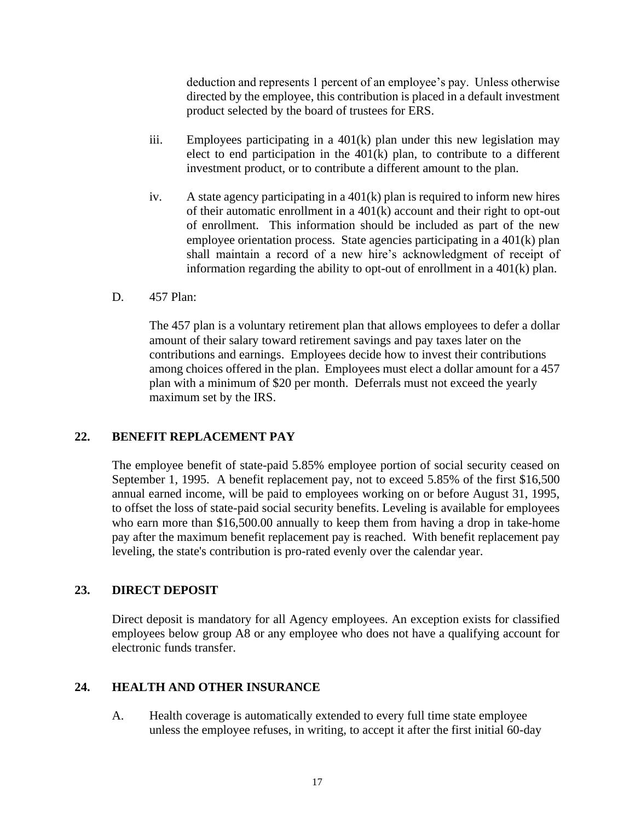deduction and represents 1 percent of an employee's pay. Unless otherwise directed by the employee, this contribution is placed in a default investment product selected by the board of trustees for ERS.

- iii. Employees participating in a 401(k) plan under this new legislation may elect to end participation in the  $401(k)$  plan, to contribute to a different investment product, or to contribute a different amount to the plan.
- iv. A state agency participating in a 401(k) plan is required to inform new hires of their automatic enrollment in a 401(k) account and their right to opt-out of enrollment. This information should be included as part of the new employee orientation process. State agencies participating in a 401(k) plan shall maintain a record of a new hire's acknowledgment of receipt of information regarding the ability to opt-out of enrollment in a 401(k) plan.
- D. 457 Plan:

The 457 plan is a voluntary retirement plan that allows employees to defer a dollar amount of their salary toward retirement savings and pay taxes later on the contributions and earnings. Employees decide how to invest their contributions among choices offered in the plan. Employees must elect a dollar amount for a 457 plan with a minimum of \$20 per month. Deferrals must not exceed the yearly maximum set by the IRS.

## <span id="page-16-0"></span>**22. BENEFIT REPLACEMENT PAY**

The employee benefit of state-paid 5.85% employee portion of social security ceased on September 1, 1995. A benefit replacement pay, not to exceed 5.85% of the first \$16,500 annual earned income, will be paid to employees working on or before August 31, 1995, to offset the loss of state-paid social security benefits. Leveling is available for employees who earn more than \$16,500.00 annually to keep them from having a drop in take-home pay after the maximum benefit replacement pay is reached. With benefit replacement pay leveling, the state's contribution is pro-rated evenly over the calendar year.

## <span id="page-16-1"></span>**23. DIRECT DEPOSIT**

Direct deposit is mandatory for all Agency employees. An exception exists for classified employees below group A8 or any employee who does not have a qualifying account for electronic funds transfer.

#### <span id="page-16-2"></span>**24. HEALTH AND OTHER INSURANCE**

A. Health coverage is automatically extended to every full time state employee unless the employee refuses, in writing, to accept it after the first initial 60-day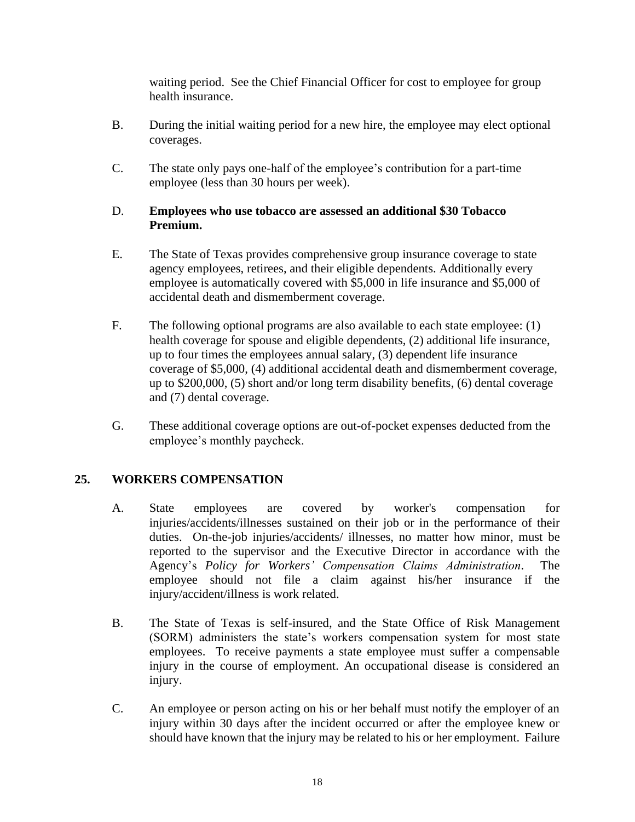waiting period. See the Chief Financial Officer for cost to employee for group health insurance.

- B. During the initial waiting period for a new hire, the employee may elect optional coverages.
- C. The state only pays one-half of the employee's contribution for a part-time employee (less than 30 hours per week).

#### D. **Employees who use tobacco are assessed an additional \$30 Tobacco Premium.**

- E. The State of Texas provides comprehensive group insurance coverage to state agency employees, retirees, and their eligible dependents. Additionally every employee is automatically covered with \$5,000 in life insurance and \$5,000 of accidental death and dismemberment coverage.
- F. The following optional programs are also available to each state employee: (1) health coverage for spouse and eligible dependents, (2) additional life insurance, up to four times the employees annual salary, (3) dependent life insurance coverage of \$5,000, (4) additional accidental death and dismemberment coverage, up to \$200,000, (5) short and/or long term disability benefits, (6) dental coverage and (7) dental coverage.
- G. These additional coverage options are out-of-pocket expenses deducted from the employee's monthly paycheck.

# <span id="page-17-0"></span>**25. WORKERS COMPENSATION**

- A. State employees are covered by worker's compensation for injuries/accidents/illnesses sustained on their job or in the performance of their duties. On-the-job injuries/accidents/ illnesses, no matter how minor, must be reported to the supervisor and the Executive Director in accordance with the Agency's *Policy for Workers' Compensation Claims Administration*. The employee should not file a claim against his/her insurance if the injury/accident/illness is work related.
- B. The State of Texas is self-insured, and the State Office of Risk Management (SORM) administers the state's workers compensation system for most state employees. To receive payments a state employee must suffer a compensable injury in the course of employment. An occupational disease is considered an injury.
- C. An employee or person acting on his or her behalf must notify the employer of an injury within 30 days after the incident occurred or after the employee knew or should have known that the injury may be related to his or her employment. Failure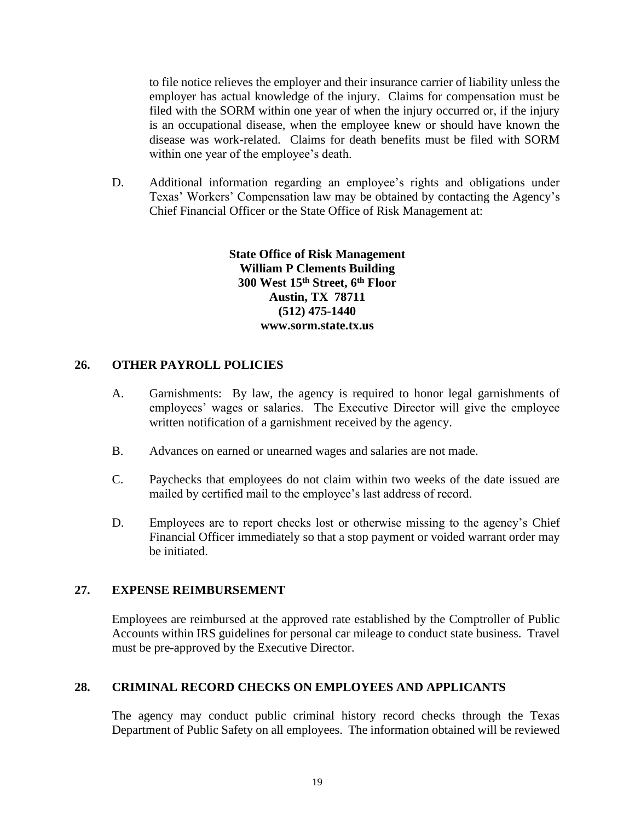to file notice relieves the employer and their insurance carrier of liability unless the employer has actual knowledge of the injury. Claims for compensation must be filed with the SORM within one year of when the injury occurred or, if the injury is an occupational disease, when the employee knew or should have known the disease was work-related. Claims for death benefits must be filed with SORM within one year of the employee's death.

D. Additional information regarding an employee's rights and obligations under Texas' Workers' Compensation law may be obtained by contacting the Agency's Chief Financial Officer or the State Office of Risk Management at:

> **State Office of Risk Management William P Clements Building 300 West 15th Street, 6th Floor Austin, TX 78711 (512) 475-1440 www.sorm.state.tx.us**

#### <span id="page-18-0"></span>**26. OTHER PAYROLL POLICIES**

- A. Garnishments: By law, the agency is required to honor legal garnishments of employees' wages or salaries. The Executive Director will give the employee written notification of a garnishment received by the agency.
- B. Advances on earned or unearned wages and salaries are not made.
- C. Paychecks that employees do not claim within two weeks of the date issued are mailed by certified mail to the employee's last address of record.
- D. Employees are to report checks lost or otherwise missing to the agency's Chief Financial Officer immediately so that a stop payment or voided warrant order may be initiated.

#### <span id="page-18-1"></span>**27. EXPENSE REIMBURSEMENT**

Employees are reimbursed at the approved rate established by the Comptroller of Public Accounts within IRS guidelines for personal car mileage to conduct state business. Travel must be pre-approved by the Executive Director.

#### <span id="page-18-2"></span>**28. CRIMINAL RECORD CHECKS ON EMPLOYEES AND APPLICANTS**

The agency may conduct public criminal history record checks through the Texas Department of Public Safety on all employees. The information obtained will be reviewed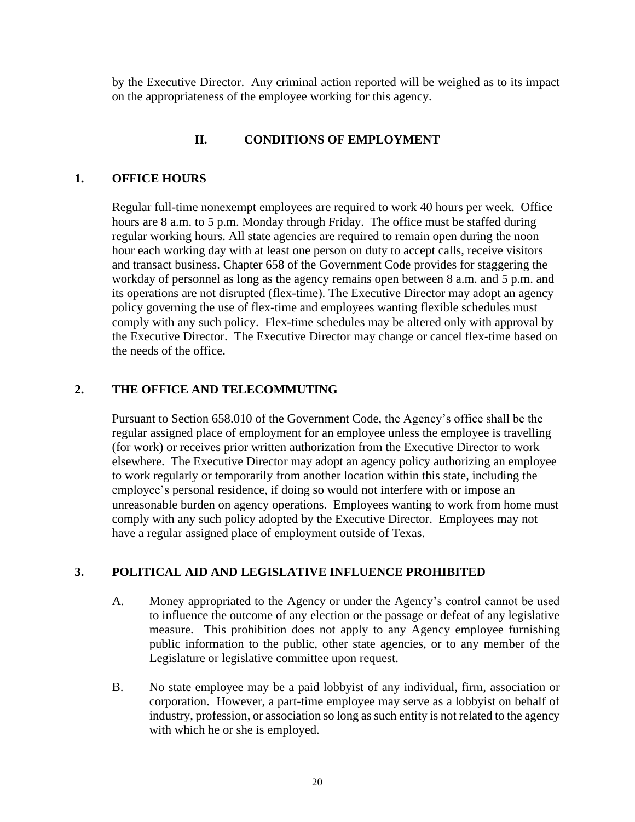by the Executive Director. Any criminal action reported will be weighed as to its impact on the appropriateness of the employee working for this agency.

## **II. CONDITIONS OF EMPLOYMENT**

#### <span id="page-19-1"></span><span id="page-19-0"></span>**1. OFFICE HOURS**

Regular full-time nonexempt employees are required to work 40 hours per week. Office hours are 8 a.m. to 5 p.m. Monday through Friday. The office must be staffed during regular working hours. All state agencies are required to remain open during the noon hour each working day with at least one person on duty to accept calls, receive visitors and transact business. Chapter 658 of the Government Code provides for staggering the workday of personnel as long as the agency remains open between 8 a.m. and 5 p.m. and its operations are not disrupted (flex-time). The Executive Director may adopt an agency policy governing the use of flex-time and employees wanting flexible schedules must comply with any such policy. Flex-time schedules may be altered only with approval by the Executive Director. The Executive Director may change or cancel flex-time based on the needs of the office.

#### <span id="page-19-2"></span>**2. THE OFFICE AND TELECOMMUTING**

Pursuant to Section 658.010 of the Government Code, the Agency's office shall be the regular assigned place of employment for an employee unless the employee is travelling (for work) or receives prior written authorization from the Executive Director to work elsewhere. The Executive Director may adopt an agency policy authorizing an employee to work regularly or temporarily from another location within this state, including the employee's personal residence, if doing so would not interfere with or impose an unreasonable burden on agency operations. Employees wanting to work from home must comply with any such policy adopted by the Executive Director. Employees may not have a regular assigned place of employment outside of Texas.

#### <span id="page-19-3"></span>**3. POLITICAL AID AND LEGISLATIVE INFLUENCE PROHIBITED**

- A. Money appropriated to the Agency or under the Agency's control cannot be used to influence the outcome of any election or the passage or defeat of any legislative measure. This prohibition does not apply to any Agency employee furnishing public information to the public, other state agencies, or to any member of the Legislature or legislative committee upon request.
- B. No state employee may be a paid lobbyist of any individual, firm, association or corporation. However, a part-time employee may serve as a lobbyist on behalf of industry, profession, or association so long as such entity is not related to the agency with which he or she is employed.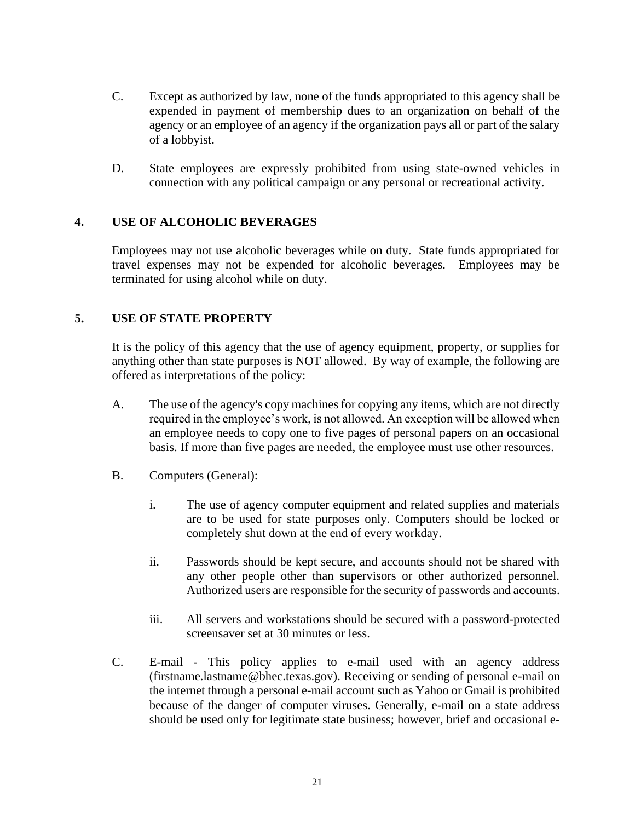- C. Except as authorized by law, none of the funds appropriated to this agency shall be expended in payment of membership dues to an organization on behalf of the agency or an employee of an agency if the organization pays all or part of the salary of a lobbyist.
- D. State employees are expressly prohibited from using state-owned vehicles in connection with any political campaign or any personal or recreational activity.

#### <span id="page-20-0"></span>**4. USE OF ALCOHOLIC BEVERAGES**

Employees may not use alcoholic beverages while on duty. State funds appropriated for travel expenses may not be expended for alcoholic beverages. Employees may be terminated for using alcohol while on duty.

#### <span id="page-20-1"></span>**5. USE OF STATE PROPERTY**

It is the policy of this agency that the use of agency equipment, property, or supplies for anything other than state purposes is NOT allowed. By way of example, the following are offered as interpretations of the policy:

- A. The use of the agency's copy machines for copying any items, which are not directly required in the employee's work, is not allowed. An exception will be allowed when an employee needs to copy one to five pages of personal papers on an occasional basis. If more than five pages are needed, the employee must use other resources.
- B. Computers (General):
	- i. The use of agency computer equipment and related supplies and materials are to be used for state purposes only. Computers should be locked or completely shut down at the end of every workday.
	- ii. Passwords should be kept secure, and accounts should not be shared with any other people other than supervisors or other authorized personnel. Authorized users are responsible for the security of passwords and accounts.
	- iii. All servers and workstations should be secured with a password-protected screensaver set at 30 minutes or less.
- C. E-mail This policy applies to e-mail used with an agency address (firstname.lastname@bhec.texas.gov). Receiving or sending of personal e-mail on the internet through a personal e-mail account such as Yahoo or Gmail is prohibited because of the danger of computer viruses. Generally, e-mail on a state address should be used only for legitimate state business; however, brief and occasional e-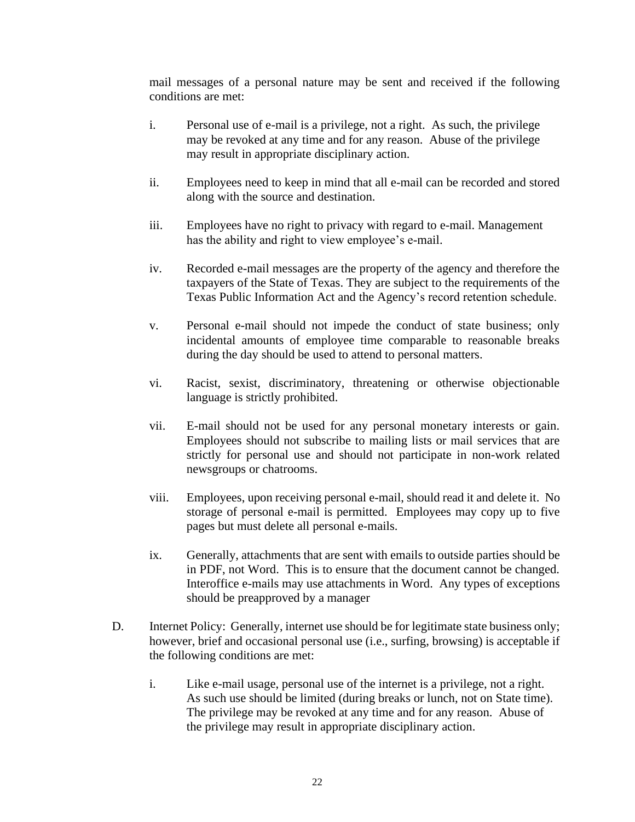mail messages of a personal nature may be sent and received if the following conditions are met:

- i. Personal use of e-mail is a privilege, not a right. As such, the privilege may be revoked at any time and for any reason. Abuse of the privilege may result in appropriate disciplinary action.
- ii. Employees need to keep in mind that all e-mail can be recorded and stored along with the source and destination.
- iii. Employees have no right to privacy with regard to e-mail. Management has the ability and right to view employee's e-mail.
- iv. Recorded e-mail messages are the property of the agency and therefore the taxpayers of the State of Texas. They are subject to the requirements of the Texas Public Information Act and the Agency's record retention schedule.
- v. Personal e-mail should not impede the conduct of state business; only incidental amounts of employee time comparable to reasonable breaks during the day should be used to attend to personal matters.
- vi. Racist, sexist, discriminatory, threatening or otherwise objectionable language is strictly prohibited.
- vii. E-mail should not be used for any personal monetary interests or gain. Employees should not subscribe to mailing lists or mail services that are strictly for personal use and should not participate in non-work related newsgroups or chatrooms.
- viii. Employees, upon receiving personal e-mail, should read it and delete it. No storage of personal e-mail is permitted. Employees may copy up to five pages but must delete all personal e-mails.
- ix. Generally, attachments that are sent with emails to outside parties should be in PDF, not Word. This is to ensure that the document cannot be changed. Interoffice e-mails may use attachments in Word. Any types of exceptions should be preapproved by a manager
- D. Internet Policy: Generally, internet use should be for legitimate state business only; however, brief and occasional personal use (i.e., surfing, browsing) is acceptable if the following conditions are met:
	- i. Like e-mail usage, personal use of the internet is a privilege, not a right. As such use should be limited (during breaks or lunch, not on State time). The privilege may be revoked at any time and for any reason. Abuse of the privilege may result in appropriate disciplinary action.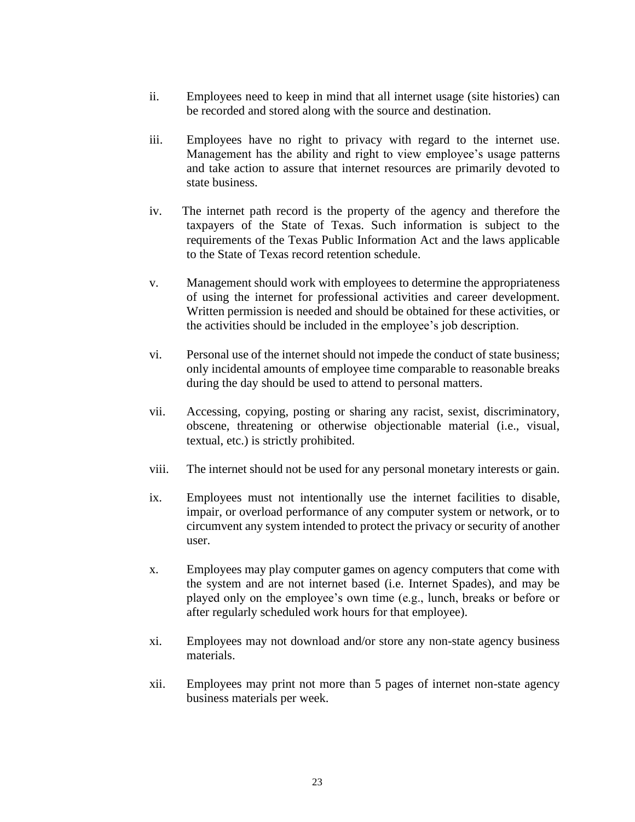- ii. Employees need to keep in mind that all internet usage (site histories) can be recorded and stored along with the source and destination.
- iii. Employees have no right to privacy with regard to the internet use. Management has the ability and right to view employee's usage patterns and take action to assure that internet resources are primarily devoted to state business.
- iv. The internet path record is the property of the agency and therefore the taxpayers of the State of Texas. Such information is subject to the requirements of the Texas Public Information Act and the laws applicable to the State of Texas record retention schedule.
- v. Management should work with employees to determine the appropriateness of using the internet for professional activities and career development. Written permission is needed and should be obtained for these activities, or the activities should be included in the employee's job description.
- vi. Personal use of the internet should not impede the conduct of state business; only incidental amounts of employee time comparable to reasonable breaks during the day should be used to attend to personal matters.
- vii. Accessing, copying, posting or sharing any racist, sexist, discriminatory, obscene, threatening or otherwise objectionable material (i.e., visual, textual, etc.) is strictly prohibited.
- viii. The internet should not be used for any personal monetary interests or gain.
- ix. Employees must not intentionally use the internet facilities to disable, impair, or overload performance of any computer system or network, or to circumvent any system intended to protect the privacy or security of another user.
- x. Employees may play computer games on agency computers that come with the system and are not internet based (i.e. Internet Spades), and may be played only on the employee's own time (e.g., lunch, breaks or before or after regularly scheduled work hours for that employee).
- xi. Employees may not download and/or store any non-state agency business materials.
- xii. Employees may print not more than 5 pages of internet non-state agency business materials per week.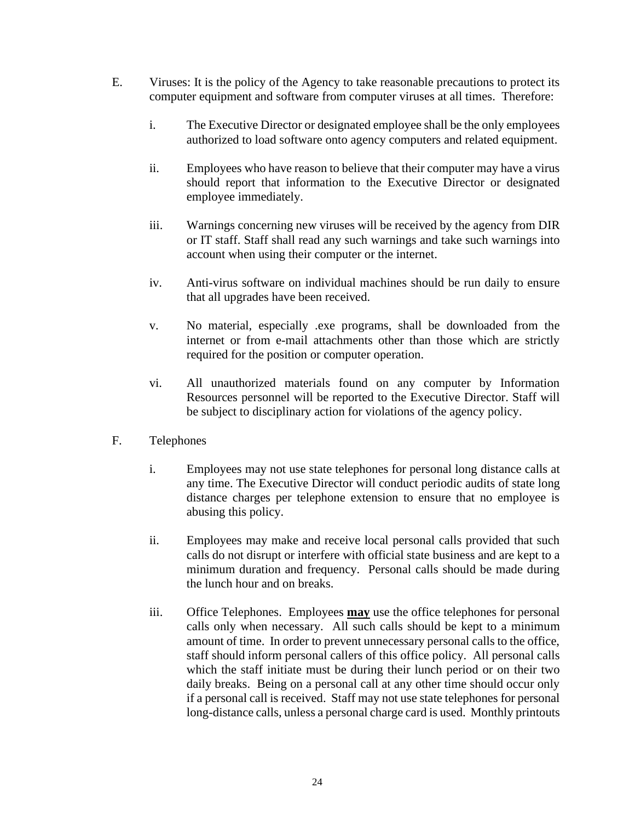- E. Viruses: It is the policy of the Agency to take reasonable precautions to protect its computer equipment and software from computer viruses at all times. Therefore:
	- i. The Executive Director or designated employee shall be the only employees authorized to load software onto agency computers and related equipment.
	- ii. Employees who have reason to believe that their computer may have a virus should report that information to the Executive Director or designated employee immediately.
	- iii. Warnings concerning new viruses will be received by the agency from DIR or IT staff. Staff shall read any such warnings and take such warnings into account when using their computer or the internet.
	- iv. Anti-virus software on individual machines should be run daily to ensure that all upgrades have been received.
	- v. No material, especially .exe programs, shall be downloaded from the internet or from e-mail attachments other than those which are strictly required for the position or computer operation.
	- vi. All unauthorized materials found on any computer by Information Resources personnel will be reported to the Executive Director. Staff will be subject to disciplinary action for violations of the agency policy.
- F. Telephones
	- i. Employees may not use state telephones for personal long distance calls at any time. The Executive Director will conduct periodic audits of state long distance charges per telephone extension to ensure that no employee is abusing this policy.
	- ii. Employees may make and receive local personal calls provided that such calls do not disrupt or interfere with official state business and are kept to a minimum duration and frequency. Personal calls should be made during the lunch hour and on breaks.
	- iii. Office Telephones. Employees **may** use the office telephones for personal calls only when necessary. All such calls should be kept to a minimum amount of time. In order to prevent unnecessary personal calls to the office, staff should inform personal callers of this office policy. All personal calls which the staff initiate must be during their lunch period or on their two daily breaks. Being on a personal call at any other time should occur only if a personal call is received. Staff may not use state telephones for personal long-distance calls, unless a personal charge card is used. Monthly printouts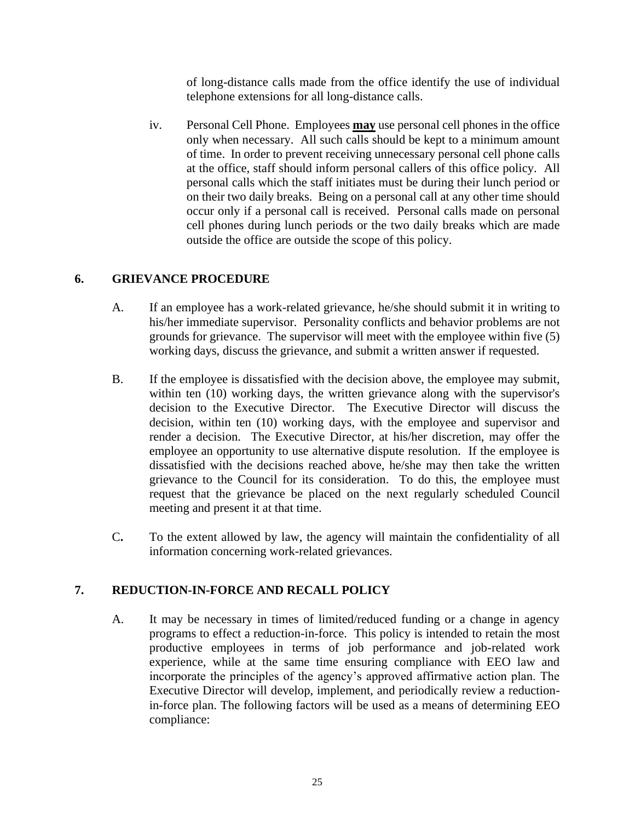of long-distance calls made from the office identify the use of individual telephone extensions for all long-distance calls.

iv. Personal Cell Phone. Employees **may** use personal cell phones in the office only when necessary. All such calls should be kept to a minimum amount of time. In order to prevent receiving unnecessary personal cell phone calls at the office, staff should inform personal callers of this office policy. All personal calls which the staff initiates must be during their lunch period or on their two daily breaks. Being on a personal call at any other time should occur only if a personal call is received. Personal calls made on personal cell phones during lunch periods or the two daily breaks which are made outside the office are outside the scope of this policy.

## <span id="page-24-0"></span>**6. GRIEVANCE PROCEDURE**

- A. If an employee has a work-related grievance, he/she should submit it in writing to his/her immediate supervisor. Personality conflicts and behavior problems are not grounds for grievance. The supervisor will meet with the employee within five (5) working days, discuss the grievance, and submit a written answer if requested.
- B. If the employee is dissatisfied with the decision above, the employee may submit, within ten (10) working days, the written grievance along with the supervisor's decision to the Executive Director. The Executive Director will discuss the decision, within ten (10) working days, with the employee and supervisor and render a decision. The Executive Director, at his/her discretion, may offer the employee an opportunity to use alternative dispute resolution. If the employee is dissatisfied with the decisions reached above, he/she may then take the written grievance to the Council for its consideration. To do this, the employee must request that the grievance be placed on the next regularly scheduled Council meeting and present it at that time.
- C**.** To the extent allowed by law, the agency will maintain the confidentiality of all information concerning work-related grievances.

# <span id="page-24-1"></span>**7. REDUCTION-IN-FORCE AND RECALL POLICY**

A. It may be necessary in times of limited/reduced funding or a change in agency programs to effect a reduction-in-force. This policy is intended to retain the most productive employees in terms of job performance and job-related work experience, while at the same time ensuring compliance with EEO law and incorporate the principles of the agency's approved affirmative action plan. The Executive Director will develop, implement, and periodically review a reductionin-force plan. The following factors will be used as a means of determining EEO compliance: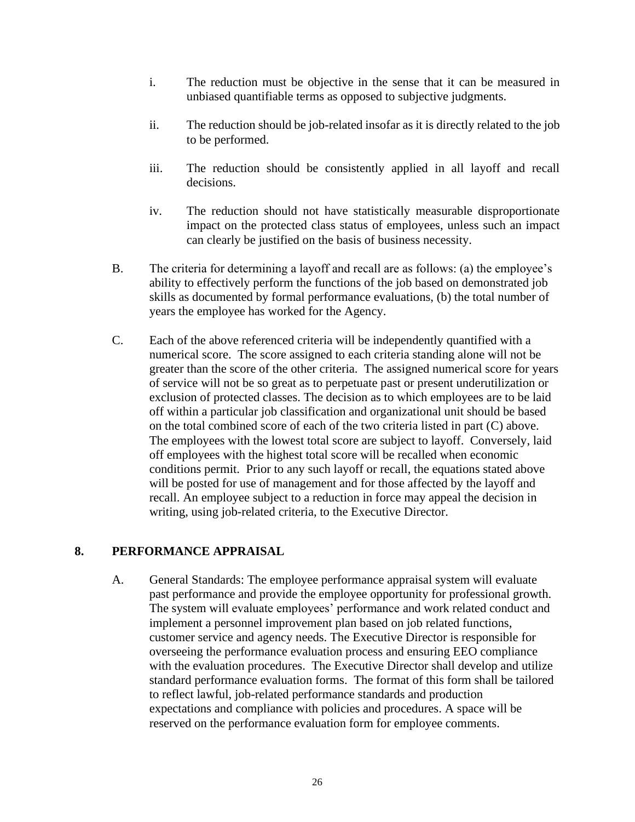- i. The reduction must be objective in the sense that it can be measured in unbiased quantifiable terms as opposed to subjective judgments.
- ii. The reduction should be job-related insofar as it is directly related to the job to be performed.
- iii. The reduction should be consistently applied in all layoff and recall decisions.
- iv. The reduction should not have statistically measurable disproportionate impact on the protected class status of employees, unless such an impact can clearly be justified on the basis of business necessity.
- B. The criteria for determining a layoff and recall are as follows: (a) the employee's ability to effectively perform the functions of the job based on demonstrated job skills as documented by formal performance evaluations, (b) the total number of years the employee has worked for the Agency.
- C. Each of the above referenced criteria will be independently quantified with a numerical score. The score assigned to each criteria standing alone will not be greater than the score of the other criteria. The assigned numerical score for years of service will not be so great as to perpetuate past or present underutilization or exclusion of protected classes. The decision as to which employees are to be laid off within a particular job classification and organizational unit should be based on the total combined score of each of the two criteria listed in part (C) above. The employees with the lowest total score are subject to layoff. Conversely, laid off employees with the highest total score will be recalled when economic conditions permit. Prior to any such layoff or recall, the equations stated above will be posted for use of management and for those affected by the layoff and recall. An employee subject to a reduction in force may appeal the decision in writing, using job-related criteria, to the Executive Director.

## <span id="page-25-0"></span>**8. PERFORMANCE APPRAISAL**

A. General Standards: The employee performance appraisal system will evaluate past performance and provide the employee opportunity for professional growth. The system will evaluate employees' performance and work related conduct and implement a personnel improvement plan based on job related functions, customer service and agency needs. The Executive Director is responsible for overseeing the performance evaluation process and ensuring EEO compliance with the evaluation procedures. The Executive Director shall develop and utilize standard performance evaluation forms. The format of this form shall be tailored to reflect lawful, job-related performance standards and production expectations and compliance with policies and procedures. A space will be reserved on the performance evaluation form for employee comments.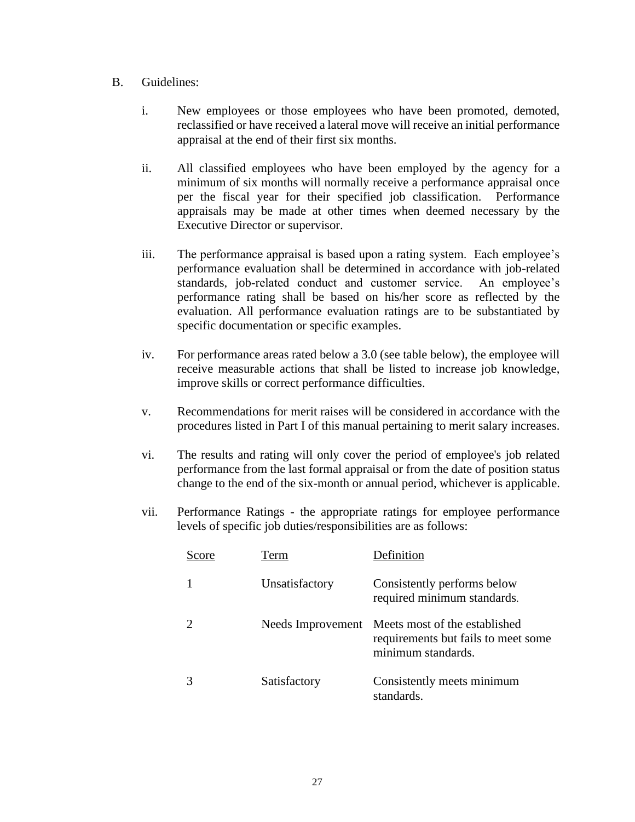#### B. Guidelines:

- i. New employees or those employees who have been promoted, demoted, reclassified or have received a lateral move will receive an initial performance appraisal at the end of their first six months.
- ii. All classified employees who have been employed by the agency for a minimum of six months will normally receive a performance appraisal once per the fiscal year for their specified job classification. Performance appraisals may be made at other times when deemed necessary by the Executive Director or supervisor.
- iii. The performance appraisal is based upon a rating system. Each employee's performance evaluation shall be determined in accordance with job-related standards, job-related conduct and customer service. An employee's performance rating shall be based on his/her score as reflected by the evaluation. All performance evaluation ratings are to be substantiated by specific documentation or specific examples.
- iv. For performance areas rated below a 3.0 (see table below), the employee will receive measurable actions that shall be listed to increase job knowledge, improve skills or correct performance difficulties.
- v. Recommendations for merit raises will be considered in accordance with the procedures listed in Part I of this manual pertaining to merit salary increases.
- vi. The results and rating will only cover the period of employee's job related performance from the last formal appraisal or from the date of position status change to the end of the six-month or annual period, whichever is applicable.
- vii. Performance Ratings the appropriate ratings for employee performance levels of specific job duties/responsibilities are as follows:

| Score | Term              | Definition                                                                                 |
|-------|-------------------|--------------------------------------------------------------------------------------------|
| 1     | Unsatisfactory    | Consistently performs below<br>required minimum standards.                                 |
| 2     | Needs Improvement | Meets most of the established<br>requirements but fails to meet some<br>minimum standards. |
| 3     | Satisfactory      | Consistently meets minimum<br>standards.                                                   |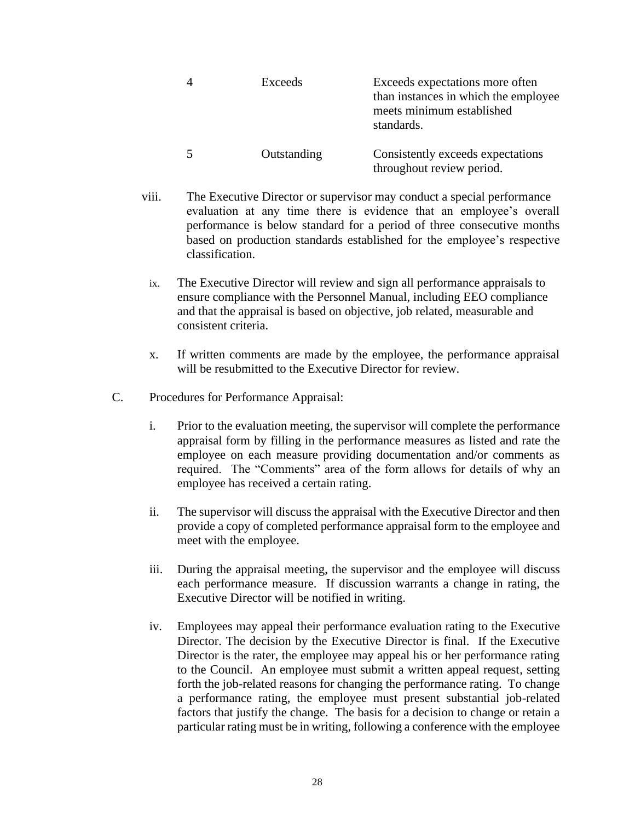|   | Exceeds     | Exceeds expectations more often<br>than instances in which the employee<br>meets minimum established<br>standards. |
|---|-------------|--------------------------------------------------------------------------------------------------------------------|
| 5 | Outstanding | Consistently exceeds expectations<br>throughout review period.                                                     |

- viii. The Executive Director or supervisor may conduct a special performance evaluation at any time there is evidence that an employee's overall performance is below standard for a period of three consecutive months based on production standards established for the employee's respective classification.
	- ix. The Executive Director will review and sign all performance appraisals to ensure compliance with the Personnel Manual, including EEO compliance and that the appraisal is based on objective, job related, measurable and consistent criteria.
	- x. If written comments are made by the employee, the performance appraisal will be resubmitted to the Executive Director for review.
- C. Procedures for Performance Appraisal:
	- i. Prior to the evaluation meeting, the supervisor will complete the performance appraisal form by filling in the performance measures as listed and rate the employee on each measure providing documentation and/or comments as required. The "Comments" area of the form allows for details of why an employee has received a certain rating.
	- ii. The supervisor will discuss the appraisal with the Executive Director and then provide a copy of completed performance appraisal form to the employee and meet with the employee.
	- iii. During the appraisal meeting, the supervisor and the employee will discuss each performance measure. If discussion warrants a change in rating, the Executive Director will be notified in writing.
	- iv. Employees may appeal their performance evaluation rating to the Executive Director. The decision by the Executive Director is final. If the Executive Director is the rater, the employee may appeal his or her performance rating to the Council. An employee must submit a written appeal request, setting forth the job-related reasons for changing the performance rating. To change a performance rating, the employee must present substantial job-related factors that justify the change. The basis for a decision to change or retain a particular rating must be in writing, following a conference with the employee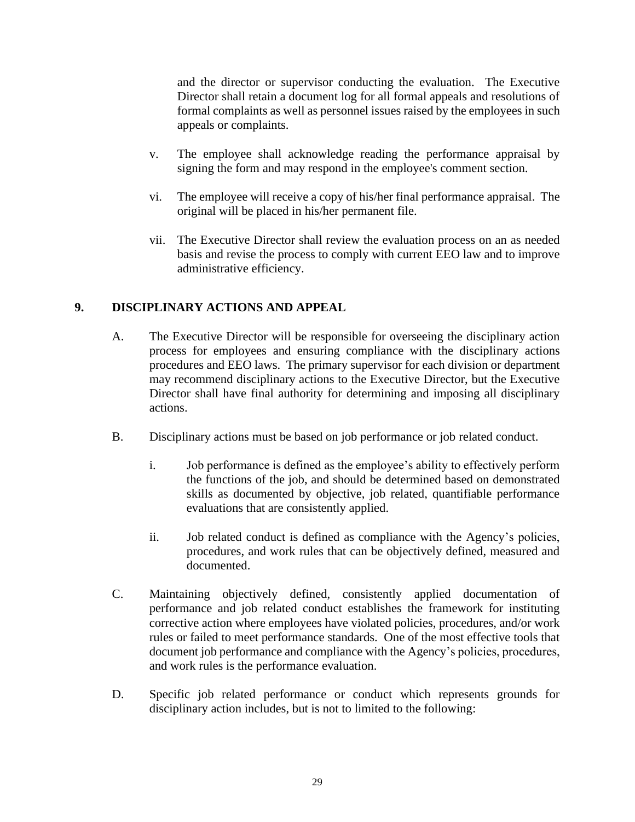and the director or supervisor conducting the evaluation. The Executive Director shall retain a document log for all formal appeals and resolutions of formal complaints as well as personnel issues raised by the employees in such appeals or complaints.

- v. The employee shall acknowledge reading the performance appraisal by signing the form and may respond in the employee's comment section.
- vi. The employee will receive a copy of his/her final performance appraisal. The original will be placed in his/her permanent file.
- vii. The Executive Director shall review the evaluation process on an as needed basis and revise the process to comply with current EEO law and to improve administrative efficiency.

# <span id="page-28-0"></span>**9. DISCIPLINARY ACTIONS AND APPEAL**

- A. The Executive Director will be responsible for overseeing the disciplinary action process for employees and ensuring compliance with the disciplinary actions procedures and EEO laws. The primary supervisor for each division or department may recommend disciplinary actions to the Executive Director, but the Executive Director shall have final authority for determining and imposing all disciplinary actions.
- B. Disciplinary actions must be based on job performance or job related conduct.
	- i. Job performance is defined as the employee's ability to effectively perform the functions of the job, and should be determined based on demonstrated skills as documented by objective, job related, quantifiable performance evaluations that are consistently applied.
	- ii. Job related conduct is defined as compliance with the Agency's policies, procedures, and work rules that can be objectively defined, measured and documented.
- C. Maintaining objectively defined, consistently applied documentation of performance and job related conduct establishes the framework for instituting corrective action where employees have violated policies, procedures, and/or work rules or failed to meet performance standards. One of the most effective tools that document job performance and compliance with the Agency's policies, procedures, and work rules is the performance evaluation.
- D. Specific job related performance or conduct which represents grounds for disciplinary action includes, but is not to limited to the following: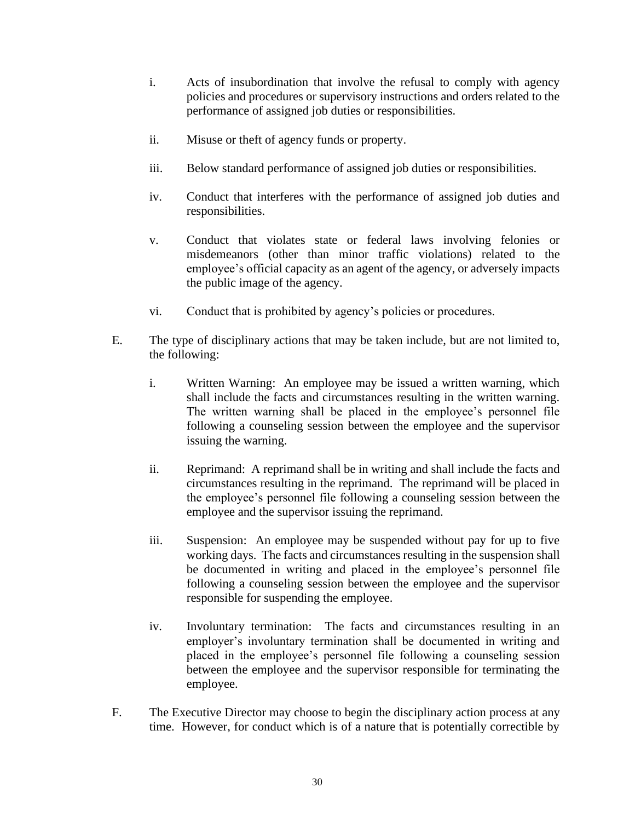- i. Acts of insubordination that involve the refusal to comply with agency policies and procedures or supervisory instructions and orders related to the performance of assigned job duties or responsibilities.
- ii. Misuse or theft of agency funds or property.
- iii. Below standard performance of assigned job duties or responsibilities.
- iv. Conduct that interferes with the performance of assigned job duties and responsibilities.
- v. Conduct that violates state or federal laws involving felonies or misdemeanors (other than minor traffic violations) related to the employee's official capacity as an agent of the agency, or adversely impacts the public image of the agency.
- vi. Conduct that is prohibited by agency's policies or procedures.
- E. The type of disciplinary actions that may be taken include, but are not limited to, the following:
	- i. Written Warning: An employee may be issued a written warning, which shall include the facts and circumstances resulting in the written warning. The written warning shall be placed in the employee's personnel file following a counseling session between the employee and the supervisor issuing the warning.
	- ii. Reprimand: A reprimand shall be in writing and shall include the facts and circumstances resulting in the reprimand. The reprimand will be placed in the employee's personnel file following a counseling session between the employee and the supervisor issuing the reprimand.
	- iii. Suspension: An employee may be suspended without pay for up to five working days. The facts and circumstances resulting in the suspension shall be documented in writing and placed in the employee's personnel file following a counseling session between the employee and the supervisor responsible for suspending the employee.
	- iv. Involuntary termination: The facts and circumstances resulting in an employer's involuntary termination shall be documented in writing and placed in the employee's personnel file following a counseling session between the employee and the supervisor responsible for terminating the employee.
- F. The Executive Director may choose to begin the disciplinary action process at any time. However, for conduct which is of a nature that is potentially correctible by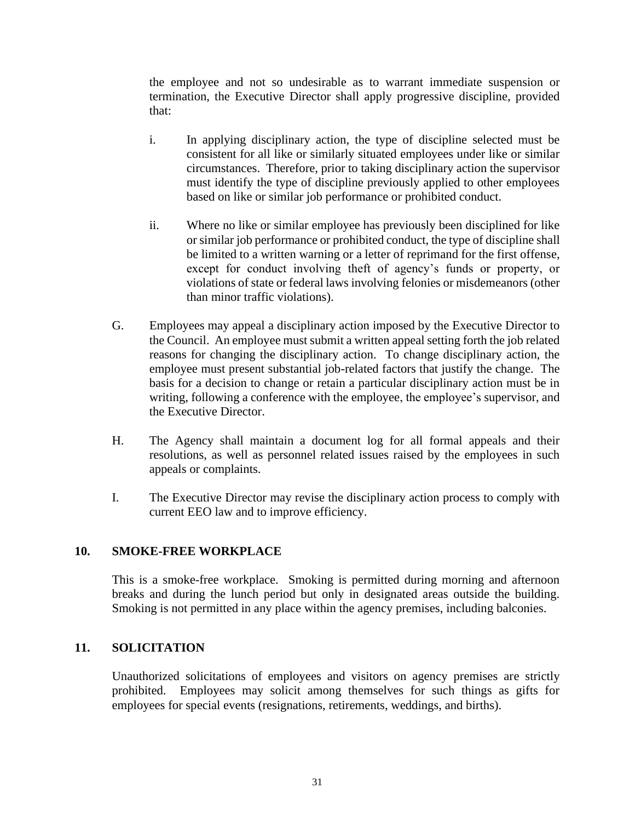the employee and not so undesirable as to warrant immediate suspension or termination, the Executive Director shall apply progressive discipline, provided that:

- i. In applying disciplinary action, the type of discipline selected must be consistent for all like or similarly situated employees under like or similar circumstances. Therefore, prior to taking disciplinary action the supervisor must identify the type of discipline previously applied to other employees based on like or similar job performance or prohibited conduct.
- ii. Where no like or similar employee has previously been disciplined for like or similar job performance or prohibited conduct, the type of discipline shall be limited to a written warning or a letter of reprimand for the first offense, except for conduct involving theft of agency's funds or property, or violations of state or federal laws involving felonies or misdemeanors (other than minor traffic violations).
- G. Employees may appeal a disciplinary action imposed by the Executive Director to the Council. An employee must submit a written appeal setting forth the job related reasons for changing the disciplinary action. To change disciplinary action, the employee must present substantial job-related factors that justify the change. The basis for a decision to change or retain a particular disciplinary action must be in writing, following a conference with the employee, the employee's supervisor, and the Executive Director.
- H. The Agency shall maintain a document log for all formal appeals and their resolutions, as well as personnel related issues raised by the employees in such appeals or complaints.
- I. The Executive Director may revise the disciplinary action process to comply with current EEO law and to improve efficiency.

## <span id="page-30-0"></span>**10. SMOKE-FREE WORKPLACE**

This is a smoke-free workplace. Smoking is permitted during morning and afternoon breaks and during the lunch period but only in designated areas outside the building. Smoking is not permitted in any place within the agency premises, including balconies.

#### <span id="page-30-1"></span>**11. SOLICITATION**

Unauthorized solicitations of employees and visitors on agency premises are strictly prohibited. Employees may solicit among themselves for such things as gifts for employees for special events (resignations, retirements, weddings, and births).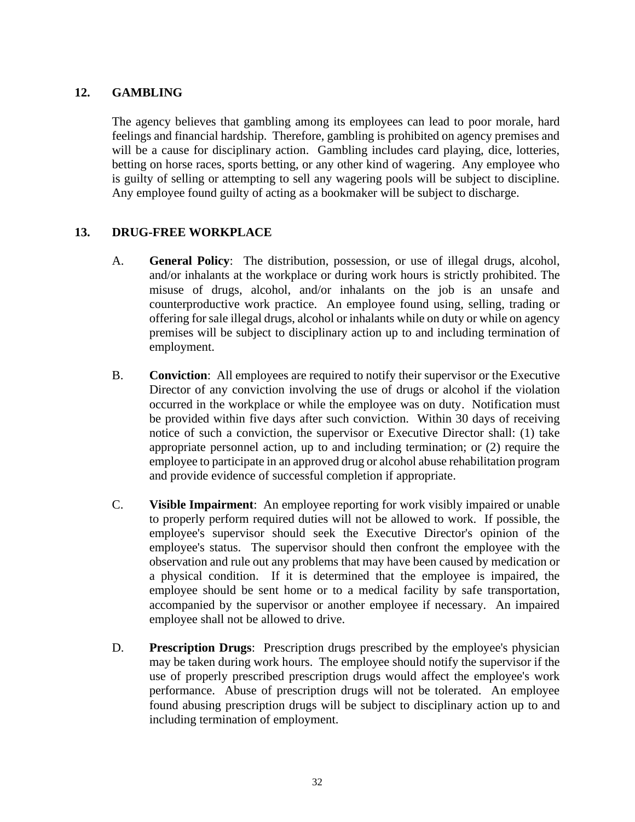#### <span id="page-31-0"></span>**12. GAMBLING**

The agency believes that gambling among its employees can lead to poor morale, hard feelings and financial hardship. Therefore, gambling is prohibited on agency premises and will be a cause for disciplinary action. Gambling includes card playing, dice, lotteries, betting on horse races, sports betting, or any other kind of wagering. Any employee who is guilty of selling or attempting to sell any wagering pools will be subject to discipline. Any employee found guilty of acting as a bookmaker will be subject to discharge.

#### <span id="page-31-1"></span>**13. DRUG-FREE WORKPLACE**

- A. **General Policy**: The distribution, possession, or use of illegal drugs, alcohol, and/or inhalants at the workplace or during work hours is strictly prohibited. The misuse of drugs, alcohol, and/or inhalants on the job is an unsafe and counterproductive work practice. An employee found using, selling, trading or offering for sale illegal drugs, alcohol or inhalants while on duty or while on agency premises will be subject to disciplinary action up to and including termination of employment.
- B. **Conviction**: All employees are required to notify their supervisor or the Executive Director of any conviction involving the use of drugs or alcohol if the violation occurred in the workplace or while the employee was on duty. Notification must be provided within five days after such conviction. Within 30 days of receiving notice of such a conviction, the supervisor or Executive Director shall: (1) take appropriate personnel action, up to and including termination; or (2) require the employee to participate in an approved drug or alcohol abuse rehabilitation program and provide evidence of successful completion if appropriate.
- C. **Visible Impairment**: An employee reporting for work visibly impaired or unable to properly perform required duties will not be allowed to work. If possible, the employee's supervisor should seek the Executive Director's opinion of the employee's status. The supervisor should then confront the employee with the observation and rule out any problems that may have been caused by medication or a physical condition. If it is determined that the employee is impaired, the employee should be sent home or to a medical facility by safe transportation, accompanied by the supervisor or another employee if necessary. An impaired employee shall not be allowed to drive.
- D. **Prescription Drugs**: Prescription drugs prescribed by the employee's physician may be taken during work hours. The employee should notify the supervisor if the use of properly prescribed prescription drugs would affect the employee's work performance. Abuse of prescription drugs will not be tolerated. An employee found abusing prescription drugs will be subject to disciplinary action up to and including termination of employment.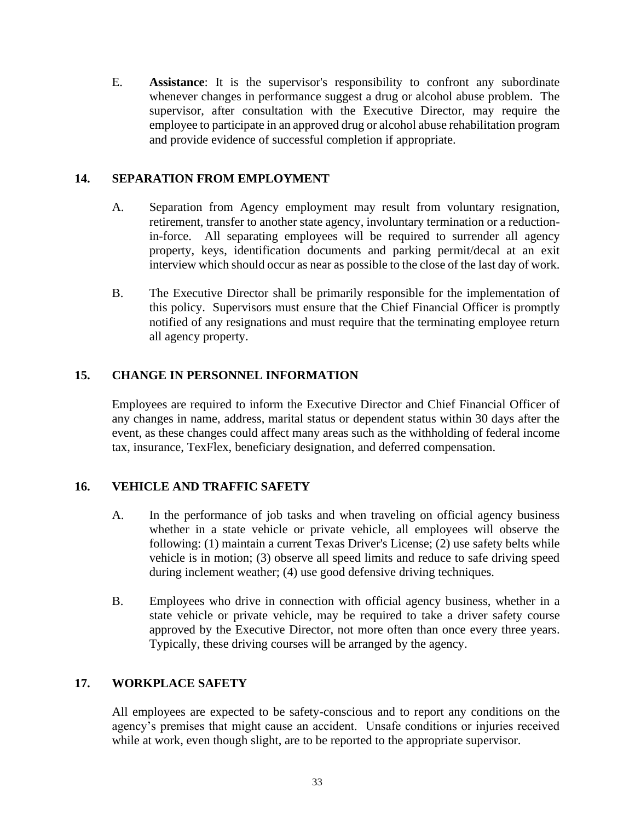E. **Assistance**: It is the supervisor's responsibility to confront any subordinate whenever changes in performance suggest a drug or alcohol abuse problem. The supervisor, after consultation with the Executive Director, may require the employee to participate in an approved drug or alcohol abuse rehabilitation program and provide evidence of successful completion if appropriate.

#### <span id="page-32-0"></span>**14. SEPARATION FROM EMPLOYMENT**

- A. Separation from Agency employment may result from voluntary resignation, retirement, transfer to another state agency, involuntary termination or a reductionin-force. All separating employees will be required to surrender all agency property, keys, identification documents and parking permit/decal at an exit interview which should occur as near as possible to the close of the last day of work.
- B. The Executive Director shall be primarily responsible for the implementation of this policy. Supervisors must ensure that the Chief Financial Officer is promptly notified of any resignations and must require that the terminating employee return all agency property.

## <span id="page-32-1"></span>**15. CHANGE IN PERSONNEL INFORMATION**

Employees are required to inform the Executive Director and Chief Financial Officer of any changes in name, address, marital status or dependent status within 30 days after the event, as these changes could affect many areas such as the withholding of federal income tax, insurance, TexFlex, beneficiary designation, and deferred compensation.

#### <span id="page-32-2"></span>**16. VEHICLE AND TRAFFIC SAFETY**

- A. In the performance of job tasks and when traveling on official agency business whether in a state vehicle or private vehicle, all employees will observe the following: (1) maintain a current Texas Driver's License; (2) use safety belts while vehicle is in motion; (3) observe all speed limits and reduce to safe driving speed during inclement weather; (4) use good defensive driving techniques.
- B. Employees who drive in connection with official agency business, whether in a state vehicle or private vehicle, may be required to take a driver safety course approved by the Executive Director, not more often than once every three years. Typically, these driving courses will be arranged by the agency.

#### <span id="page-32-3"></span>**17. WORKPLACE SAFETY**

All employees are expected to be safety-conscious and to report any conditions on the agency's premises that might cause an accident. Unsafe conditions or injuries received while at work, even though slight, are to be reported to the appropriate supervisor.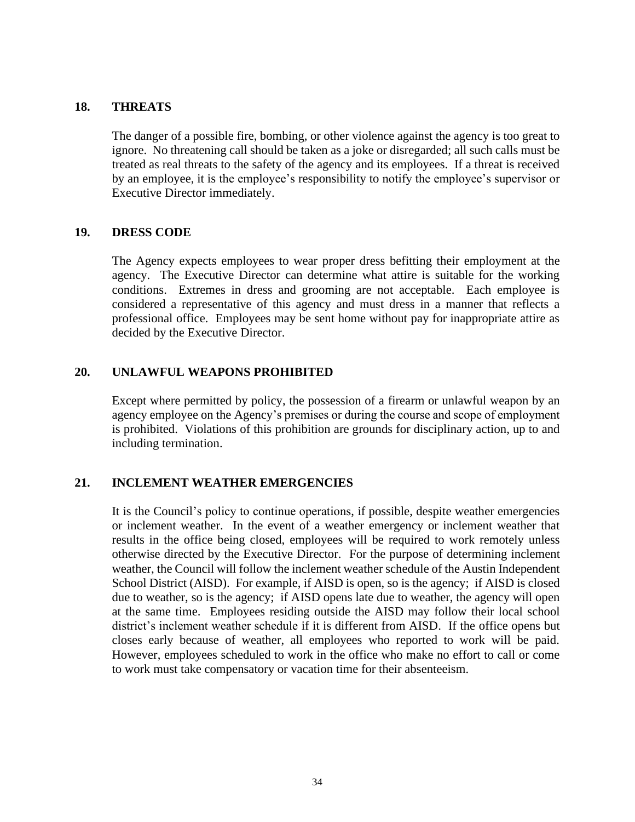#### <span id="page-33-0"></span>**18. THREATS**

The danger of a possible fire, bombing, or other violence against the agency is too great to ignore. No threatening call should be taken as a joke or disregarded; all such calls must be treated as real threats to the safety of the agency and its employees. If a threat is received by an employee, it is the employee's responsibility to notify the employee's supervisor or Executive Director immediately.

#### <span id="page-33-1"></span>**19. DRESS CODE**

The Agency expects employees to wear proper dress befitting their employment at the agency. The Executive Director can determine what attire is suitable for the working conditions. Extremes in dress and grooming are not acceptable. Each employee is considered a representative of this agency and must dress in a manner that reflects a professional office. Employees may be sent home without pay for inappropriate attire as decided by the Executive Director.

#### <span id="page-33-2"></span>**20. UNLAWFUL WEAPONS PROHIBITED**

Except where permitted by policy, the possession of a firearm or unlawful weapon by an agency employee on the Agency's premises or during the course and scope of employment is prohibited. Violations of this prohibition are grounds for disciplinary action, up to and including termination.

#### <span id="page-33-3"></span>**21. INCLEMENT WEATHER EMERGENCIES**

It is the Council's policy to continue operations, if possible, despite weather emergencies or inclement weather. In the event of a weather emergency or inclement weather that results in the office being closed, employees will be required to work remotely unless otherwise directed by the Executive Director. For the purpose of determining inclement weather, the Council will follow the inclement weather schedule of the Austin Independent School District (AISD). For example, if AISD is open, so is the agency; if AISD is closed due to weather, so is the agency; if AISD opens late due to weather, the agency will open at the same time. Employees residing outside the AISD may follow their local school district's inclement weather schedule if it is different from AISD. If the office opens but closes early because of weather, all employees who reported to work will be paid. However, employees scheduled to work in the office who make no effort to call or come to work must take compensatory or vacation time for their absenteeism.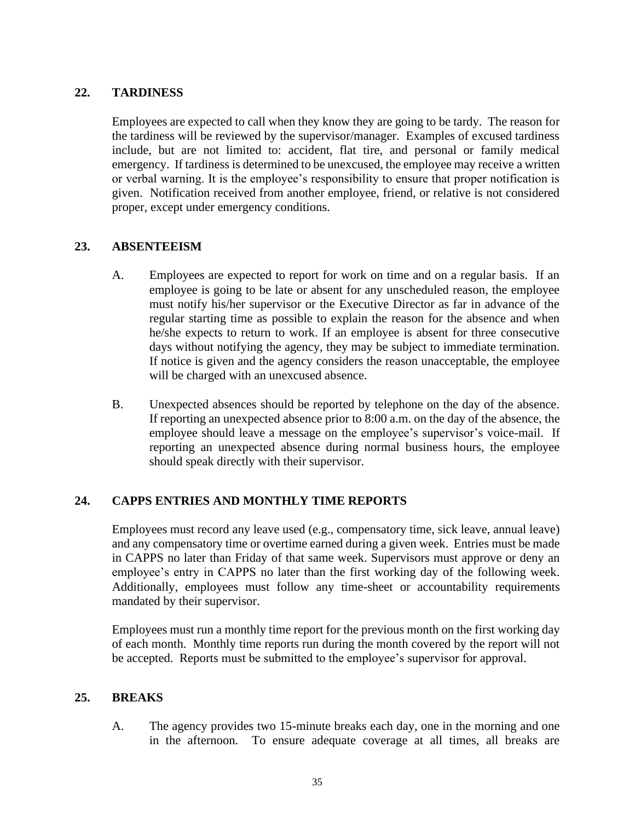#### <span id="page-34-0"></span>**22. TARDINESS**

Employees are expected to call when they know they are going to be tardy. The reason for the tardiness will be reviewed by the supervisor/manager. Examples of excused tardiness include, but are not limited to: accident, flat tire, and personal or family medical emergency. If tardiness is determined to be unexcused, the employee may receive a written or verbal warning. It is the employee's responsibility to ensure that proper notification is given. Notification received from another employee, friend, or relative is not considered proper, except under emergency conditions.

#### <span id="page-34-1"></span>**23. ABSENTEEISM**

- A. Employees are expected to report for work on time and on a regular basis. If an employee is going to be late or absent for any unscheduled reason, the employee must notify his/her supervisor or the Executive Director as far in advance of the regular starting time as possible to explain the reason for the absence and when he/she expects to return to work. If an employee is absent for three consecutive days without notifying the agency, they may be subject to immediate termination. If notice is given and the agency considers the reason unacceptable, the employee will be charged with an unexcused absence.
- B. Unexpected absences should be reported by telephone on the day of the absence. If reporting an unexpected absence prior to 8:00 a.m. on the day of the absence, the employee should leave a message on the employee's supervisor's voice-mail. If reporting an unexpected absence during normal business hours, the employee should speak directly with their supervisor.

## <span id="page-34-2"></span>**24. CAPPS ENTRIES AND MONTHLY TIME REPORTS**

Employees must record any leave used (e.g., compensatory time, sick leave, annual leave) and any compensatory time or overtime earned during a given week. Entries must be made in CAPPS no later than Friday of that same week. Supervisors must approve or deny an employee's entry in CAPPS no later than the first working day of the following week. Additionally, employees must follow any time-sheet or accountability requirements mandated by their supervisor.

Employees must run a monthly time report for the previous month on the first working day of each month. Monthly time reports run during the month covered by the report will not be accepted. Reports must be submitted to the employee's supervisor for approval.

#### <span id="page-34-3"></span>**25. BREAKS**

A. The agency provides two 15-minute breaks each day, one in the morning and one in the afternoon. To ensure adequate coverage at all times, all breaks are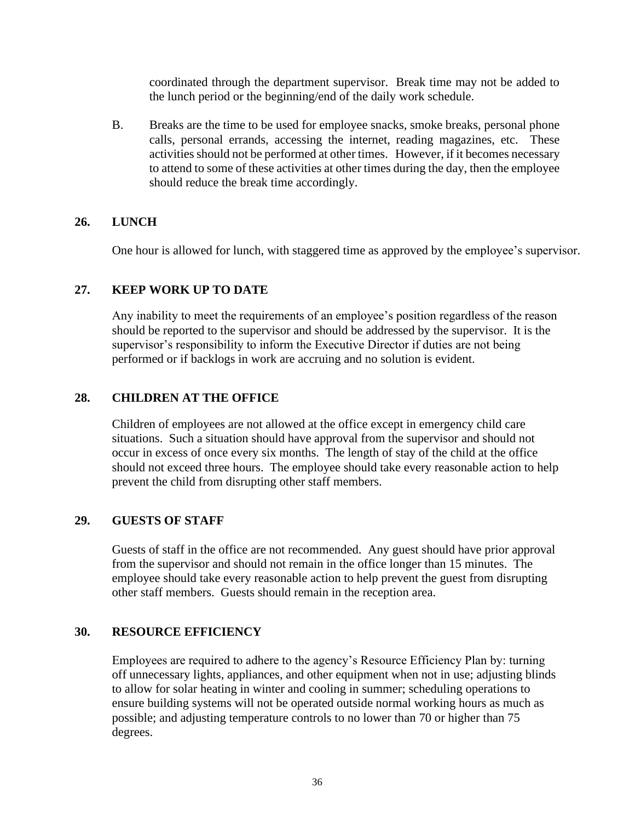coordinated through the department supervisor. Break time may not be added to the lunch period or the beginning/end of the daily work schedule.

B. Breaks are the time to be used for employee snacks, smoke breaks, personal phone calls, personal errands, accessing the internet, reading magazines, etc. These activities should not be performed at other times. However, if it becomes necessary to attend to some of these activities at other times during the day, then the employee should reduce the break time accordingly.

#### <span id="page-35-0"></span>**26. LUNCH**

One hour is allowed for lunch, with staggered time as approved by the employee's supervisor.

#### <span id="page-35-1"></span>**27. KEEP WORK UP TO DATE**

Any inability to meet the requirements of an employee's position regardless of the reason should be reported to the supervisor and should be addressed by the supervisor. It is the supervisor's responsibility to inform the Executive Director if duties are not being performed or if backlogs in work are accruing and no solution is evident.

#### <span id="page-35-2"></span>**28. CHILDREN AT THE OFFICE**

Children of employees are not allowed at the office except in emergency child care situations. Such a situation should have approval from the supervisor and should not occur in excess of once every six months. The length of stay of the child at the office should not exceed three hours. The employee should take every reasonable action to help prevent the child from disrupting other staff members.

#### <span id="page-35-3"></span>**29. GUESTS OF STAFF**

Guests of staff in the office are not recommended. Any guest should have prior approval from the supervisor and should not remain in the office longer than 15 minutes. The employee should take every reasonable action to help prevent the guest from disrupting other staff members. Guests should remain in the reception area.

#### <span id="page-35-4"></span>**30. RESOURCE EFFICIENCY**

Employees are required to adhere to the agency's Resource Efficiency Plan by: turning off unnecessary lights, appliances, and other equipment when not in use; adjusting blinds to allow for solar heating in winter and cooling in summer; scheduling operations to ensure building systems will not be operated outside normal working hours as much as possible; and adjusting temperature controls to no lower than 70 or higher than 75 degrees.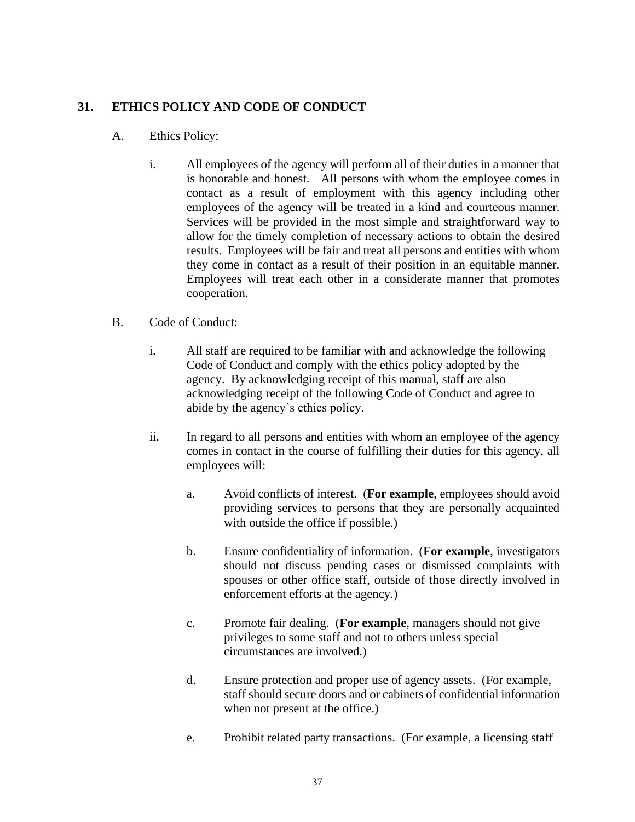#### <span id="page-36-0"></span>**31. ETHICS POLICY AND CODE OF CONDUCT**

- A. Ethics Policy:
	- i. All employees of the agency will perform all of their duties in a manner that is honorable and honest. All persons with whom the employee comes in contact as a result of employment with this agency including other employees of the agency will be treated in a kind and courteous manner. Services will be provided in the most simple and straightforward way to allow for the timely completion of necessary actions to obtain the desired results. Employees will be fair and treat all persons and entities with whom they come in contact as a result of their position in an equitable manner. Employees will treat each other in a considerate manner that promotes cooperation.
- B. Code of Conduct:
	- i. All staff are required to be familiar with and acknowledge the following Code of Conduct and comply with the ethics policy adopted by the agency. By acknowledging receipt of this manual, staff are also acknowledging receipt of the following Code of Conduct and agree to abide by the agency's ethics policy.
	- ii. In regard to all persons and entities with whom an employee of the agency comes in contact in the course of fulfilling their duties for this agency, all employees will:
		- a. Avoid conflicts of interest. (**For example**, employees should avoid providing services to persons that they are personally acquainted with outside the office if possible.)
		- b. Ensure confidentiality of information. (**For example**, investigators should not discuss pending cases or dismissed complaints with spouses or other office staff, outside of those directly involved in enforcement efforts at the agency.)
		- c. Promote fair dealing. (**For example**, managers should not give privileges to some staff and not to others unless special circumstances are involved.)
		- d. Ensure protection and proper use of agency assets. (For example, staff should secure doors and or cabinets of confidential information when not present at the office.)
		- e. Prohibit related party transactions. (For example, a licensing staff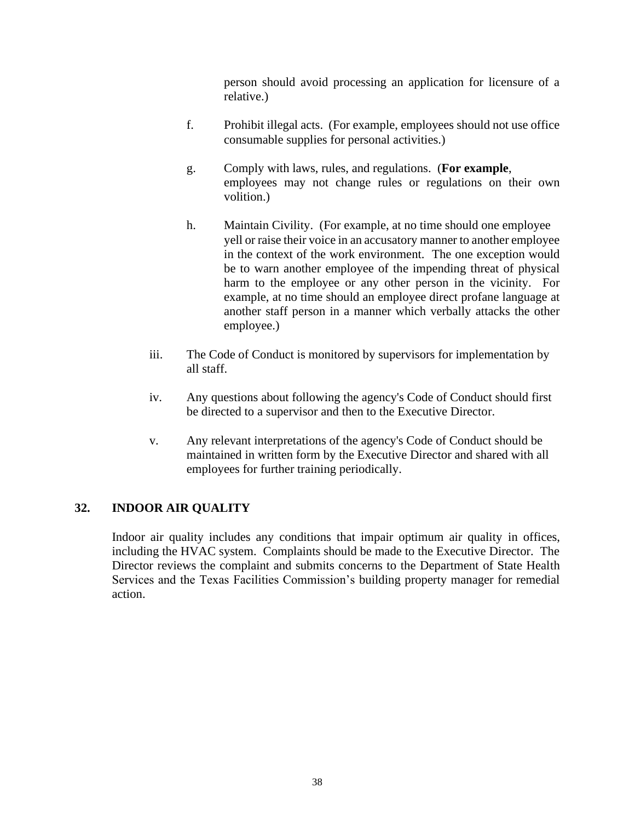person should avoid processing an application for licensure of a relative.)

- f. Prohibit illegal acts. (For example, employees should not use office consumable supplies for personal activities.)
- g. Comply with laws, rules, and regulations. (**For example**, employees may not change rules or regulations on their own volition.)
- h. Maintain Civility. (For example, at no time should one employee yell or raise their voice in an accusatory manner to another employee in the context of the work environment. The one exception would be to warn another employee of the impending threat of physical harm to the employee or any other person in the vicinity. For example, at no time should an employee direct profane language at another staff person in a manner which verbally attacks the other employee.)
- iii. The Code of Conduct is monitored by supervisors for implementation by all staff.
- iv. Any questions about following the agency's Code of Conduct should first be directed to a supervisor and then to the Executive Director.
- v. Any relevant interpretations of the agency's Code of Conduct should be maintained in written form by the Executive Director and shared with all employees for further training periodically.

## <span id="page-37-0"></span>**32. INDOOR AIR QUALITY**

Indoor air quality includes any conditions that impair optimum air quality in offices, including the HVAC system. Complaints should be made to the Executive Director. The Director reviews the complaint and submits concerns to the Department of State Health Services and the Texas Facilities Commission's building property manager for remedial action.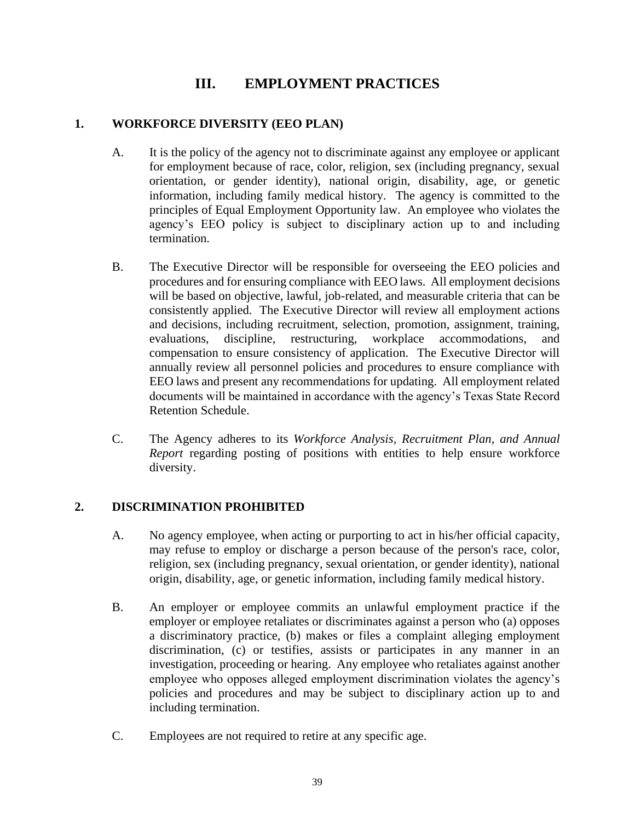# **III. EMPLOYMENT PRACTICES**

## <span id="page-38-1"></span><span id="page-38-0"></span>**1. WORKFORCE DIVERSITY (EEO PLAN)**

- A. It is the policy of the agency not to discriminate against any employee or applicant for employment because of race, color, religion, sex (including pregnancy, sexual orientation, or gender identity), national origin, disability, age, or genetic information, including family medical history. The agency is committed to the principles of Equal Employment Opportunity law. An employee who violates the agency's EEO policy is subject to disciplinary action up to and including termination.
- B. The Executive Director will be responsible for overseeing the EEO policies and procedures and for ensuring compliance with EEO laws. All employment decisions will be based on objective, lawful, job-related, and measurable criteria that can be consistently applied. The Executive Director will review all employment actions and decisions, including recruitment, selection, promotion, assignment, training, evaluations, discipline, restructuring, workplace accommodations, and compensation to ensure consistency of application. The Executive Director will annually review all personnel policies and procedures to ensure compliance with EEO laws and present any recommendations for updating. All employment related documents will be maintained in accordance with the agency's Texas State Record Retention Schedule.
- C. The Agency adheres to its *Workforce Analysis, Recruitment Plan, and Annual Report* regarding posting of positions with entities to help ensure workforce diversity.

## <span id="page-38-2"></span>**2. DISCRIMINATION PROHIBITED**

- A. No agency employee, when acting or purporting to act in his/her official capacity, may refuse to employ or discharge a person because of the person's race, color, religion, sex (including pregnancy, sexual orientation, or gender identity), national origin, disability, age, or genetic information, including family medical history.
- B. An employer or employee commits an unlawful employment practice if the employer or employee retaliates or discriminates against a person who (a) opposes a discriminatory practice, (b) makes or files a complaint alleging employment discrimination, (c) or testifies, assists or participates in any manner in an investigation, proceeding or hearing. Any employee who retaliates against another employee who opposes alleged employment discrimination violates the agency's policies and procedures and may be subject to disciplinary action up to and including termination.
- C. Employees are not required to retire at any specific age.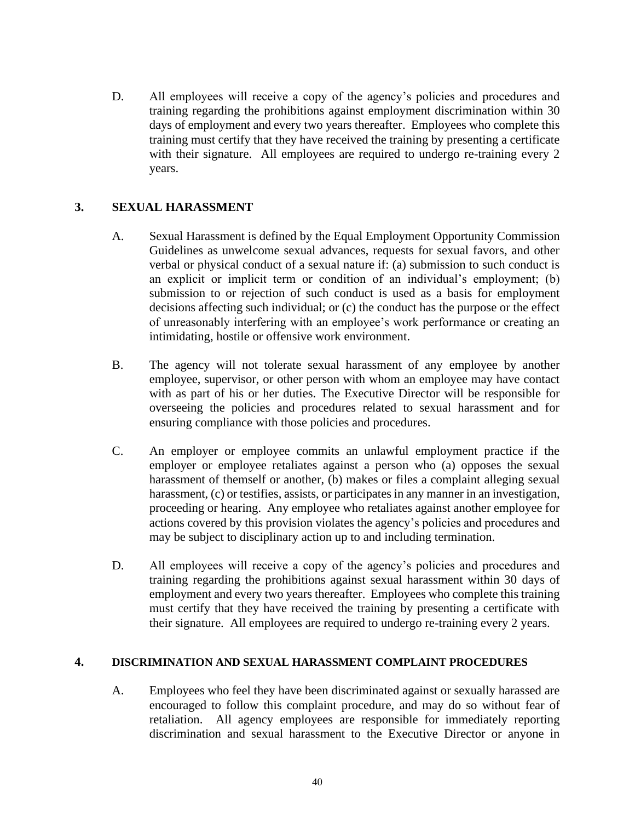D. All employees will receive a copy of the agency's policies and procedures and training regarding the prohibitions against employment discrimination within 30 days of employment and every two years thereafter. Employees who complete this training must certify that they have received the training by presenting a certificate with their signature. All employees are required to undergo re-training every 2 years.

## <span id="page-39-0"></span>**3. SEXUAL HARASSMENT**

- A. Sexual Harassment is defined by the Equal Employment Opportunity Commission Guidelines as unwelcome sexual advances, requests for sexual favors, and other verbal or physical conduct of a sexual nature if: (a) submission to such conduct is an explicit or implicit term or condition of an individual's employment; (b) submission to or rejection of such conduct is used as a basis for employment decisions affecting such individual; or (c) the conduct has the purpose or the effect of unreasonably interfering with an employee's work performance or creating an intimidating, hostile or offensive work environment.
- B. The agency will not tolerate sexual harassment of any employee by another employee, supervisor, or other person with whom an employee may have contact with as part of his or her duties. The Executive Director will be responsible for overseeing the policies and procedures related to sexual harassment and for ensuring compliance with those policies and procedures.
- C. An employer or employee commits an unlawful employment practice if the employer or employee retaliates against a person who (a) opposes the sexual harassment of themself or another, (b) makes or files a complaint alleging sexual harassment, (c) or testifies, assists, or participates in any manner in an investigation, proceeding or hearing. Any employee who retaliates against another employee for actions covered by this provision violates the agency's policies and procedures and may be subject to disciplinary action up to and including termination.
- D. All employees will receive a copy of the agency's policies and procedures and training regarding the prohibitions against sexual harassment within 30 days of employment and every two years thereafter. Employees who complete this training must certify that they have received the training by presenting a certificate with their signature. All employees are required to undergo re-training every 2 years.

#### <span id="page-39-1"></span>**4. DISCRIMINATION AND SEXUAL HARASSMENT COMPLAINT PROCEDURES**

A. Employees who feel they have been discriminated against or sexually harassed are encouraged to follow this complaint procedure, and may do so without fear of retaliation. All agency employees are responsible for immediately reporting discrimination and sexual harassment to the Executive Director or anyone in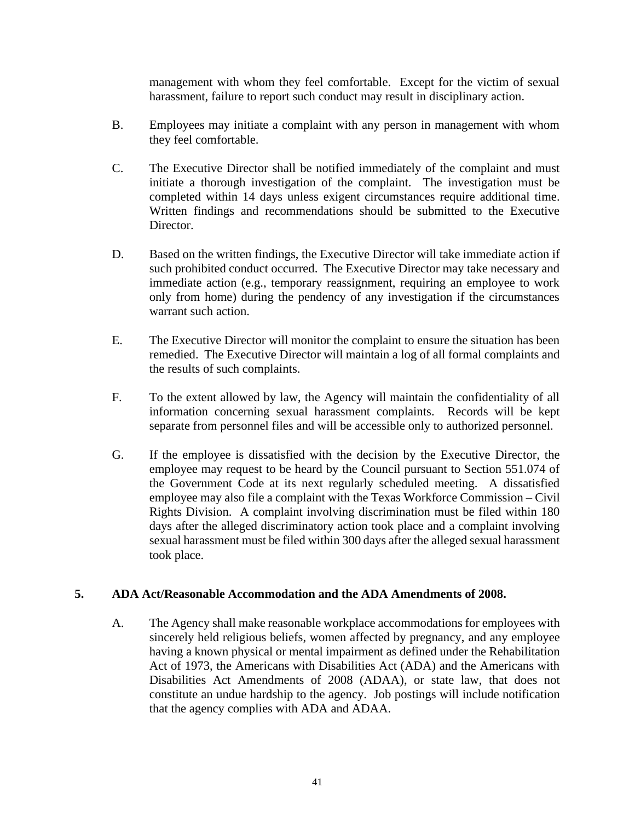management with whom they feel comfortable. Except for the victim of sexual harassment, failure to report such conduct may result in disciplinary action.

- B. Employees may initiate a complaint with any person in management with whom they feel comfortable.
- C. The Executive Director shall be notified immediately of the complaint and must initiate a thorough investigation of the complaint. The investigation must be completed within 14 days unless exigent circumstances require additional time. Written findings and recommendations should be submitted to the Executive Director.
- D. Based on the written findings, the Executive Director will take immediate action if such prohibited conduct occurred. The Executive Director may take necessary and immediate action (e.g., temporary reassignment, requiring an employee to work only from home) during the pendency of any investigation if the circumstances warrant such action.
- E. The Executive Director will monitor the complaint to ensure the situation has been remedied. The Executive Director will maintain a log of all formal complaints and the results of such complaints.
- F. To the extent allowed by law, the Agency will maintain the confidentiality of all information concerning sexual harassment complaints. Records will be kept separate from personnel files and will be accessible only to authorized personnel.
- G. If the employee is dissatisfied with the decision by the Executive Director, the employee may request to be heard by the Council pursuant to Section 551.074 of the Government Code at its next regularly scheduled meeting. A dissatisfied employee may also file a complaint with the Texas Workforce Commission – Civil Rights Division. A complaint involving discrimination must be filed within 180 days after the alleged discriminatory action took place and a complaint involving sexual harassment must be filed within 300 days after the alleged sexual harassment took place.

#### <span id="page-40-0"></span>**5. ADA Act/Reasonable Accommodation and the ADA Amendments of 2008.**

A. The Agency shall make reasonable workplace accommodations for employees with sincerely held religious beliefs, women affected by pregnancy, and any employee having a known physical or mental impairment as defined under the Rehabilitation Act of 1973, the Americans with Disabilities Act (ADA) and the Americans with Disabilities Act Amendments of 2008 (ADAA), or state law, that does not constitute an undue hardship to the agency. Job postings will include notification that the agency complies with ADA and ADAA.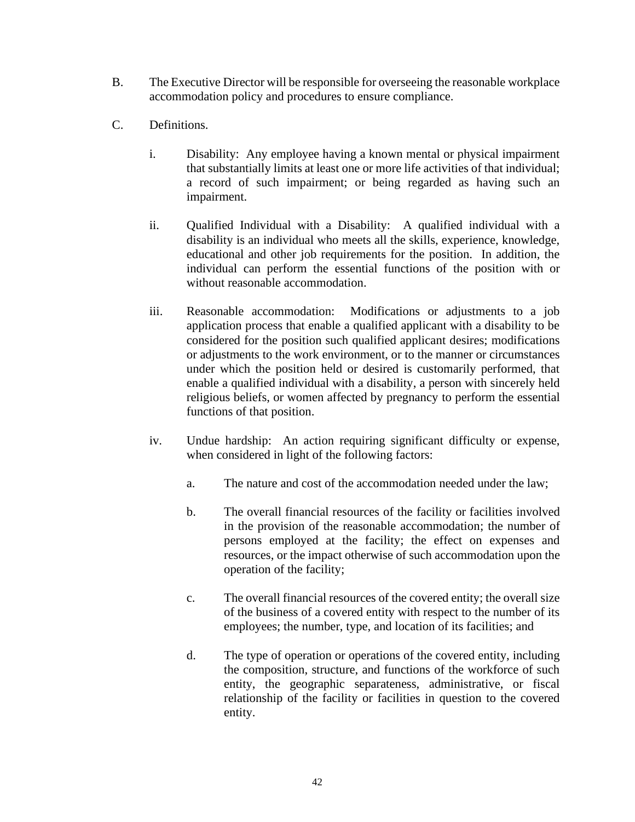- B. The Executive Director will be responsible for overseeing the reasonable workplace accommodation policy and procedures to ensure compliance.
- C. Definitions.
	- i. Disability: Any employee having a known mental or physical impairment that substantially limits at least one or more life activities of that individual; a record of such impairment; or being regarded as having such an impairment.
	- ii. Qualified Individual with a Disability: A qualified individual with a disability is an individual who meets all the skills, experience, knowledge, educational and other job requirements for the position. In addition, the individual can perform the essential functions of the position with or without reasonable accommodation.
	- iii. Reasonable accommodation: Modifications or adjustments to a job application process that enable a qualified applicant with a disability to be considered for the position such qualified applicant desires; modifications or adjustments to the work environment, or to the manner or circumstances under which the position held or desired is customarily performed, that enable a qualified individual with a disability, a person with sincerely held religious beliefs, or women affected by pregnancy to perform the essential functions of that position.
	- iv. Undue hardship: An action requiring significant difficulty or expense, when considered in light of the following factors:
		- a. The nature and cost of the accommodation needed under the law;
		- b. The overall financial resources of the facility or facilities involved in the provision of the reasonable accommodation; the number of persons employed at the facility; the effect on expenses and resources, or the impact otherwise of such accommodation upon the operation of the facility;
		- c. The overall financial resources of the covered entity; the overall size of the business of a covered entity with respect to the number of its employees; the number, type, and location of its facilities; and
		- d. The type of operation or operations of the covered entity, including the composition, structure, and functions of the workforce of such entity, the geographic separateness, administrative, or fiscal relationship of the facility or facilities in question to the covered entity.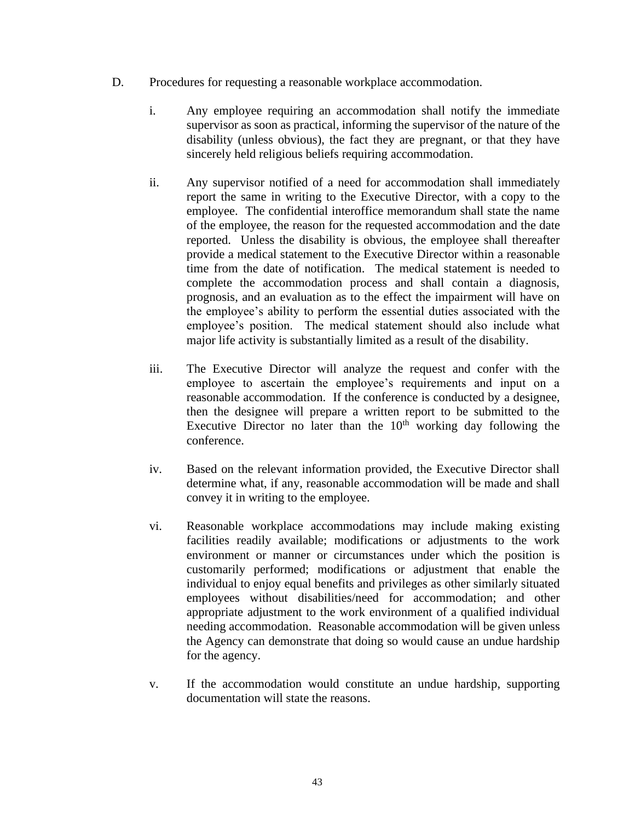- D. Procedures for requesting a reasonable workplace accommodation.
	- i. Any employee requiring an accommodation shall notify the immediate supervisor as soon as practical, informing the supervisor of the nature of the disability (unless obvious), the fact they are pregnant, or that they have sincerely held religious beliefs requiring accommodation.
	- ii. Any supervisor notified of a need for accommodation shall immediately report the same in writing to the Executive Director, with a copy to the employee. The confidential interoffice memorandum shall state the name of the employee, the reason for the requested accommodation and the date reported. Unless the disability is obvious, the employee shall thereafter provide a medical statement to the Executive Director within a reasonable time from the date of notification. The medical statement is needed to complete the accommodation process and shall contain a diagnosis, prognosis, and an evaluation as to the effect the impairment will have on the employee's ability to perform the essential duties associated with the employee's position. The medical statement should also include what major life activity is substantially limited as a result of the disability.
	- iii. The Executive Director will analyze the request and confer with the employee to ascertain the employee's requirements and input on a reasonable accommodation. If the conference is conducted by a designee, then the designee will prepare a written report to be submitted to the Executive Director no later than the  $10<sup>th</sup>$  working day following the conference.
	- iv. Based on the relevant information provided, the Executive Director shall determine what, if any, reasonable accommodation will be made and shall convey it in writing to the employee.
	- vi. Reasonable workplace accommodations may include making existing facilities readily available; modifications or adjustments to the work environment or manner or circumstances under which the position is customarily performed; modifications or adjustment that enable the individual to enjoy equal benefits and privileges as other similarly situated employees without disabilities/need for accommodation; and other appropriate adjustment to the work environment of a qualified individual needing accommodation. Reasonable accommodation will be given unless the Agency can demonstrate that doing so would cause an undue hardship for the agency.
	- v. If the accommodation would constitute an undue hardship, supporting documentation will state the reasons.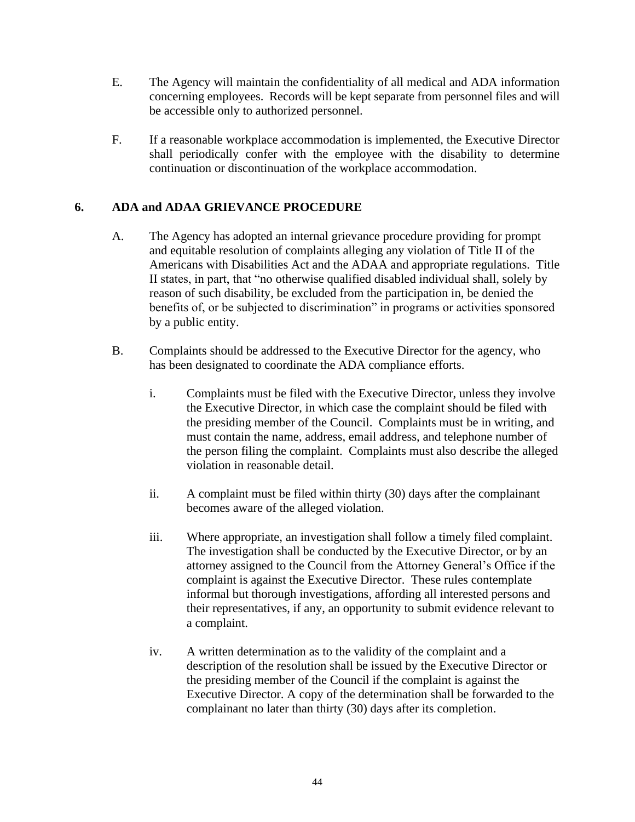- E. The Agency will maintain the confidentiality of all medical and ADA information concerning employees. Records will be kept separate from personnel files and will be accessible only to authorized personnel.
- F. If a reasonable workplace accommodation is implemented, the Executive Director shall periodically confer with the employee with the disability to determine continuation or discontinuation of the workplace accommodation.

## <span id="page-43-0"></span>**6. ADA and ADAA GRIEVANCE PROCEDURE**

- A. The Agency has adopted an internal grievance procedure providing for prompt and equitable resolution of complaints alleging any violation of Title II of the Americans with Disabilities Act and the ADAA and appropriate regulations. Title II states, in part, that "no otherwise qualified disabled individual shall, solely by reason of such disability, be excluded from the participation in, be denied the benefits of, or be subjected to discrimination" in programs or activities sponsored by a public entity.
- B. Complaints should be addressed to the Executive Director for the agency, who has been designated to coordinate the ADA compliance efforts.
	- i. Complaints must be filed with the Executive Director, unless they involve the Executive Director, in which case the complaint should be filed with the presiding member of the Council. Complaints must be in writing, and must contain the name, address, email address, and telephone number of the person filing the complaint. Complaints must also describe the alleged violation in reasonable detail.
	- ii. A complaint must be filed within thirty (30) days after the complainant becomes aware of the alleged violation.
	- iii. Where appropriate, an investigation shall follow a timely filed complaint. The investigation shall be conducted by the Executive Director, or by an attorney assigned to the Council from the Attorney General's Office if the complaint is against the Executive Director. These rules contemplate informal but thorough investigations, affording all interested persons and their representatives, if any, an opportunity to submit evidence relevant to a complaint.
	- iv. A written determination as to the validity of the complaint and a description of the resolution shall be issued by the Executive Director or the presiding member of the Council if the complaint is against the Executive Director. A copy of the determination shall be forwarded to the complainant no later than thirty (30) days after its completion.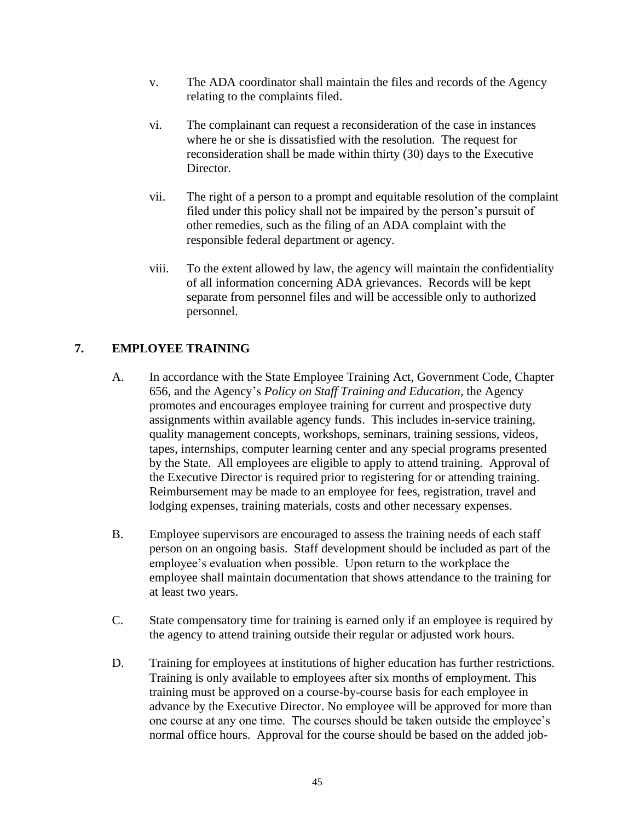- v. The ADA coordinator shall maintain the files and records of the Agency relating to the complaints filed.
- vi. The complainant can request a reconsideration of the case in instances where he or she is dissatisfied with the resolution. The request for reconsideration shall be made within thirty (30) days to the Executive Director.
- vii. The right of a person to a prompt and equitable resolution of the complaint filed under this policy shall not be impaired by the person's pursuit of other remedies, such as the filing of an ADA complaint with the responsible federal department or agency.
- viii. To the extent allowed by law, the agency will maintain the confidentiality of all information concerning ADA grievances. Records will be kept separate from personnel files and will be accessible only to authorized personnel.

# <span id="page-44-0"></span>**7. EMPLOYEE TRAINING**

- A. In accordance with the State Employee Training Act, Government Code, Chapter 656, and the Agency's *Policy on Staff Training and Education*, the Agency promotes and encourages employee training for current and prospective duty assignments within available agency funds. This includes in-service training, quality management concepts, workshops, seminars, training sessions, videos, tapes, internships, computer learning center and any special programs presented by the State. All employees are eligible to apply to attend training. Approval of the Executive Director is required prior to registering for or attending training. Reimbursement may be made to an employee for fees, registration, travel and lodging expenses, training materials, costs and other necessary expenses.
- B. Employee supervisors are encouraged to assess the training needs of each staff person on an ongoing basis. Staff development should be included as part of the employee's evaluation when possible. Upon return to the workplace the employee shall maintain documentation that shows attendance to the training for at least two years.
- C. State compensatory time for training is earned only if an employee is required by the agency to attend training outside their regular or adjusted work hours.
- D. Training for employees at institutions of higher education has further restrictions. Training is only available to employees after six months of employment. This training must be approved on a course-by-course basis for each employee in advance by the Executive Director. No employee will be approved for more than one course at any one time. The courses should be taken outside the employee's normal office hours. Approval for the course should be based on the added job-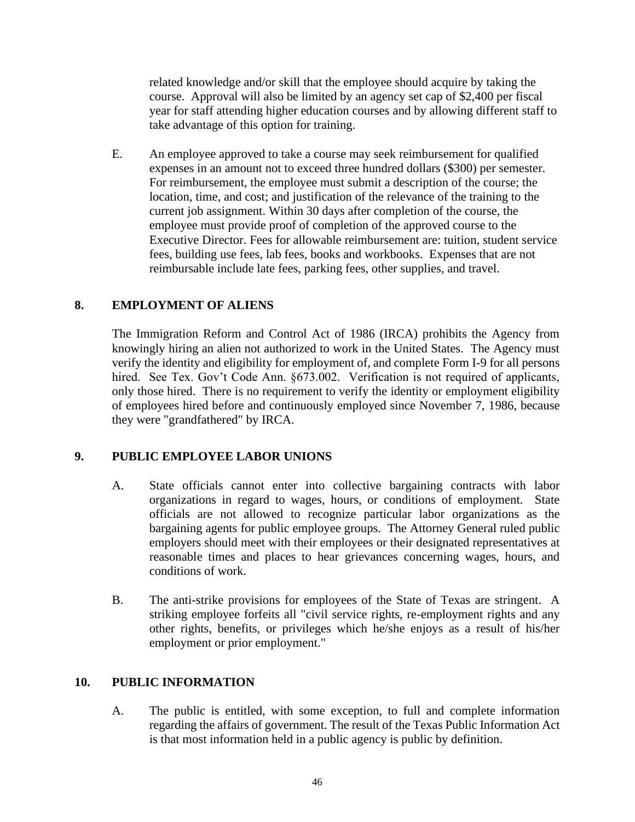related knowledge and/or skill that the employee should acquire by taking the course. Approval will also be limited by an agency set cap of \$2,400 per fiscal year for staff attending higher education courses and by allowing different staff to take advantage of this option for training.

E. An employee approved to take a course may seek reimbursement for qualified expenses in an amount not to exceed three hundred dollars (\$300) per semester. For reimbursement, the employee must submit a description of the course; the location, time, and cost; and justification of the relevance of the training to the current job assignment. Within 30 days after completion of the course, the employee must provide proof of completion of the approved course to the Executive Director. Fees for allowable reimbursement are: tuition, student service fees, building use fees, lab fees, books and workbooks. Expenses that are not reimbursable include late fees, parking fees, other supplies, and travel.

## <span id="page-45-0"></span>**8. EMPLOYMENT OF ALIENS**

The Immigration Reform and Control Act of 1986 (IRCA) prohibits the Agency from knowingly hiring an alien not authorized to work in the United States. The Agency must verify the identity and eligibility for employment of, and complete Form I-9 for all persons hired. See Tex. Gov't Code Ann. §673.002. Verification is not required of applicants, only those hired. There is no requirement to verify the identity or employment eligibility of employees hired before and continuously employed since November 7, 1986, because they were "grandfathered" by IRCA.

## <span id="page-45-1"></span>**9. PUBLIC EMPLOYEE LABOR UNIONS**

- A. State officials cannot enter into collective bargaining contracts with labor organizations in regard to wages, hours, or conditions of employment. State officials are not allowed to recognize particular labor organizations as the bargaining agents for public employee groups. The Attorney General ruled public employers should meet with their employees or their designated representatives at reasonable times and places to hear grievances concerning wages, hours, and conditions of work.
- B. The anti-strike provisions for employees of the State of Texas are stringent. A striking employee forfeits all "civil service rights, re-employment rights and any other rights, benefits, or privileges which he/she enjoys as a result of his/her employment or prior employment."

## <span id="page-45-2"></span>**10. PUBLIC INFORMATION**

A. The public is entitled, with some exception, to full and complete information regarding the affairs of government. The result of the Texas Public Information Act is that most information held in a public agency is public by definition.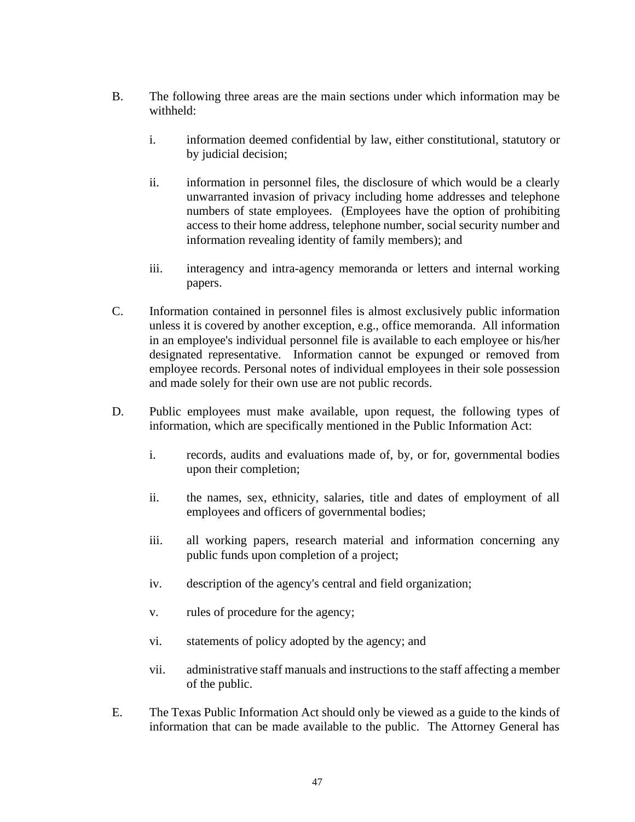- B. The following three areas are the main sections under which information may be withheld:
	- i. information deemed confidential by law, either constitutional, statutory or by judicial decision;
	- ii. information in personnel files, the disclosure of which would be a clearly unwarranted invasion of privacy including home addresses and telephone numbers of state employees. (Employees have the option of prohibiting access to their home address, telephone number, social security number and information revealing identity of family members); and
	- iii. interagency and intra-agency memoranda or letters and internal working papers.
- C. Information contained in personnel files is almost exclusively public information unless it is covered by another exception, e.g., office memoranda. All information in an employee's individual personnel file is available to each employee or his/her designated representative. Information cannot be expunged or removed from employee records. Personal notes of individual employees in their sole possession and made solely for their own use are not public records.
- D. Public employees must make available, upon request, the following types of information, which are specifically mentioned in the Public Information Act:
	- i. records, audits and evaluations made of, by, or for, governmental bodies upon their completion;
	- ii. the names, sex, ethnicity, salaries, title and dates of employment of all employees and officers of governmental bodies;
	- iii. all working papers, research material and information concerning any public funds upon completion of a project;
	- iv. description of the agency's central and field organization;
	- v. rules of procedure for the agency;
	- vi. statements of policy adopted by the agency; and
	- vii. administrative staff manuals and instructions to the staff affecting a member of the public.
- E. The Texas Public Information Act should only be viewed as a guide to the kinds of information that can be made available to the public. The Attorney General has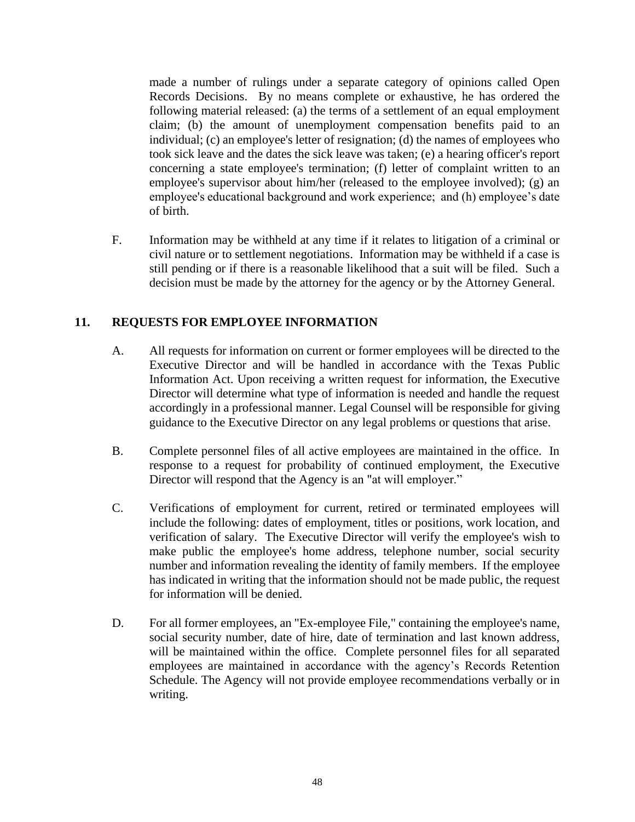made a number of rulings under a separate category of opinions called Open Records Decisions. By no means complete or exhaustive, he has ordered the following material released: (a) the terms of a settlement of an equal employment claim; (b) the amount of unemployment compensation benefits paid to an individual; (c) an employee's letter of resignation; (d) the names of employees who took sick leave and the dates the sick leave was taken; (e) a hearing officer's report concerning a state employee's termination; (f) letter of complaint written to an employee's supervisor about him/her (released to the employee involved); (g) an employee's educational background and work experience; and (h) employee's date of birth.

F. Information may be withheld at any time if it relates to litigation of a criminal or civil nature or to settlement negotiations. Information may be withheld if a case is still pending or if there is a reasonable likelihood that a suit will be filed. Such a decision must be made by the attorney for the agency or by the Attorney General.

# <span id="page-47-0"></span>**11. REQUESTS FOR EMPLOYEE INFORMATION**

- A. All requests for information on current or former employees will be directed to the Executive Director and will be handled in accordance with the Texas Public Information Act. Upon receiving a written request for information, the Executive Director will determine what type of information is needed and handle the request accordingly in a professional manner. Legal Counsel will be responsible for giving guidance to the Executive Director on any legal problems or questions that arise.
- B. Complete personnel files of all active employees are maintained in the office. In response to a request for probability of continued employment, the Executive Director will respond that the Agency is an "at will employer."
- C. Verifications of employment for current, retired or terminated employees will include the following: dates of employment, titles or positions, work location, and verification of salary. The Executive Director will verify the employee's wish to make public the employee's home address, telephone number, social security number and information revealing the identity of family members. If the employee has indicated in writing that the information should not be made public, the request for information will be denied.
- D. For all former employees, an "Ex-employee File," containing the employee's name, social security number, date of hire, date of termination and last known address, will be maintained within the office. Complete personnel files for all separated employees are maintained in accordance with the agency's Records Retention Schedule. The Agency will not provide employee recommendations verbally or in writing.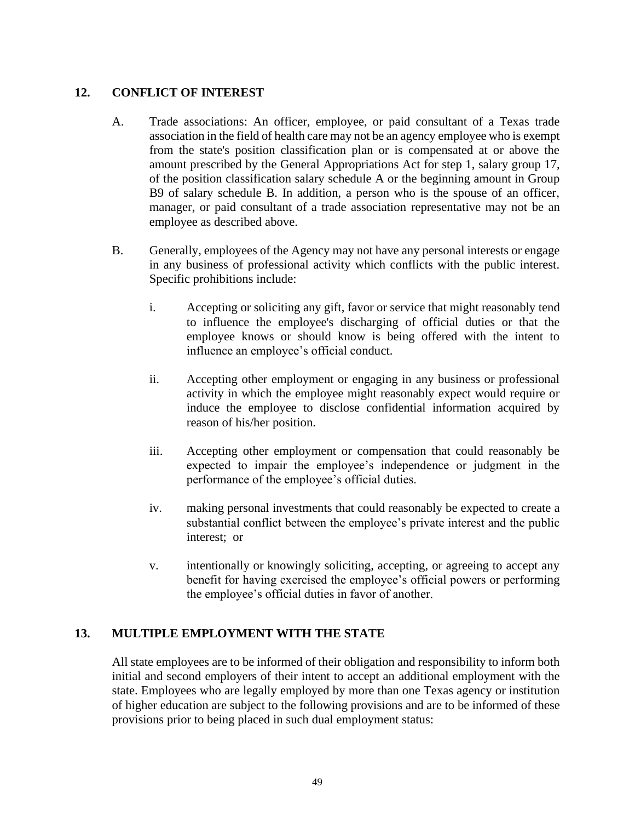#### <span id="page-48-0"></span>**12. CONFLICT OF INTEREST**

- A. Trade associations: An officer, employee, or paid consultant of a Texas trade association in the field of health care may not be an agency employee who is exempt from the state's position classification plan or is compensated at or above the amount prescribed by the General Appropriations Act for step 1, salary group 17, of the position classification salary schedule A or the beginning amount in Group B9 of salary schedule B. In addition, a person who is the spouse of an officer, manager, or paid consultant of a trade association representative may not be an employee as described above.
- B. Generally, employees of the Agency may not have any personal interests or engage in any business of professional activity which conflicts with the public interest. Specific prohibitions include:
	- i. Accepting or soliciting any gift, favor or service that might reasonably tend to influence the employee's discharging of official duties or that the employee knows or should know is being offered with the intent to influence an employee's official conduct.
	- ii. Accepting other employment or engaging in any business or professional activity in which the employee might reasonably expect would require or induce the employee to disclose confidential information acquired by reason of his/her position.
	- iii. Accepting other employment or compensation that could reasonably be expected to impair the employee's independence or judgment in the performance of the employee's official duties.
	- iv. making personal investments that could reasonably be expected to create a substantial conflict between the employee's private interest and the public interest; or
	- v. intentionally or knowingly soliciting, accepting, or agreeing to accept any benefit for having exercised the employee's official powers or performing the employee's official duties in favor of another.

## <span id="page-48-1"></span>**13. MULTIPLE EMPLOYMENT WITH THE STATE**

All state employees are to be informed of their obligation and responsibility to inform both initial and second employers of their intent to accept an additional employment with the state. Employees who are legally employed by more than one Texas agency or institution of higher education are subject to the following provisions and are to be informed of these provisions prior to being placed in such dual employment status: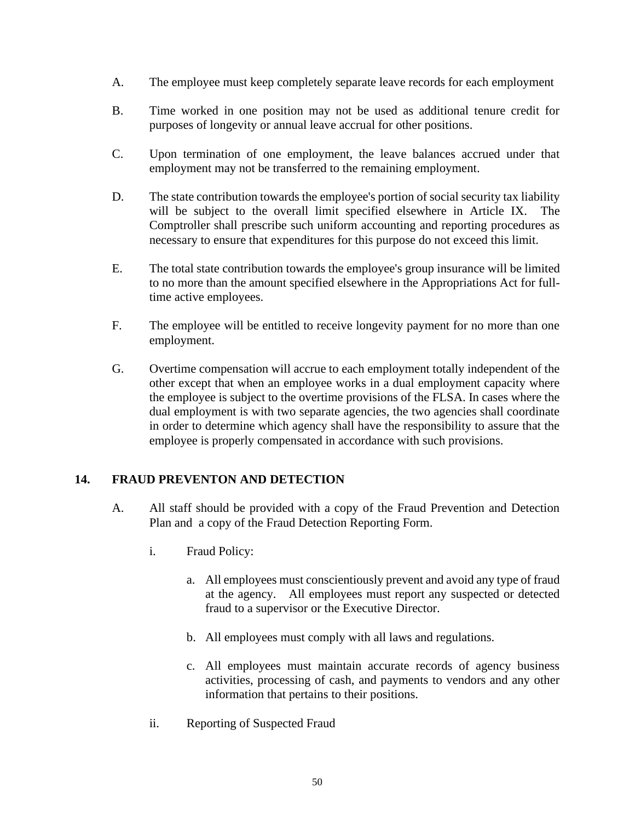- A. The employee must keep completely separate leave records for each employment
- B. Time worked in one position may not be used as additional tenure credit for purposes of longevity or annual leave accrual for other positions.
- C. Upon termination of one employment, the leave balances accrued under that employment may not be transferred to the remaining employment.
- D. The state contribution towards the employee's portion of social security tax liability will be subject to the overall limit specified elsewhere in Article IX. The Comptroller shall prescribe such uniform accounting and reporting procedures as necessary to ensure that expenditures for this purpose do not exceed this limit.
- E. The total state contribution towards the employee's group insurance will be limited to no more than the amount specified elsewhere in the Appropriations Act for fulltime active employees.
- F. The employee will be entitled to receive longevity payment for no more than one employment.
- G. Overtime compensation will accrue to each employment totally independent of the other except that when an employee works in a dual employment capacity where the employee is subject to the overtime provisions of the FLSA. In cases where the dual employment is with two separate agencies, the two agencies shall coordinate in order to determine which agency shall have the responsibility to assure that the employee is properly compensated in accordance with such provisions.

# <span id="page-49-0"></span>**14. FRAUD PREVENTON AND DETECTION**

- A. All staff should be provided with a copy of the Fraud Prevention and Detection Plan and a copy of the Fraud Detection Reporting Form.
	- i. Fraud Policy:
		- a. All employees must conscientiously prevent and avoid any type of fraud at the agency. All employees must report any suspected or detected fraud to a supervisor or the Executive Director.
		- b. All employees must comply with all laws and regulations.
		- c. All employees must maintain accurate records of agency business activities, processing of cash, and payments to vendors and any other information that pertains to their positions.
	- ii. Reporting of Suspected Fraud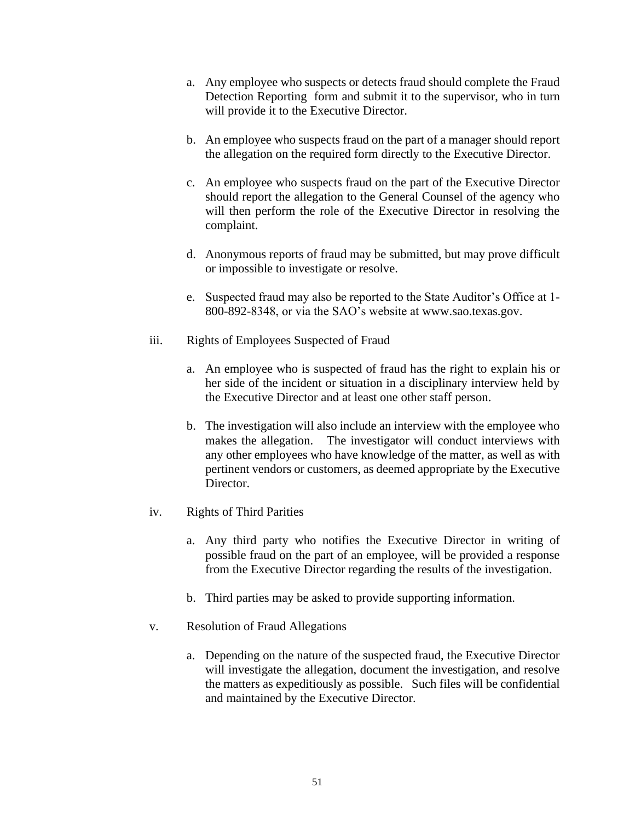- a. Any employee who suspects or detects fraud should complete the Fraud Detection Reporting form and submit it to the supervisor, who in turn will provide it to the Executive Director.
- b. An employee who suspects fraud on the part of a manager should report the allegation on the required form directly to the Executive Director.
- c. An employee who suspects fraud on the part of the Executive Director should report the allegation to the General Counsel of the agency who will then perform the role of the Executive Director in resolving the complaint.
- d. Anonymous reports of fraud may be submitted, but may prove difficult or impossible to investigate or resolve.
- e. Suspected fraud may also be reported to the State Auditor's Office at 1- 800-892-8348, or via the SAO's website at www.sao.texas.gov.
- iii. Rights of Employees Suspected of Fraud
	- a. An employee who is suspected of fraud has the right to explain his or her side of the incident or situation in a disciplinary interview held by the Executive Director and at least one other staff person.
	- b. The investigation will also include an interview with the employee who makes the allegation. The investigator will conduct interviews with any other employees who have knowledge of the matter, as well as with pertinent vendors or customers, as deemed appropriate by the Executive Director.
- iv. Rights of Third Parities
	- a. Any third party who notifies the Executive Director in writing of possible fraud on the part of an employee, will be provided a response from the Executive Director regarding the results of the investigation.
	- b. Third parties may be asked to provide supporting information.
- v. Resolution of Fraud Allegations
	- a. Depending on the nature of the suspected fraud, the Executive Director will investigate the allegation, document the investigation, and resolve the matters as expeditiously as possible. Such files will be confidential and maintained by the Executive Director.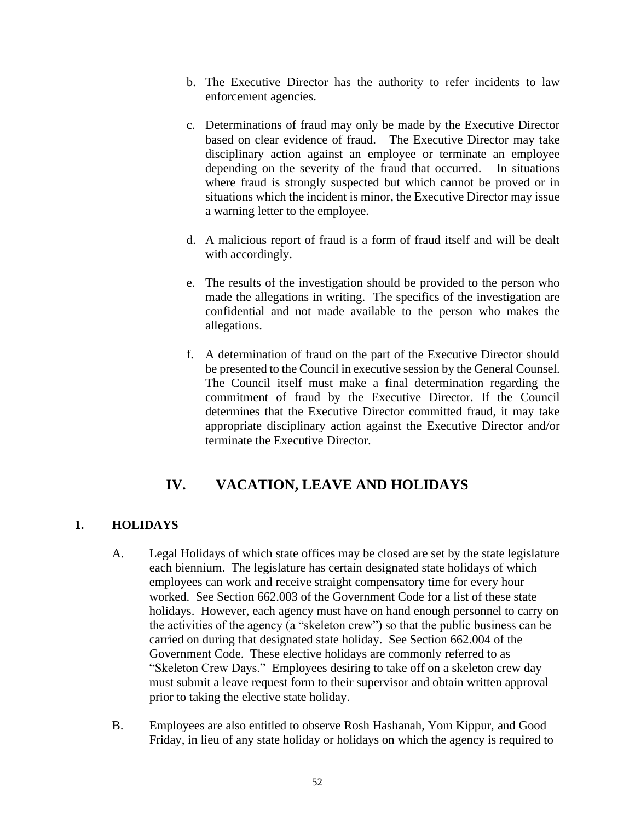- b. The Executive Director has the authority to refer incidents to law enforcement agencies.
- c. Determinations of fraud may only be made by the Executive Director based on clear evidence of fraud. The Executive Director may take disciplinary action against an employee or terminate an employee depending on the severity of the fraud that occurred. In situations where fraud is strongly suspected but which cannot be proved or in situations which the incident is minor, the Executive Director may issue a warning letter to the employee.
- d. A malicious report of fraud is a form of fraud itself and will be dealt with accordingly.
- e. The results of the investigation should be provided to the person who made the allegations in writing. The specifics of the investigation are confidential and not made available to the person who makes the allegations.
- f. A determination of fraud on the part of the Executive Director should be presented to the Council in executive session by the General Counsel. The Council itself must make a final determination regarding the commitment of fraud by the Executive Director. If the Council determines that the Executive Director committed fraud, it may take appropriate disciplinary action against the Executive Director and/or terminate the Executive Director.

# **IV. VACATION, LEAVE AND HOLIDAYS**

# <span id="page-51-1"></span><span id="page-51-0"></span>**1. HOLIDAYS**

- A. Legal Holidays of which state offices may be closed are set by the state legislature each biennium. The legislature has certain designated state holidays of which employees can work and receive straight compensatory time for every hour worked. See Section 662.003 of the Government Code for a list of these state holidays. However, each agency must have on hand enough personnel to carry on the activities of the agency (a "skeleton crew") so that the public business can be carried on during that designated state holiday. See Section 662.004 of the Government Code. These elective holidays are commonly referred to as "Skeleton Crew Days." Employees desiring to take off on a skeleton crew day must submit a leave request form to their supervisor and obtain written approval prior to taking the elective state holiday.
- B. Employees are also entitled to observe Rosh Hashanah, Yom Kippur, and Good Friday, in lieu of any state holiday or holidays on which the agency is required to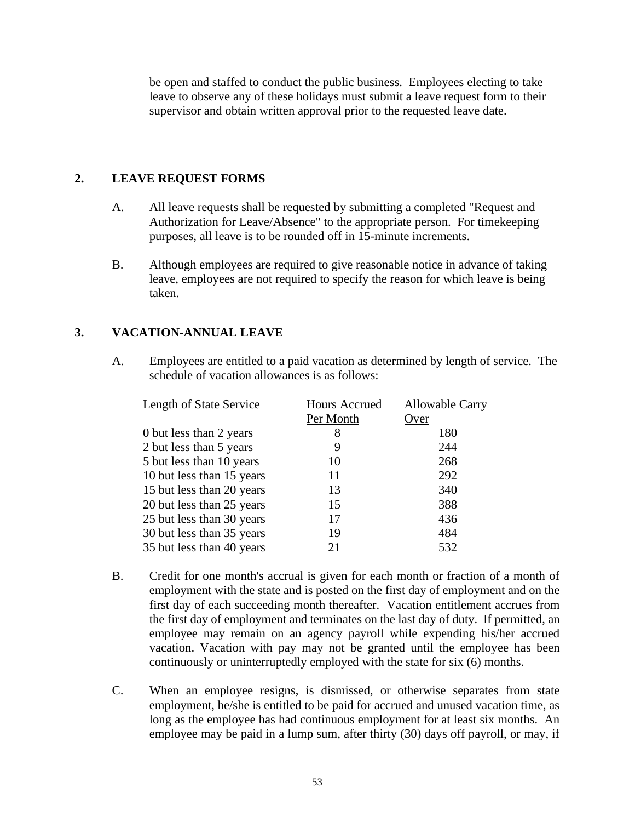be open and staffed to conduct the public business. Employees electing to take leave to observe any of these holidays must submit a leave request form to their supervisor and obtain written approval prior to the requested leave date.

#### <span id="page-52-0"></span>**2. LEAVE REQUEST FORMS**

- A. All leave requests shall be requested by submitting a completed "Request and Authorization for Leave/Absence" to the appropriate person. For timekeeping purposes, all leave is to be rounded off in 15-minute increments.
- B. Although employees are required to give reasonable notice in advance of taking leave, employees are not required to specify the reason for which leave is being taken.

## <span id="page-52-1"></span>**3. VACATION-ANNUAL LEAVE**

A. Employees are entitled to a paid vacation as determined by length of service. The schedule of vacation allowances is as follows:

| <b>Length of State Service</b> | <b>Hours Accrued</b> | <b>Allowable Carry</b> |
|--------------------------------|----------------------|------------------------|
|                                | Per Month            | Over                   |
| 0 but less than 2 years        | 8                    | 180                    |
| 2 but less than 5 years        | 9                    | 244                    |
| 5 but less than 10 years       | 10                   | 268                    |
| 10 but less than 15 years      | 11                   | 292                    |
| 15 but less than 20 years      | 13                   | 340                    |
| 20 but less than 25 years      | 15                   | 388                    |
| 25 but less than 30 years      | 17                   | 436                    |
| 30 but less than 35 years      | 19                   | 484                    |
| 35 but less than 40 years      | 21                   | 532                    |

- B. Credit for one month's accrual is given for each month or fraction of a month of employment with the state and is posted on the first day of employment and on the first day of each succeeding month thereafter. Vacation entitlement accrues from the first day of employment and terminates on the last day of duty. If permitted, an employee may remain on an agency payroll while expending his/her accrued vacation. Vacation with pay may not be granted until the employee has been continuously or uninterruptedly employed with the state for six (6) months.
- C. When an employee resigns, is dismissed, or otherwise separates from state employment, he/she is entitled to be paid for accrued and unused vacation time, as long as the employee has had continuous employment for at least six months. An employee may be paid in a lump sum, after thirty (30) days off payroll, or may, if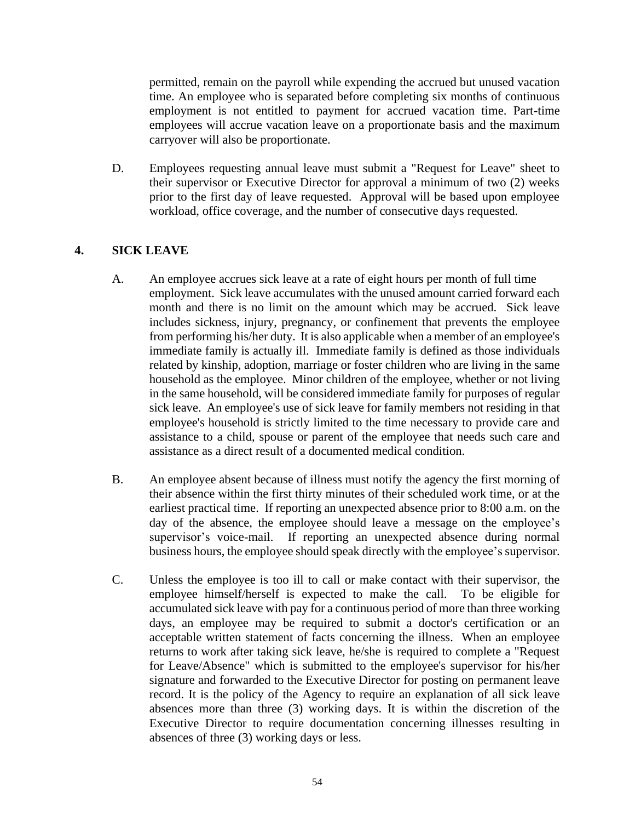permitted, remain on the payroll while expending the accrued but unused vacation time. An employee who is separated before completing six months of continuous employment is not entitled to payment for accrued vacation time. Part-time employees will accrue vacation leave on a proportionate basis and the maximum carryover will also be proportionate.

D. Employees requesting annual leave must submit a "Request for Leave" sheet to their supervisor or Executive Director for approval a minimum of two (2) weeks prior to the first day of leave requested. Approval will be based upon employee workload, office coverage, and the number of consecutive days requested.

## <span id="page-53-0"></span>**4. SICK LEAVE**

- A. An employee accrues sick leave at a rate of eight hours per month of full time employment. Sick leave accumulates with the unused amount carried forward each month and there is no limit on the amount which may be accrued. Sick leave includes sickness, injury, pregnancy, or confinement that prevents the employee from performing his/her duty. It is also applicable when a member of an employee's immediate family is actually ill. Immediate family is defined as those individuals related by kinship, adoption, marriage or foster children who are living in the same household as the employee. Minor children of the employee, whether or not living in the same household, will be considered immediate family for purposes of regular sick leave. An employee's use of sick leave for family members not residing in that employee's household is strictly limited to the time necessary to provide care and assistance to a child, spouse or parent of the employee that needs such care and assistance as a direct result of a documented medical condition.
- B. An employee absent because of illness must notify the agency the first morning of their absence within the first thirty minutes of their scheduled work time, or at the earliest practical time. If reporting an unexpected absence prior to 8:00 a.m. on the day of the absence, the employee should leave a message on the employee's supervisor's voice-mail. If reporting an unexpected absence during normal business hours, the employee should speak directly with the employee's supervisor.
- C. Unless the employee is too ill to call or make contact with their supervisor, the employee himself/herself is expected to make the call. To be eligible for accumulated sick leave with pay for a continuous period of more than three working days, an employee may be required to submit a doctor's certification or an acceptable written statement of facts concerning the illness. When an employee returns to work after taking sick leave, he/she is required to complete a "Request for Leave/Absence" which is submitted to the employee's supervisor for his/her signature and forwarded to the Executive Director for posting on permanent leave record. It is the policy of the Agency to require an explanation of all sick leave absences more than three (3) working days. It is within the discretion of the Executive Director to require documentation concerning illnesses resulting in absences of three (3) working days or less.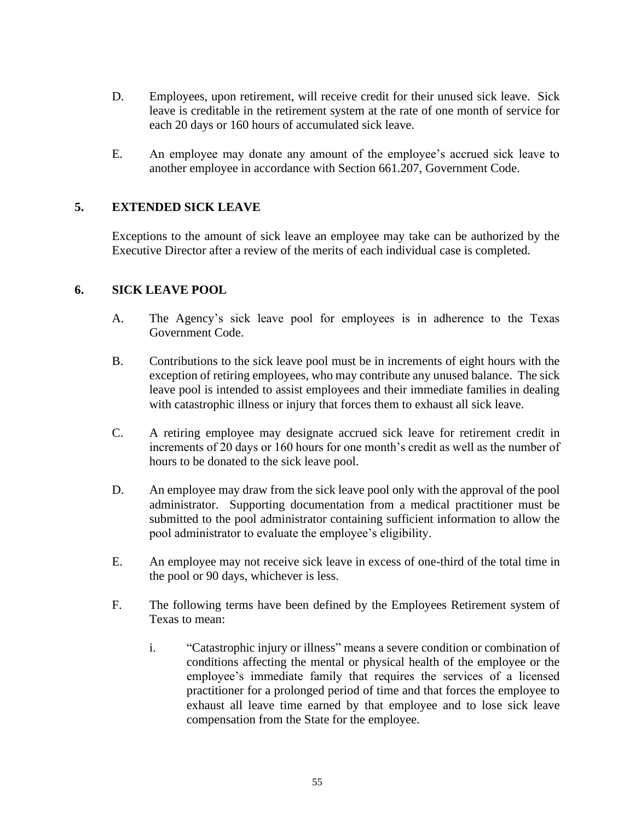- D. Employees, upon retirement, will receive credit for their unused sick leave. Sick leave is creditable in the retirement system at the rate of one month of service for each 20 days or 160 hours of accumulated sick leave.
- E. An employee may donate any amount of the employee's accrued sick leave to another employee in accordance with Section 661.207, Government Code.

# <span id="page-54-0"></span>**5. EXTENDED SICK LEAVE**

Exceptions to the amount of sick leave an employee may take can be authorized by the Executive Director after a review of the merits of each individual case is completed.

#### <span id="page-54-1"></span>**6. SICK LEAVE POOL**

- A. The Agency's sick leave pool for employees is in adherence to the Texas Government Code.
- B. Contributions to the sick leave pool must be in increments of eight hours with the exception of retiring employees, who may contribute any unused balance. The sick leave pool is intended to assist employees and their immediate families in dealing with catastrophic illness or injury that forces them to exhaust all sick leave.
- C. A retiring employee may designate accrued sick leave for retirement credit in increments of 20 days or 160 hours for one month's credit as well as the number of hours to be donated to the sick leave pool.
- D. An employee may draw from the sick leave pool only with the approval of the pool administrator. Supporting documentation from a medical practitioner must be submitted to the pool administrator containing sufficient information to allow the pool administrator to evaluate the employee's eligibility.
- E. An employee may not receive sick leave in excess of one-third of the total time in the pool or 90 days, whichever is less.
- F. The following terms have been defined by the Employees Retirement system of Texas to mean:
	- i. "Catastrophic injury or illness" means a severe condition or combination of conditions affecting the mental or physical health of the employee or the employee's immediate family that requires the services of a licensed practitioner for a prolonged period of time and that forces the employee to exhaust all leave time earned by that employee and to lose sick leave compensation from the State for the employee.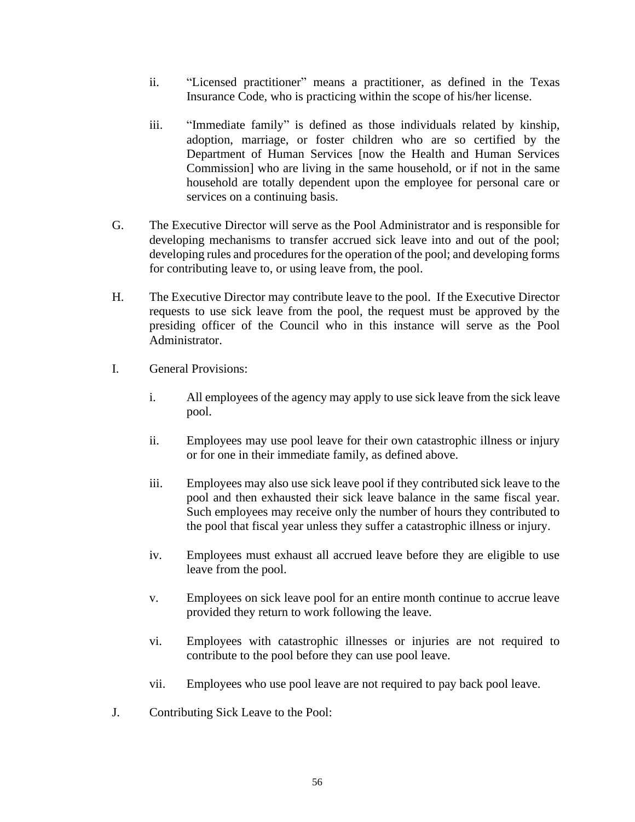- ii. "Licensed practitioner" means a practitioner, as defined in the Texas Insurance Code, who is practicing within the scope of his/her license.
- iii. "Immediate family" is defined as those individuals related by kinship, adoption, marriage, or foster children who are so certified by the Department of Human Services [now the Health and Human Services Commission] who are living in the same household, or if not in the same household are totally dependent upon the employee for personal care or services on a continuing basis.
- G. The Executive Director will serve as the Pool Administrator and is responsible for developing mechanisms to transfer accrued sick leave into and out of the pool; developing rules and procedures for the operation of the pool; and developing forms for contributing leave to, or using leave from, the pool.
- H. The Executive Director may contribute leave to the pool. If the Executive Director requests to use sick leave from the pool, the request must be approved by the presiding officer of the Council who in this instance will serve as the Pool Administrator.
- I. General Provisions:
	- i. All employees of the agency may apply to use sick leave from the sick leave pool.
	- ii. Employees may use pool leave for their own catastrophic illness or injury or for one in their immediate family, as defined above.
	- iii. Employees may also use sick leave pool if they contributed sick leave to the pool and then exhausted their sick leave balance in the same fiscal year. Such employees may receive only the number of hours they contributed to the pool that fiscal year unless they suffer a catastrophic illness or injury.
	- iv. Employees must exhaust all accrued leave before they are eligible to use leave from the pool.
	- v. Employees on sick leave pool for an entire month continue to accrue leave provided they return to work following the leave.
	- vi. Employees with catastrophic illnesses or injuries are not required to contribute to the pool before they can use pool leave.
	- vii. Employees who use pool leave are not required to pay back pool leave.
- J. Contributing Sick Leave to the Pool: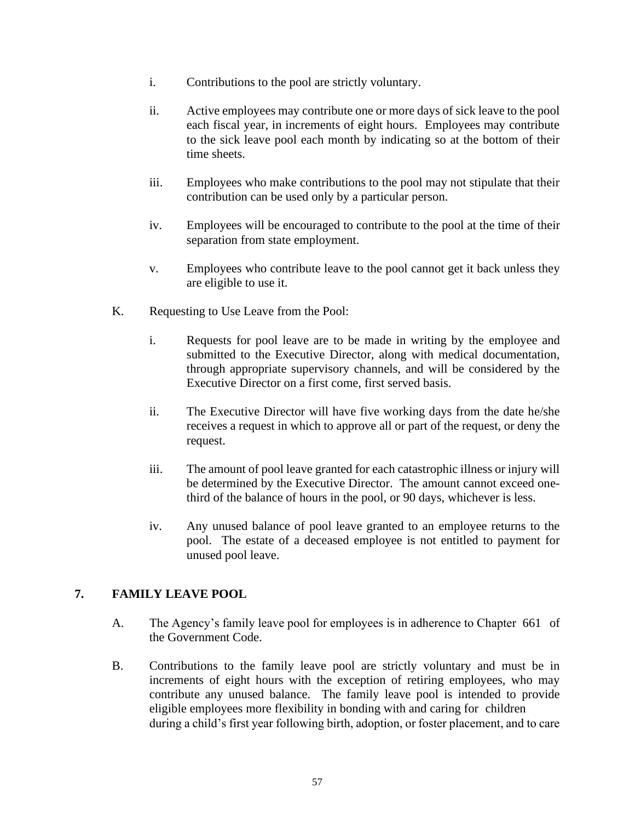- i. Contributions to the pool are strictly voluntary.
- ii. Active employees may contribute one or more days of sick leave to the pool each fiscal year, in increments of eight hours. Employees may contribute to the sick leave pool each month by indicating so at the bottom of their time sheets.
- iii. Employees who make contributions to the pool may not stipulate that their contribution can be used only by a particular person.
- iv. Employees will be encouraged to contribute to the pool at the time of their separation from state employment.
- v. Employees who contribute leave to the pool cannot get it back unless they are eligible to use it.
- K. Requesting to Use Leave from the Pool:
	- i. Requests for pool leave are to be made in writing by the employee and submitted to the Executive Director, along with medical documentation, through appropriate supervisory channels, and will be considered by the Executive Director on a first come, first served basis.
	- ii. The Executive Director will have five working days from the date he/she receives a request in which to approve all or part of the request, or deny the request.
	- iii. The amount of pool leave granted for each catastrophic illness or injury will be determined by the Executive Director. The amount cannot exceed onethird of the balance of hours in the pool, or 90 days, whichever is less.
	- iv. Any unused balance of pool leave granted to an employee returns to the pool. The estate of a deceased employee is not entitled to payment for unused pool leave.

## <span id="page-56-0"></span>**7. FAMILY LEAVE POOL**

- A. The Agency's family leave pool for employees is in adherence to Chapter 661 of the Government Code.
- B. Contributions to the family leave pool are strictly voluntary and must be in increments of eight hours with the exception of retiring employees, who may contribute any unused balance. The family leave pool is intended to provide eligible employees more flexibility in bonding with and caring for children during a child's first year following birth, adoption, or foster placement, and to care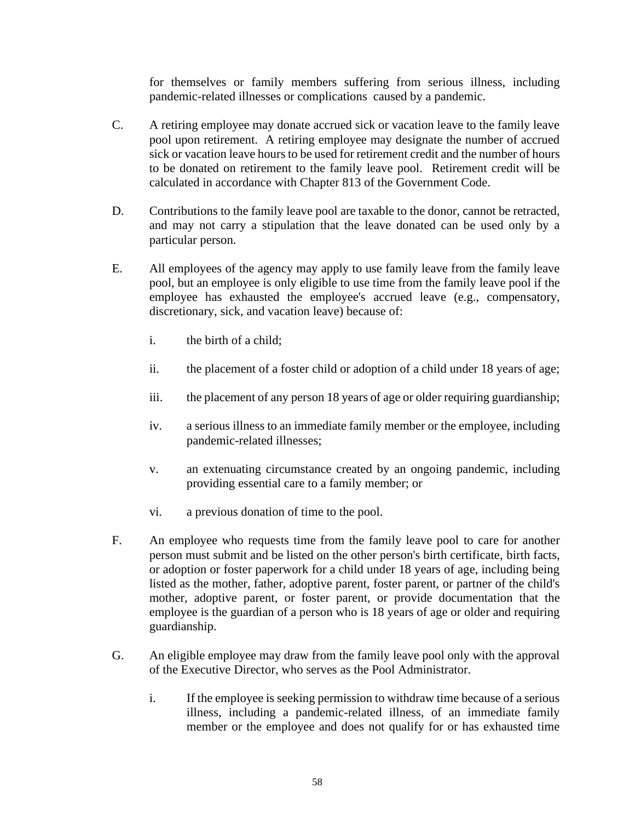for themselves or family members suffering from serious illness, including pandemic-related illnesses or complications caused by a pandemic.

- C. A retiring employee may donate accrued sick or vacation leave to the family leave pool upon retirement. A retiring employee may designate the number of accrued sick or vacation leave hours to be used for retirement credit and the number of hours to be donated on retirement to the family leave pool. Retirement credit will be calculated in accordance with Chapter 813 of the Government Code.
- D. Contributions to the family leave pool are taxable to the donor, cannot be retracted, and may not carry a stipulation that the leave donated can be used only by a particular person.
- E. All employees of the agency may apply to use family leave from the family leave pool, but an employee is only eligible to use time from the family leave pool if the employee has exhausted the employee's accrued leave (e.g., compensatory, discretionary, sick, and vacation leave) because of:
	- i. the birth of a child;
	- ii. the placement of a foster child or adoption of a child under 18 years of age;
	- iii. the placement of any person 18 years of age or older requiring guardianship;
	- iv. a serious illness to an immediate family member or the employee, including pandemic-related illnesses;
	- v. an extenuating circumstance created by an ongoing pandemic, including providing essential care to a family member; or
	- vi. a previous donation of time to the pool.
- F. An employee who requests time from the family leave pool to care for another person must submit and be listed on the other person's birth certificate, birth facts, or adoption or foster paperwork for a child under 18 years of age, including being listed as the mother, father, adoptive parent, foster parent, or partner of the child's mother, adoptive parent, or foster parent, or provide documentation that the employee is the guardian of a person who is 18 years of age or older and requiring guardianship.
- G. An eligible employee may draw from the family leave pool only with the approval of the Executive Director, who serves as the Pool Administrator.
	- i. If the employee is seeking permission to withdraw time because of a serious illness, including a pandemic-related illness, of an immediate family member or the employee and does not qualify for or has exhausted time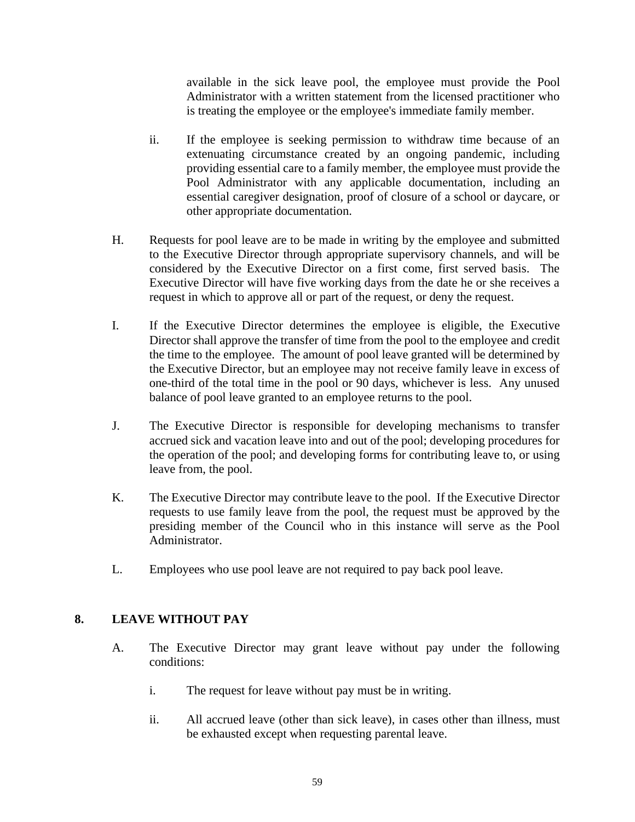available in the sick leave pool, the employee must provide the Pool Administrator with a written statement from the licensed practitioner who is treating the employee or the employee's immediate family member.

- ii. If the employee is seeking permission to withdraw time because of an extenuating circumstance created by an ongoing pandemic, including providing essential care to a family member, the employee must provide the Pool Administrator with any applicable documentation, including an essential caregiver designation, proof of closure of a school or daycare, or other appropriate documentation.
- H. Requests for pool leave are to be made in writing by the employee and submitted to the Executive Director through appropriate supervisory channels, and will be considered by the Executive Director on a first come, first served basis. The Executive Director will have five working days from the date he or she receives a request in which to approve all or part of the request, or deny the request.
- I. If the Executive Director determines the employee is eligible, the Executive Director shall approve the transfer of time from the pool to the employee and credit the time to the employee. The amount of pool leave granted will be determined by the Executive Director, but an employee may not receive family leave in excess of one-third of the total time in the pool or 90 days, whichever is less. Any unused balance of pool leave granted to an employee returns to the pool.
- J. The Executive Director is responsible for developing mechanisms to transfer accrued sick and vacation leave into and out of the pool; developing procedures for the operation of the pool; and developing forms for contributing leave to, or using leave from, the pool.
- K. The Executive Director may contribute leave to the pool. If the Executive Director requests to use family leave from the pool, the request must be approved by the presiding member of the Council who in this instance will serve as the Pool Administrator.
- L. Employees who use pool leave are not required to pay back pool leave.

# <span id="page-58-0"></span>**8. LEAVE WITHOUT PAY**

- A. The Executive Director may grant leave without pay under the following conditions:
	- i. The request for leave without pay must be in writing.
	- ii. All accrued leave (other than sick leave), in cases other than illness, must be exhausted except when requesting parental leave.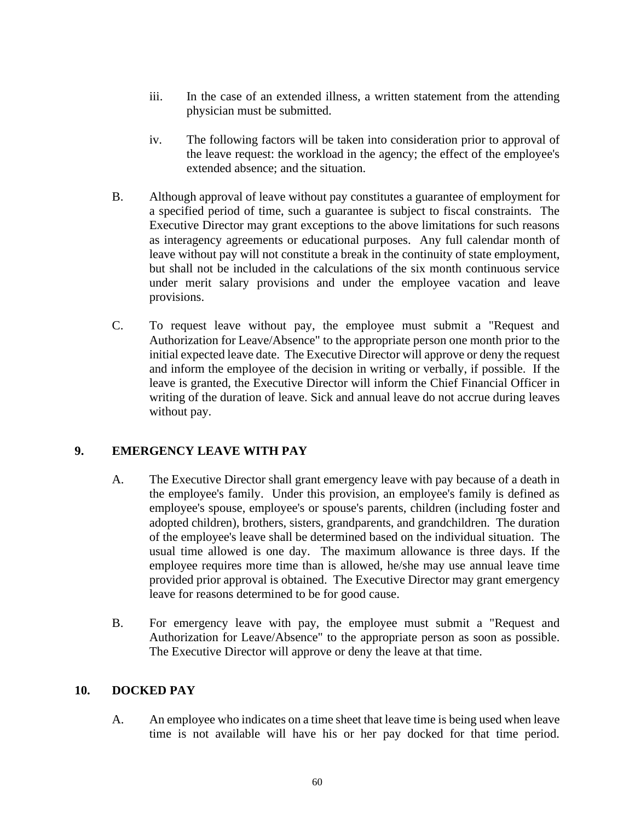- iii. In the case of an extended illness, a written statement from the attending physician must be submitted.
- iv. The following factors will be taken into consideration prior to approval of the leave request: the workload in the agency; the effect of the employee's extended absence; and the situation.
- B. Although approval of leave without pay constitutes a guarantee of employment for a specified period of time, such a guarantee is subject to fiscal constraints. The Executive Director may grant exceptions to the above limitations for such reasons as interagency agreements or educational purposes. Any full calendar month of leave without pay will not constitute a break in the continuity of state employment, but shall not be included in the calculations of the six month continuous service under merit salary provisions and under the employee vacation and leave provisions.
- C. To request leave without pay, the employee must submit a "Request and Authorization for Leave/Absence" to the appropriate person one month prior to the initial expected leave date. The Executive Director will approve or deny the request and inform the employee of the decision in writing or verbally, if possible. If the leave is granted, the Executive Director will inform the Chief Financial Officer in writing of the duration of leave. Sick and annual leave do not accrue during leaves without pay.

## <span id="page-59-0"></span>**9. EMERGENCY LEAVE WITH PAY**

- A. The Executive Director shall grant emergency leave with pay because of a death in the employee's family. Under this provision, an employee's family is defined as employee's spouse, employee's or spouse's parents, children (including foster and adopted children), brothers, sisters, grandparents, and grandchildren. The duration of the employee's leave shall be determined based on the individual situation. The usual time allowed is one day. The maximum allowance is three days. If the employee requires more time than is allowed, he/she may use annual leave time provided prior approval is obtained. The Executive Director may grant emergency leave for reasons determined to be for good cause.
- B. For emergency leave with pay, the employee must submit a "Request and Authorization for Leave/Absence" to the appropriate person as soon as possible. The Executive Director will approve or deny the leave at that time.

#### <span id="page-59-1"></span>**10. DOCKED PAY**

A. An employee who indicates on a time sheet that leave time is being used when leave time is not available will have his or her pay docked for that time period.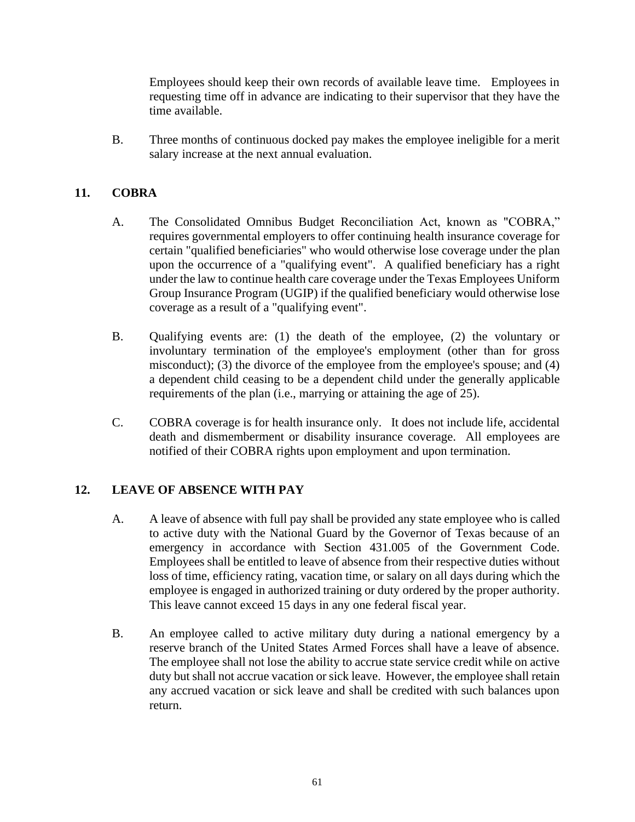Employees should keep their own records of available leave time. Employees in requesting time off in advance are indicating to their supervisor that they have the time available.

B. Three months of continuous docked pay makes the employee ineligible for a merit salary increase at the next annual evaluation.

## <span id="page-60-0"></span>**11. COBRA**

- A. The Consolidated Omnibus Budget Reconciliation Act, known as "COBRA," requires governmental employers to offer continuing health insurance coverage for certain "qualified beneficiaries" who would otherwise lose coverage under the plan upon the occurrence of a "qualifying event". A qualified beneficiary has a right under the law to continue health care coverage under the Texas Employees Uniform Group Insurance Program (UGIP) if the qualified beneficiary would otherwise lose coverage as a result of a "qualifying event".
- B. Qualifying events are: (1) the death of the employee, (2) the voluntary or involuntary termination of the employee's employment (other than for gross misconduct); (3) the divorce of the employee from the employee's spouse; and (4) a dependent child ceasing to be a dependent child under the generally applicable requirements of the plan (i.e., marrying or attaining the age of 25).
- C. COBRA coverage is for health insurance only. It does not include life, accidental death and dismemberment or disability insurance coverage. All employees are notified of their COBRA rights upon employment and upon termination.

## <span id="page-60-1"></span>**12. LEAVE OF ABSENCE WITH PAY**

- A. A leave of absence with full pay shall be provided any state employee who is called to active duty with the National Guard by the Governor of Texas because of an emergency in accordance with Section 431.005 of the Government Code. Employees shall be entitled to leave of absence from their respective duties without loss of time, efficiency rating, vacation time, or salary on all days during which the employee is engaged in authorized training or duty ordered by the proper authority. This leave cannot exceed 15 days in any one federal fiscal year.
- B. An employee called to active military duty during a national emergency by a reserve branch of the United States Armed Forces shall have a leave of absence. The employee shall not lose the ability to accrue state service credit while on active duty but shall not accrue vacation or sick leave. However, the employee shall retain any accrued vacation or sick leave and shall be credited with such balances upon return.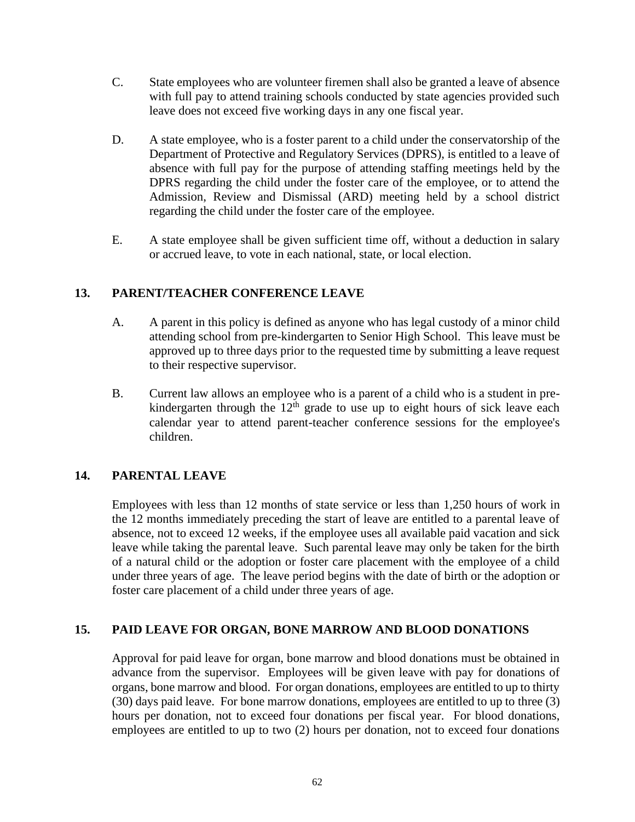- C. State employees who are volunteer firemen shall also be granted a leave of absence with full pay to attend training schools conducted by state agencies provided such leave does not exceed five working days in any one fiscal year.
- D. A state employee, who is a foster parent to a child under the conservatorship of the Department of Protective and Regulatory Services (DPRS), is entitled to a leave of absence with full pay for the purpose of attending staffing meetings held by the DPRS regarding the child under the foster care of the employee, or to attend the Admission, Review and Dismissal (ARD) meeting held by a school district regarding the child under the foster care of the employee.
- E. A state employee shall be given sufficient time off, without a deduction in salary or accrued leave, to vote in each national, state, or local election.

#### <span id="page-61-0"></span>**13. PARENT/TEACHER CONFERENCE LEAVE**

- A. A parent in this policy is defined as anyone who has legal custody of a minor child attending school from pre-kindergarten to Senior High School. This leave must be approved up to three days prior to the requested time by submitting a leave request to their respective supervisor.
- B. Current law allows an employee who is a parent of a child who is a student in prekindergarten through the  $12<sup>th</sup>$  grade to use up to eight hours of sick leave each calendar year to attend parent-teacher conference sessions for the employee's children.

## <span id="page-61-1"></span>**14. PARENTAL LEAVE**

Employees with less than 12 months of state service or less than 1,250 hours of work in the 12 months immediately preceding the start of leave are entitled to a parental leave of absence, not to exceed 12 weeks, if the employee uses all available paid vacation and sick leave while taking the parental leave. Such parental leave may only be taken for the birth of a natural child or the adoption or foster care placement with the employee of a child under three years of age. The leave period begins with the date of birth or the adoption or foster care placement of a child under three years of age.

#### <span id="page-61-2"></span>**15. PAID LEAVE FOR ORGAN, BONE MARROW AND BLOOD DONATIONS**

Approval for paid leave for organ, bone marrow and blood donations must be obtained in advance from the supervisor. Employees will be given leave with pay for donations of organs, bone marrow and blood. For organ donations, employees are entitled to up to thirty (30) days paid leave. For bone marrow donations, employees are entitled to up to three (3) hours per donation, not to exceed four donations per fiscal year. For blood donations, employees are entitled to up to two (2) hours per donation, not to exceed four donations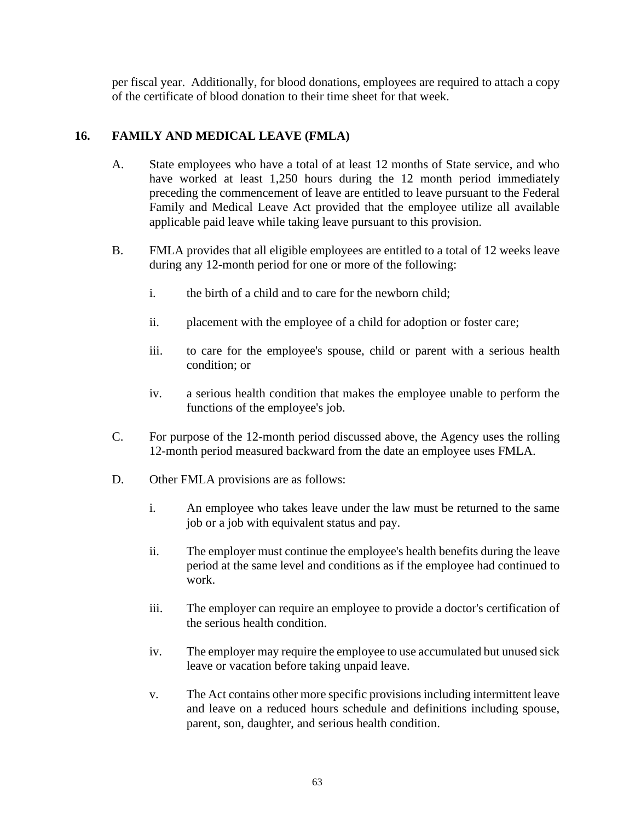per fiscal year. Additionally, for blood donations, employees are required to attach a copy of the certificate of blood donation to their time sheet for that week.

#### <span id="page-62-0"></span>**16. FAMILY AND MEDICAL LEAVE (FMLA)**

- A. State employees who have a total of at least 12 months of State service, and who have worked at least 1,250 hours during the 12 month period immediately preceding the commencement of leave are entitled to leave pursuant to the Federal Family and Medical Leave Act provided that the employee utilize all available applicable paid leave while taking leave pursuant to this provision.
- B. FMLA provides that all eligible employees are entitled to a total of 12 weeks leave during any 12-month period for one or more of the following:
	- i. the birth of a child and to care for the newborn child;
	- ii. placement with the employee of a child for adoption or foster care;
	- iii. to care for the employee's spouse, child or parent with a serious health condition; or
	- iv. a serious health condition that makes the employee unable to perform the functions of the employee's job.
- C. For purpose of the 12-month period discussed above, the Agency uses the rolling 12-month period measured backward from the date an employee uses FMLA.
- D. Other FMLA provisions are as follows:
	- i. An employee who takes leave under the law must be returned to the same job or a job with equivalent status and pay.
	- ii. The employer must continue the employee's health benefits during the leave period at the same level and conditions as if the employee had continued to work.
	- iii. The employer can require an employee to provide a doctor's certification of the serious health condition.
	- iv. The employer may require the employee to use accumulated but unused sick leave or vacation before taking unpaid leave.
	- v. The Act contains other more specific provisions including intermittent leave and leave on a reduced hours schedule and definitions including spouse, parent, son, daughter, and serious health condition.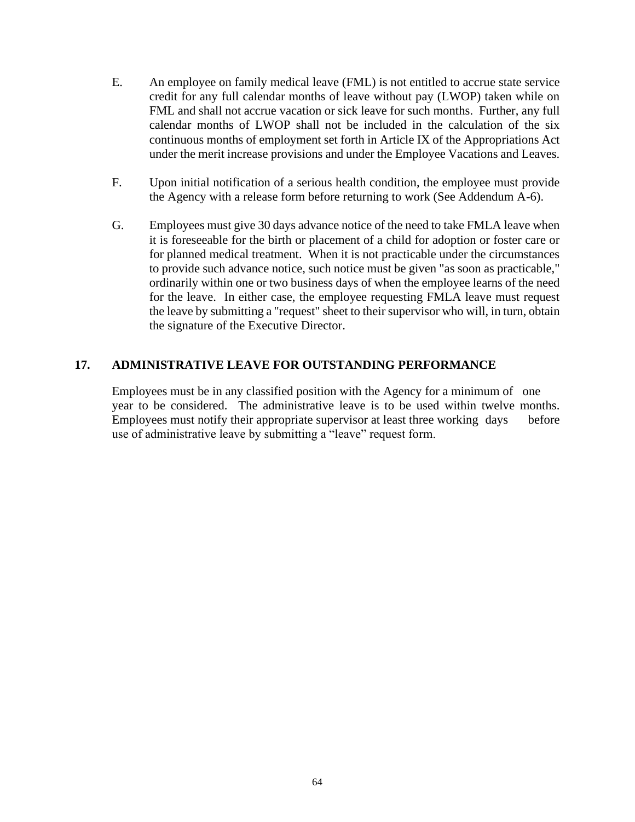- E. An employee on family medical leave (FML) is not entitled to accrue state service credit for any full calendar months of leave without pay (LWOP) taken while on FML and shall not accrue vacation or sick leave for such months. Further, any full calendar months of LWOP shall not be included in the calculation of the six continuous months of employment set forth in Article IX of the Appropriations Act under the merit increase provisions and under the Employee Vacations and Leaves.
- F. Upon initial notification of a serious health condition, the employee must provide the Agency with a release form before returning to work (See Addendum A-6).
- G. Employees must give 30 days advance notice of the need to take FMLA leave when it is foreseeable for the birth or placement of a child for adoption or foster care or for planned medical treatment. When it is not practicable under the circumstances to provide such advance notice, such notice must be given "as soon as practicable," ordinarily within one or two business days of when the employee learns of the need for the leave. In either case, the employee requesting FMLA leave must request the leave by submitting a "request" sheet to their supervisor who will, in turn, obtain the signature of the Executive Director.

## <span id="page-63-0"></span>**17. ADMINISTRATIVE LEAVE FOR OUTSTANDING PERFORMANCE**

Employees must be in any classified position with the Agency for a minimum of one year to be considered. The administrative leave is to be used within twelve months. Employees must notify their appropriate supervisor at least three working days before use of administrative leave by submitting a "leave" request form.